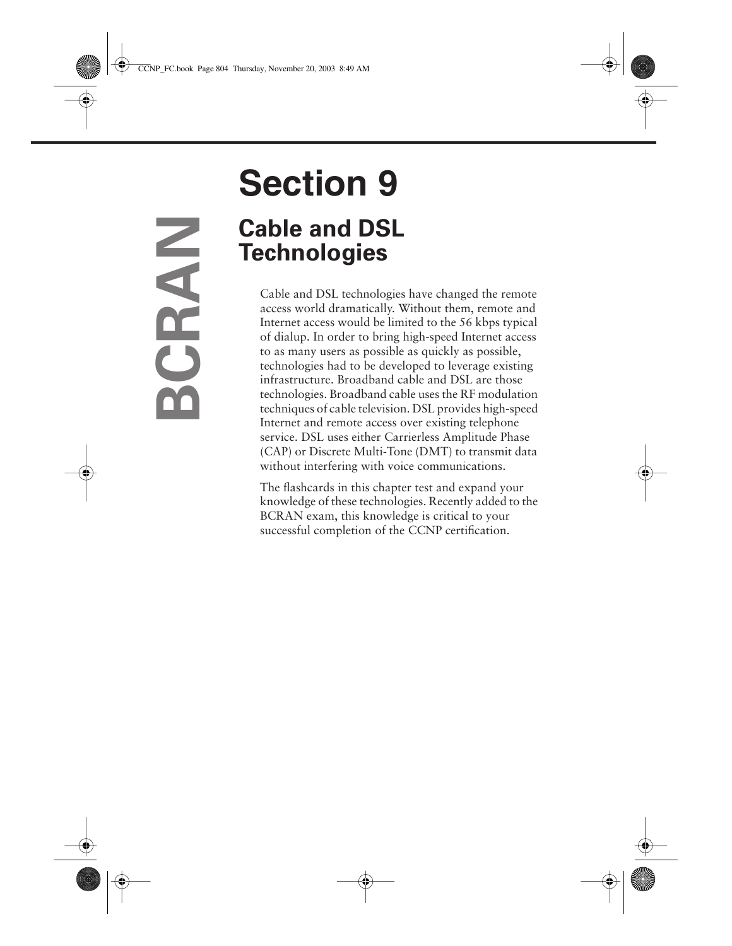# **Section 9 Cable and DSL Technologies**

Cable and DSL technologies have changed the remote access world dramatically. Without them, remote and Internet access would be limited to the 56 kbps typical of dialup. In order to bring high-speed Internet access to as many users as possible as quickly as possible, technologies had to be developed to leverage existing infrastructure. Broadband cable and DSL are those technologies. Broadband cable uses the RF modulation techniques of cable television. DSL provides high-speed Internet and remote access over existing telephone service. DSL uses either Carrierless Amplitude Phase (CAP) or Discrete Multi-Tone (DMT) to transmit data without interfering with voice communications.

The flashcards in this chapter test and expand your knowledge of these technologies. Recently added to the BCRAN exam, this knowledge is critical to your successful completion of the CCNP certification.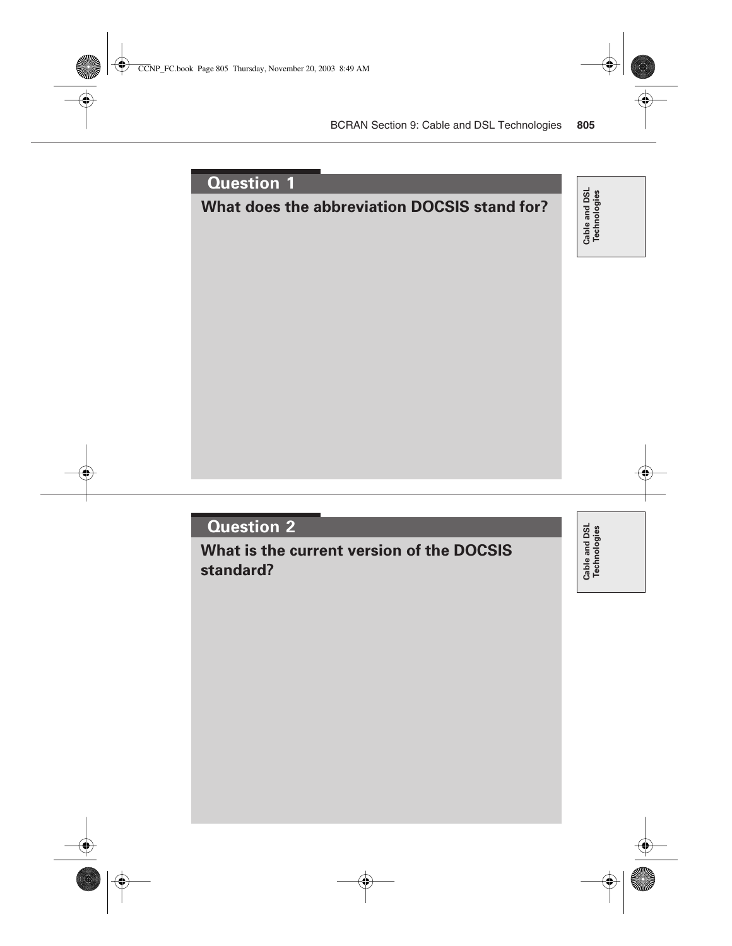## **What does the abbreviation DOCSIS stand for?**

Cable and DSL<br>Technologies **Cable and DSL Technologies**

## **Question 2**

**What is the current version of the DOCSIS standard?**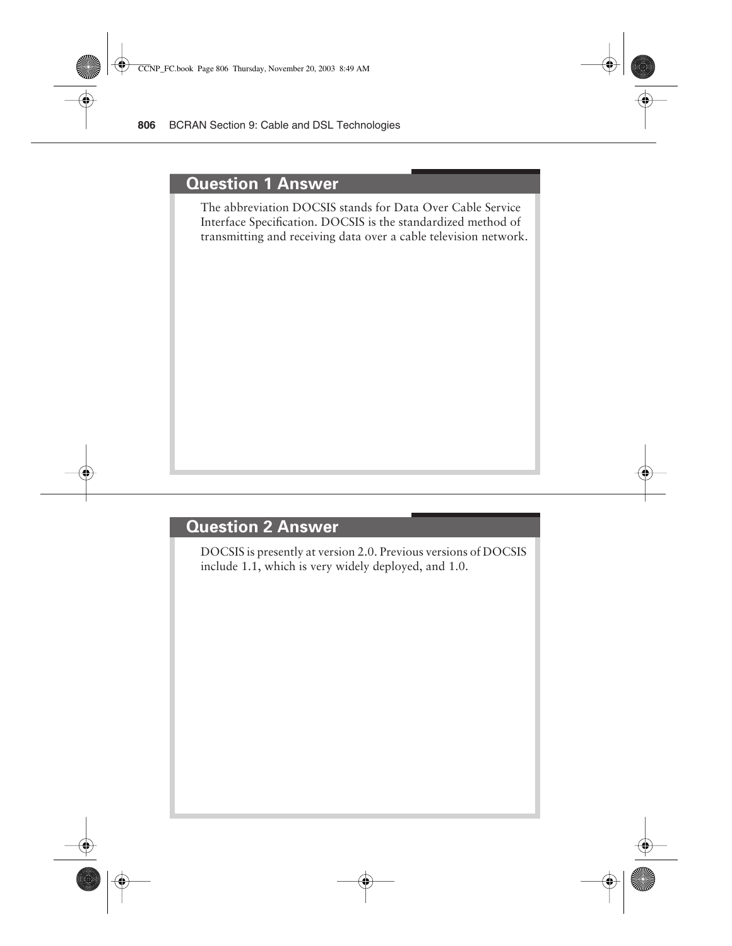#### **Question 1 Answer**

The abbreviation DOCSIS stands for Data Over Cable Service Interface Specification. DOCSIS is the standardized method of transmitting and receiving data over a cable television network.

#### **Question 2 Answer**

DOCSIS is presently at version 2.0. Previous versions of DOCSIS include 1.1, which is very widely deployed, and 1.0.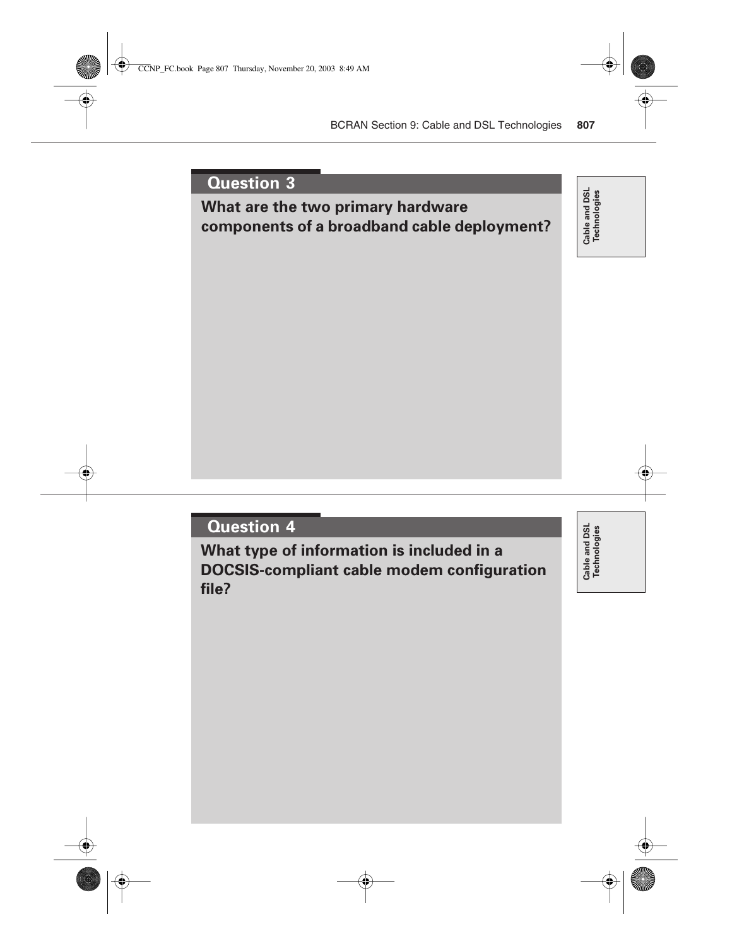## **What are the two primary hardware components of a broadband cable deployment?**

Cable and DSL<br>Technologies **Cable and DSL Technologies**

## **Question 4**

**What type of information is included in a DOCSIS-compliant cable modem configuration file?**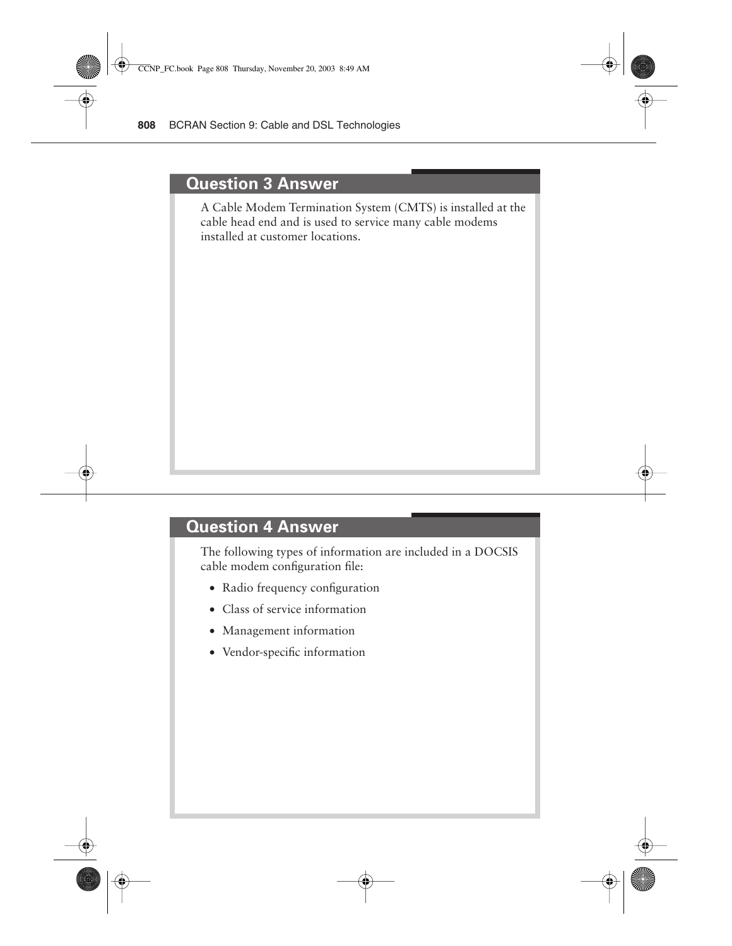#### **Question 3 Answer**

A Cable Modem Termination System (CMTS) is installed at the cable head end and is used to service many cable modems installed at customer locations.

## **Question 4 Answer**

The following types of information are included in a DOCSIS cable modem configuration file:

- Radio frequency configuration
- Class of service information
- Management information
- Vendor-specific information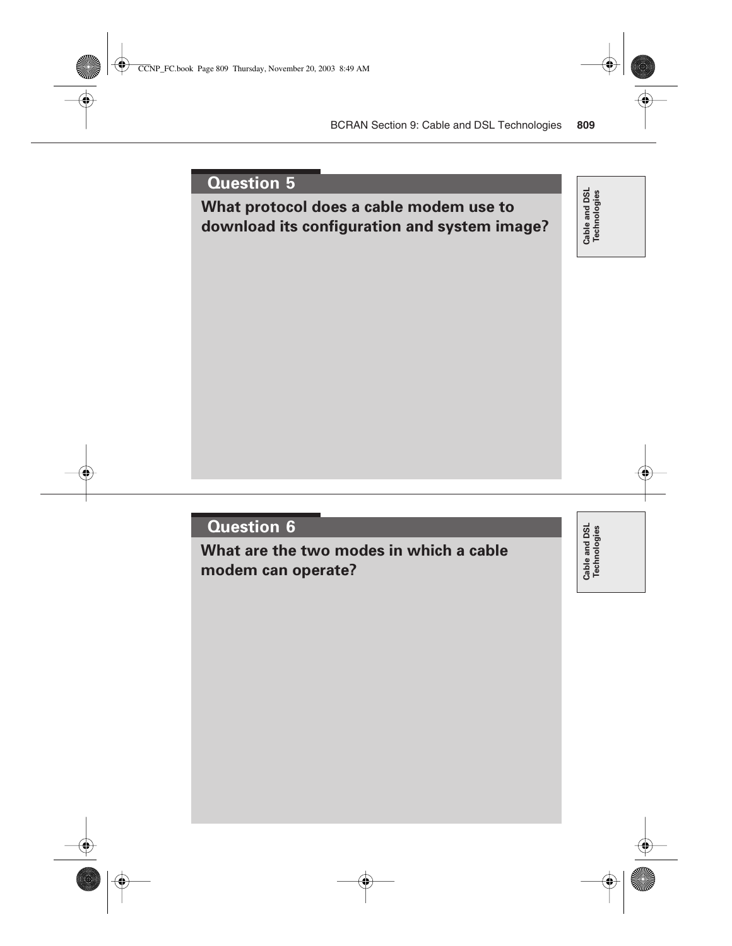## **What protocol does a cable modem use to download its configuration and system image?**

Cable and DSL<br>Technologies **Cable and DSL Technologies**

## **Question 6**

**What are the two modes in which a cable modem can operate?**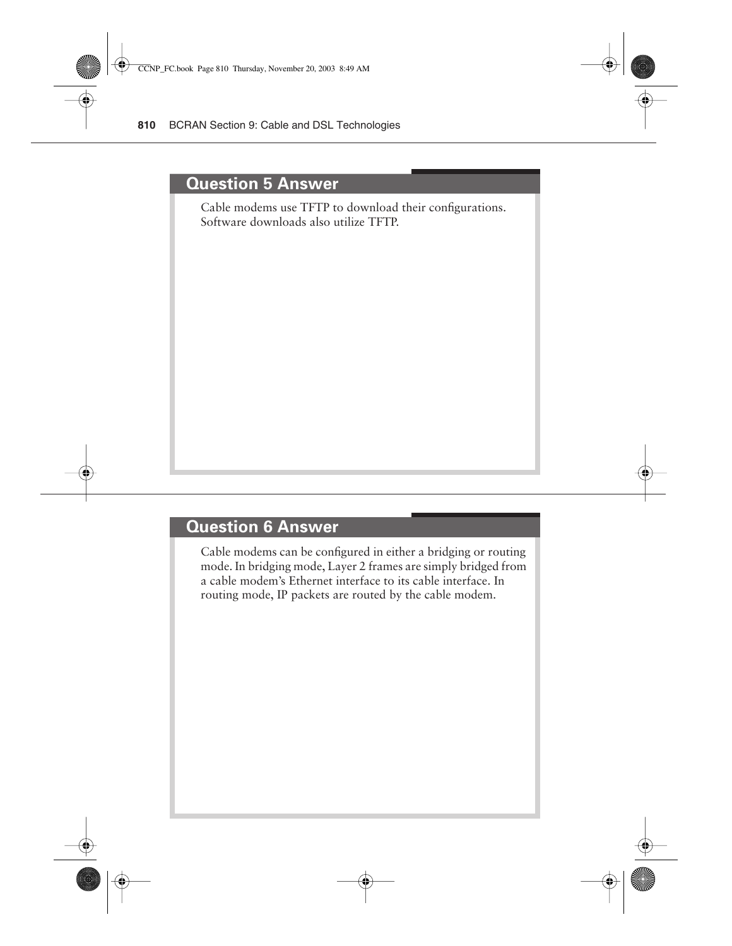#### **Question 5 Answer**

Cable modems use TFTP to download their configurations. Software downloads also utilize TFTP.

#### **Question 6 Answer**

Cable modems can be configured in either a bridging or routing mode. In bridging mode, Layer 2 frames are simply bridged from a cable modem's Ethernet interface to its cable interface. In routing mode, IP packets are routed by the cable modem.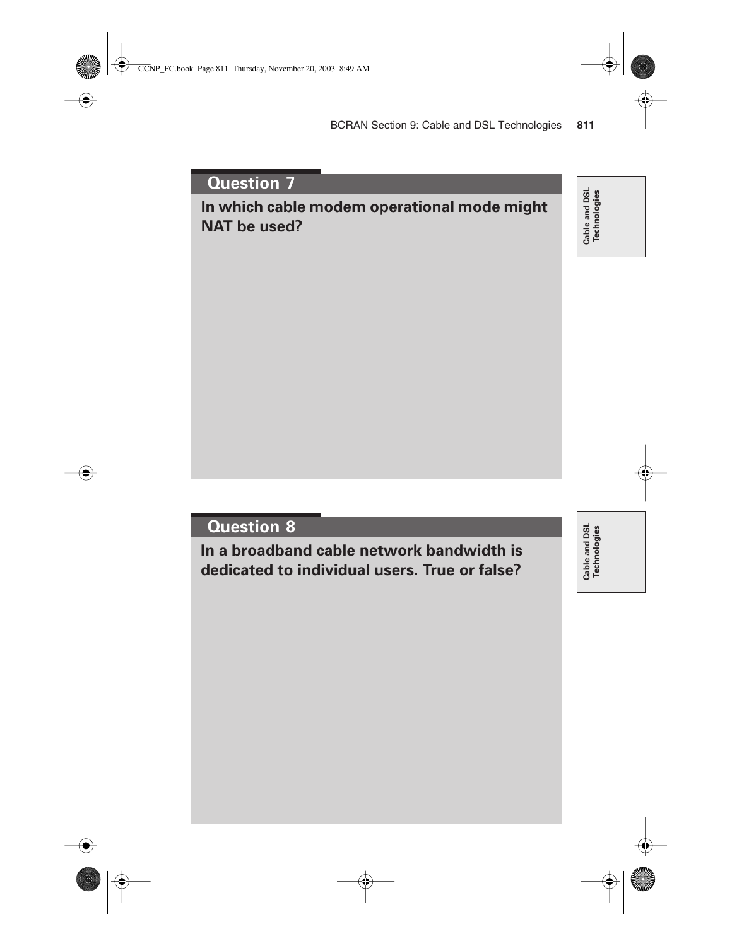## **In which cable modem operational mode might NAT be used?**

Cable and DSL<br>Technologies **Cable and DSL Technologies**

#### **Question 8**

**In a broadband cable network bandwidth is dedicated to individual users. True or false?**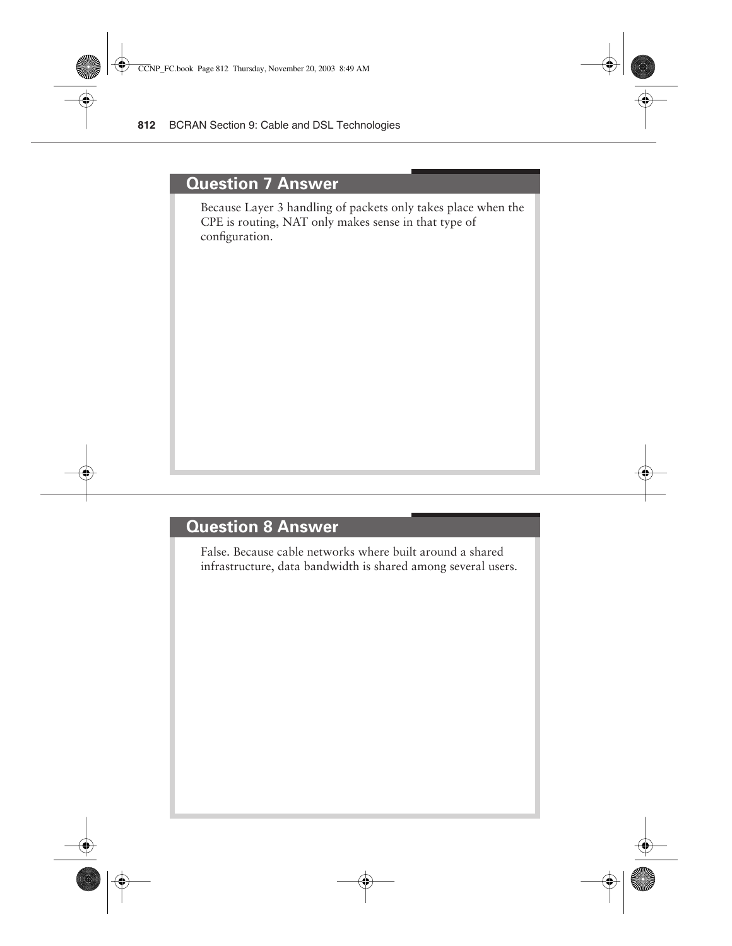#### **Question 7 Answer**

Because Layer 3 handling of packets only takes place when the CPE is routing, NAT only makes sense in that type of configuration.

#### **Question 8 Answer**

False. Because cable networks where built around a shared infrastructure, data bandwidth is shared among several users.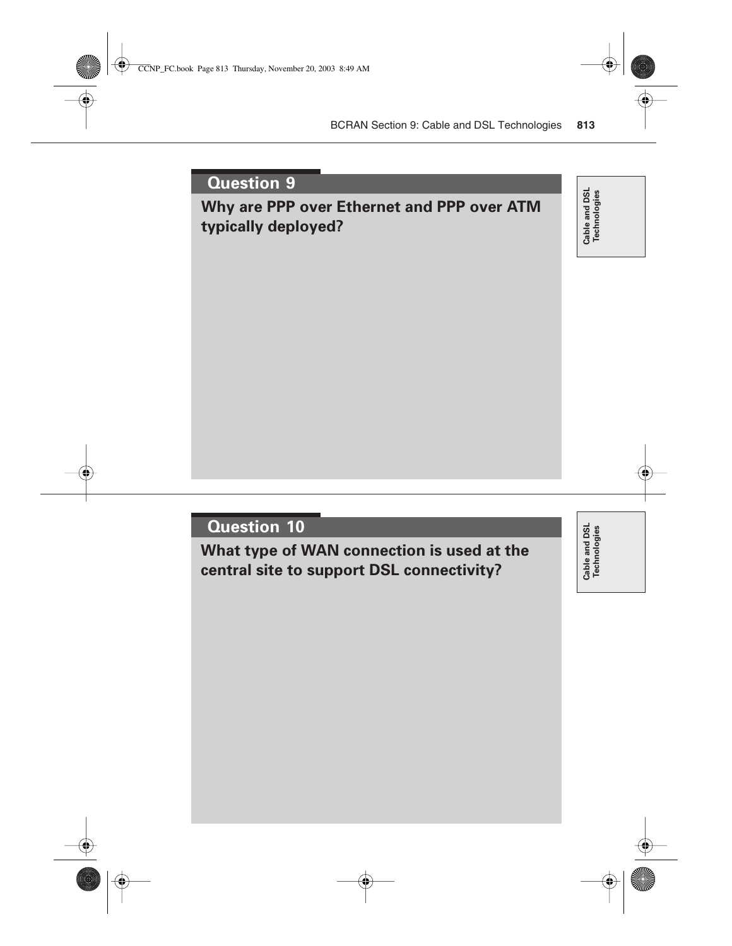## **Why are PPP over Ethernet and PPP over ATM typically deployed?**

Cable and DSL<br>Technologies **Cable and DSL Technologies**

## **Question 10**

**What type of WAN connection is used at the central site to support DSL connectivity?**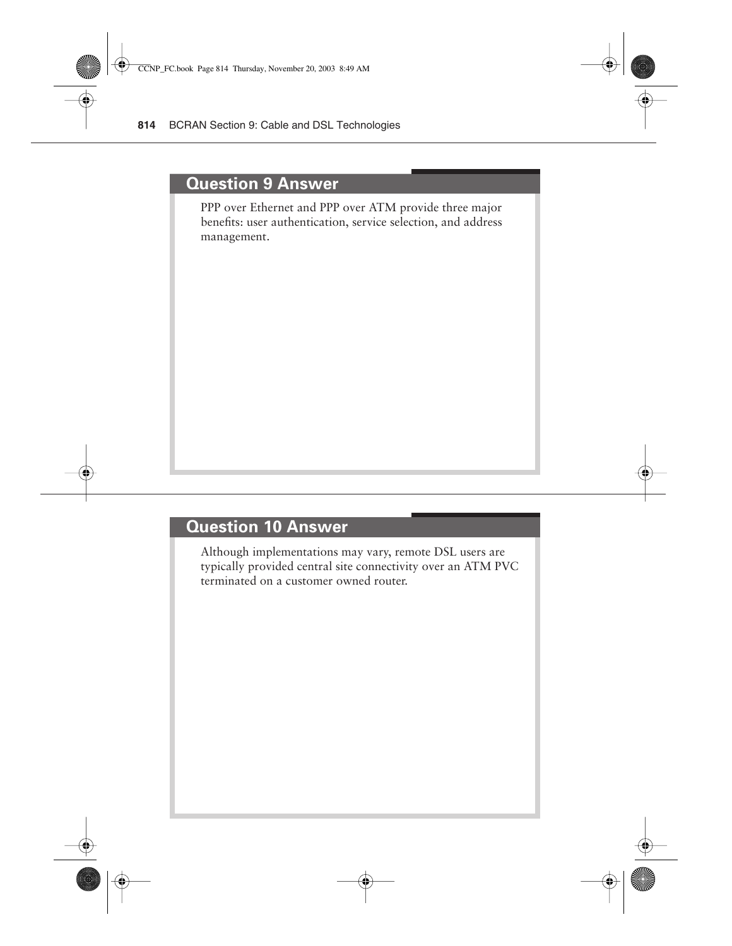#### **Question 9 Answer**

PPP over Ethernet and PPP over ATM provide three major benefits: user authentication, service selection, and address management.

## **Question 10 Answer**

Although implementations may vary, remote DSL users are typically provided central site connectivity over an ATM PVC terminated on a customer owned router.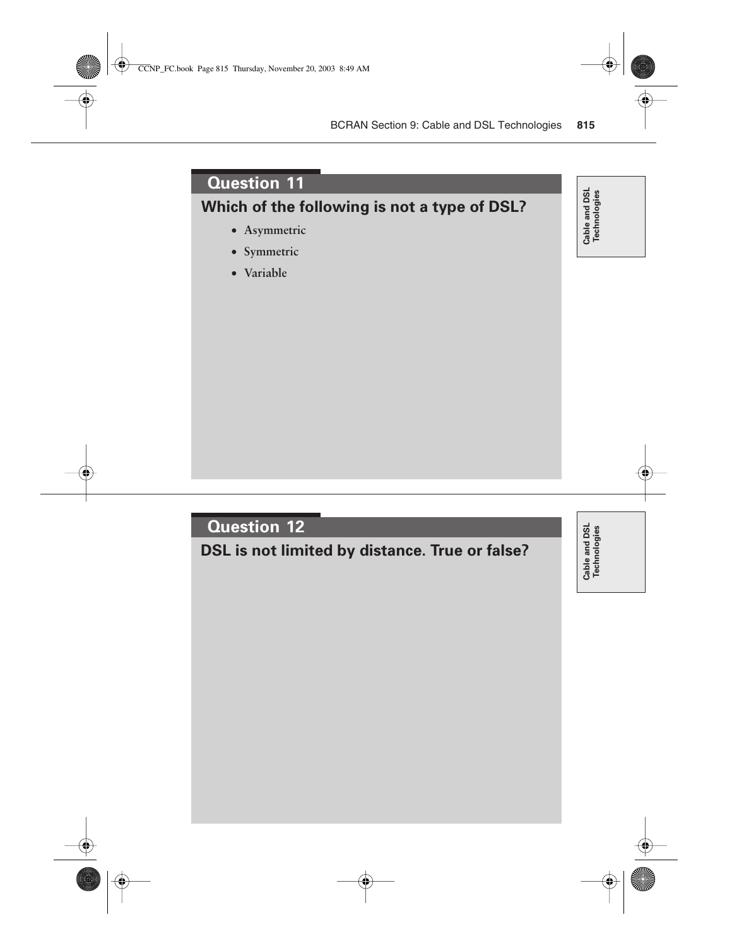**Which of the following is not a type of DSL?**

- **Asymmetric**
- **Symmetric**
- **Variable**

# Cable and DSL<br>Technologies **Cable and DSL Technologies**

## **Question 12**

**DSL is not limited by distance. True or false?**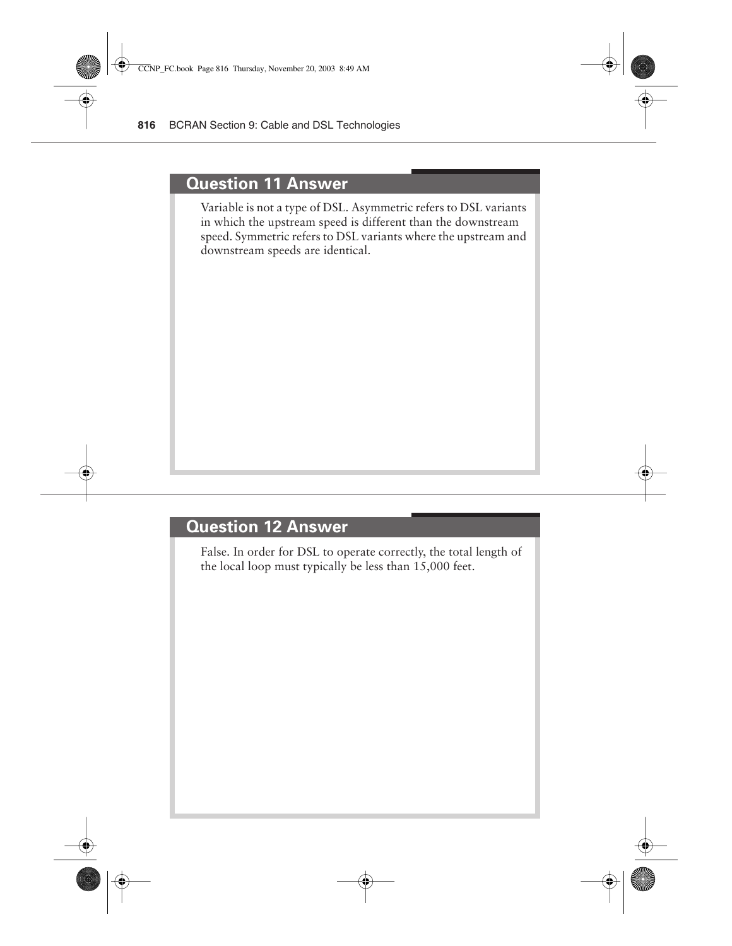#### **Question 11 Answer**

Variable is not a type of DSL. Asymmetric refers to DSL variants in which the upstream speed is different than the downstream speed. Symmetric refers to DSL variants where the upstream and downstream speeds are identical.

## **Question 12 Answer**

False. In order for DSL to operate correctly, the total length of the local loop must typically be less than 15,000 feet.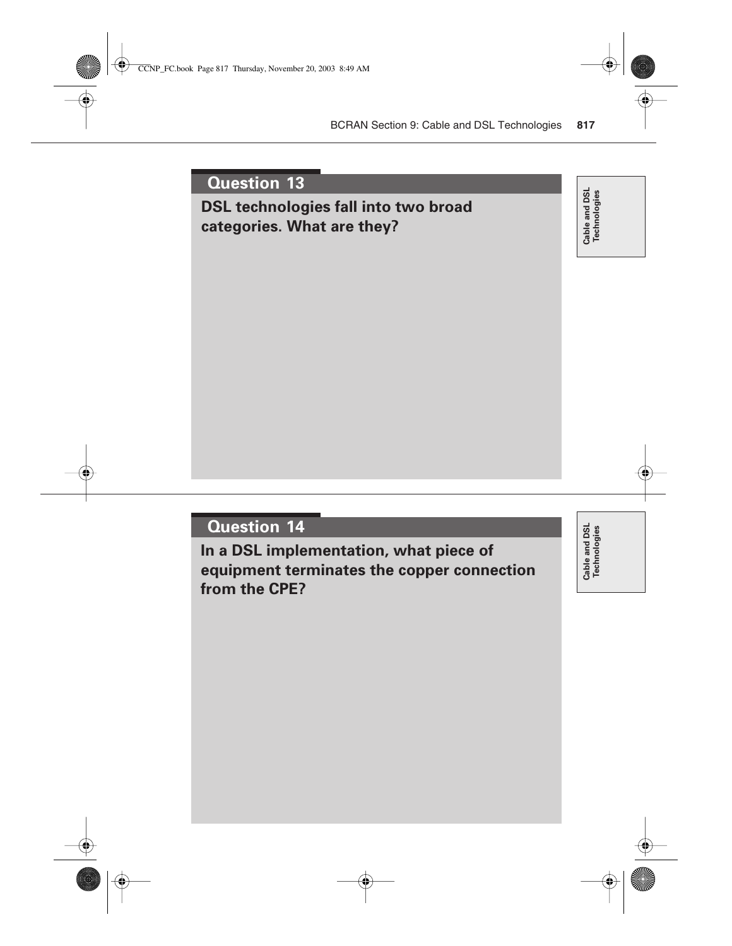## **DSL technologies fall into two broad categories. What are they?**

Cable and DSL<br>Technologies **Cable and DSL Technologies**

## **Question 14**

**In a DSL implementation, what piece of equipment terminates the copper connection from the CPE?**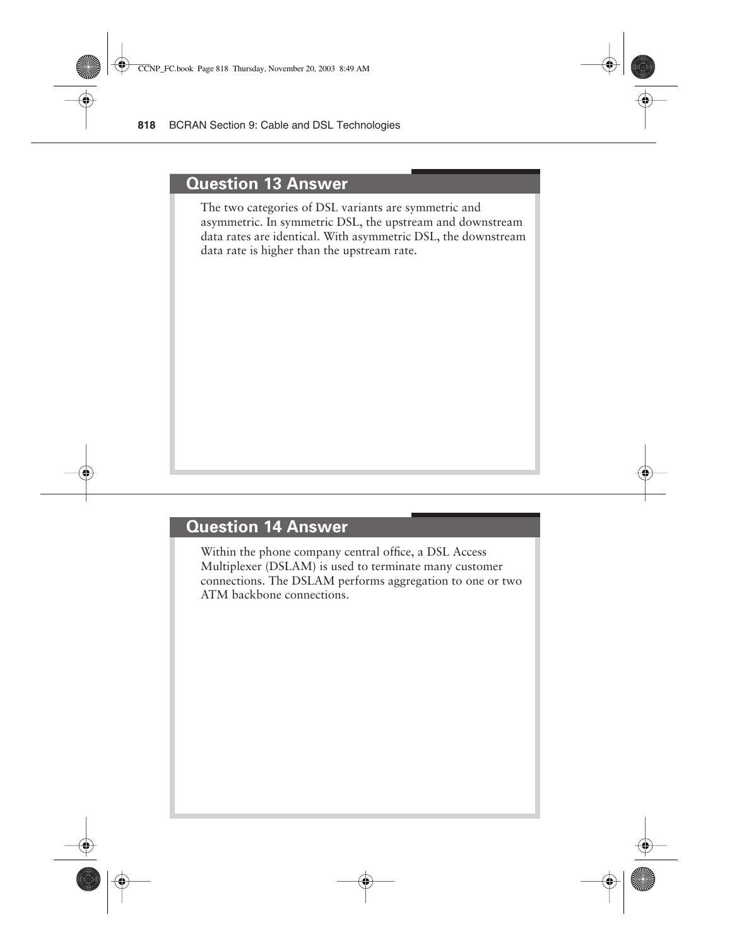#### **Question 13 Answer**

The two categories of DSL variants are symmetric and asymmetric. In symmetric DSL, the upstream and downstream data rates are identical. With asymmetric DSL, the downstream data rate is higher than the upstream rate.

## **Question 14 Answer**

Within the phone company central office, a DSL Access Multiplexer (DSLAM) is used to terminate many customer connections. The DSLAM performs aggregation to one or two ATM backbone connections.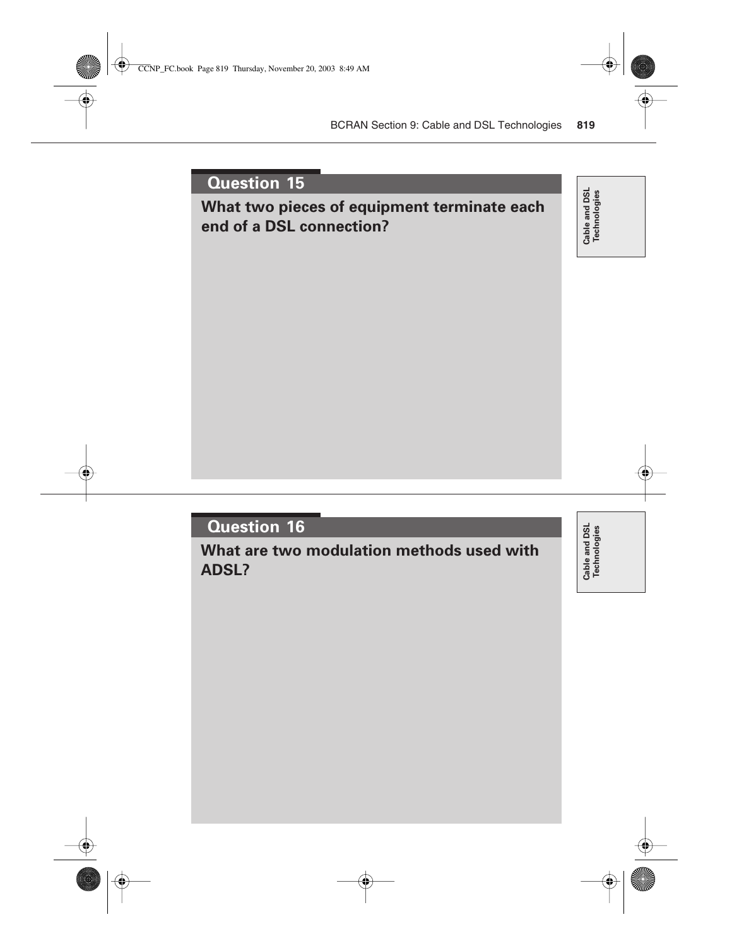## **What two pieces of equipment terminate each end of a DSL connection?**

Cable and DSL<br>Technologies **Cable and DSL Technologies**

## **Question 16**

**What are two modulation methods used with ADSL?**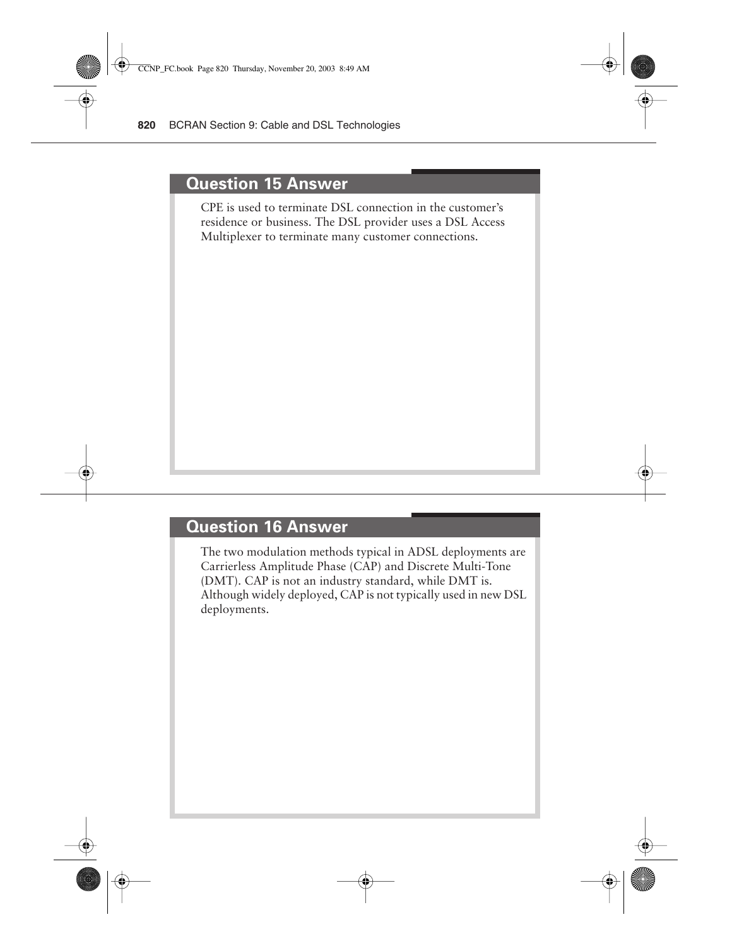#### **Question 15 Answer**

CPE is used to terminate DSL connection in the customer's residence or business. The DSL provider uses a DSL Access Multiplexer to terminate many customer connections.

## **Question 16 Answer**

The two modulation methods typical in ADSL deployments are Carrierless Amplitude Phase (CAP) and Discrete Multi-Tone (DMT). CAP is not an industry standard, while DMT is. Although widely deployed, CAP is not typically used in new DSL deployments.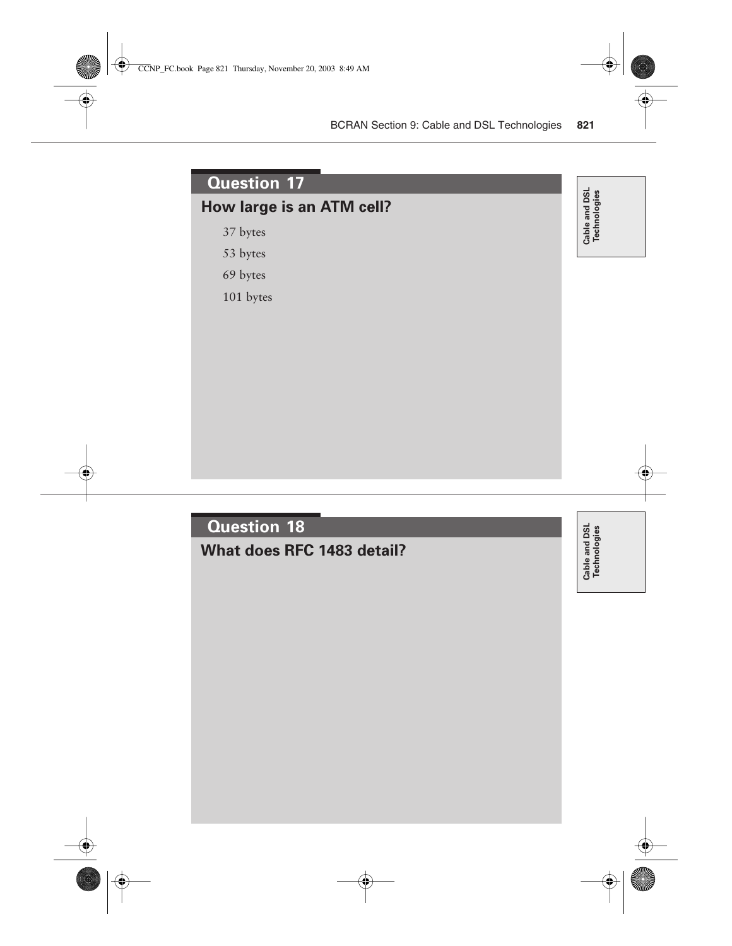## **How large is an ATM cell?**

37 bytes

53 bytes

69 bytes

101 bytes

Cable and DSL<br>Technologies **Cable and DSL Technologies**



Cable and DSL<br>Technologies **Technologies**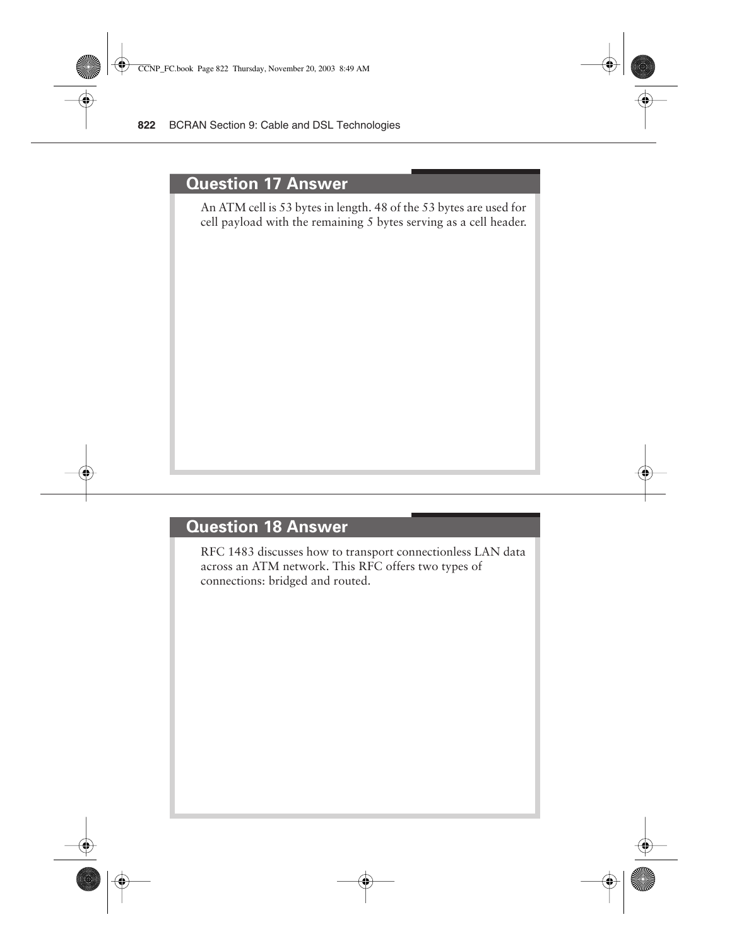#### **Question 17 Answer**

An ATM cell is 53 bytes in length. 48 of the 53 bytes are used for cell payload with the remaining 5 bytes serving as a cell header.

## **Question 18 Answer**

RFC 1483 discusses how to transport connectionless LAN data across an ATM network. This RFC offers two types of connections: bridged and routed.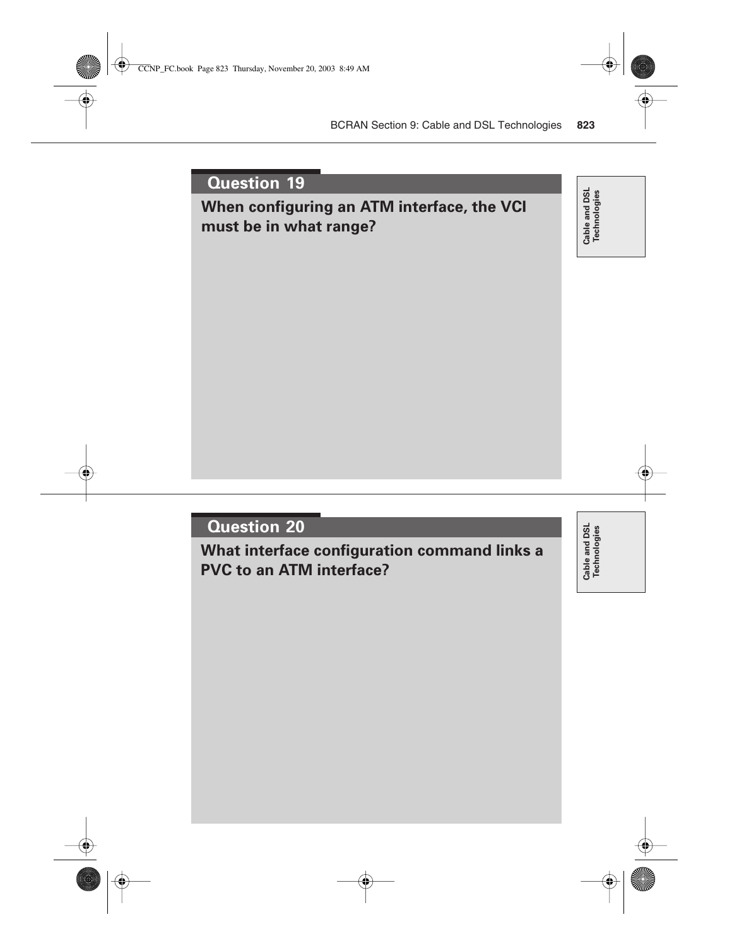## **When configuring an ATM interface, the VCI must be in what range?**

Cable and DSL<br>Technologies **Cable and DSL Technologies**

## **Question 20**

**What interface configuration command links a PVC to an ATM interface?**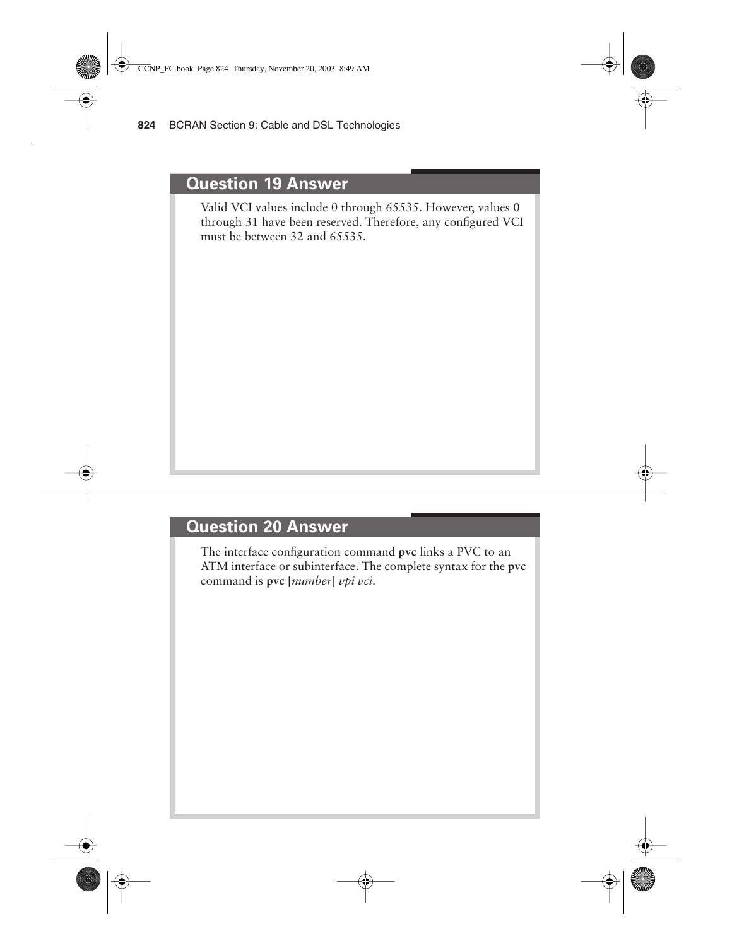#### **Question 19 Answer**

Valid VCI values include 0 through 65535. However, values 0 through 31 have been reserved. Therefore, any configured VCI must be between 32 and 65535.

## **Question 20 Answer**

The interface configuration command **pvc** links a PVC to an ATM interface or subinterface. The complete syntax for the **pvc**  command is **pvc** [*number*] *vpi vci*.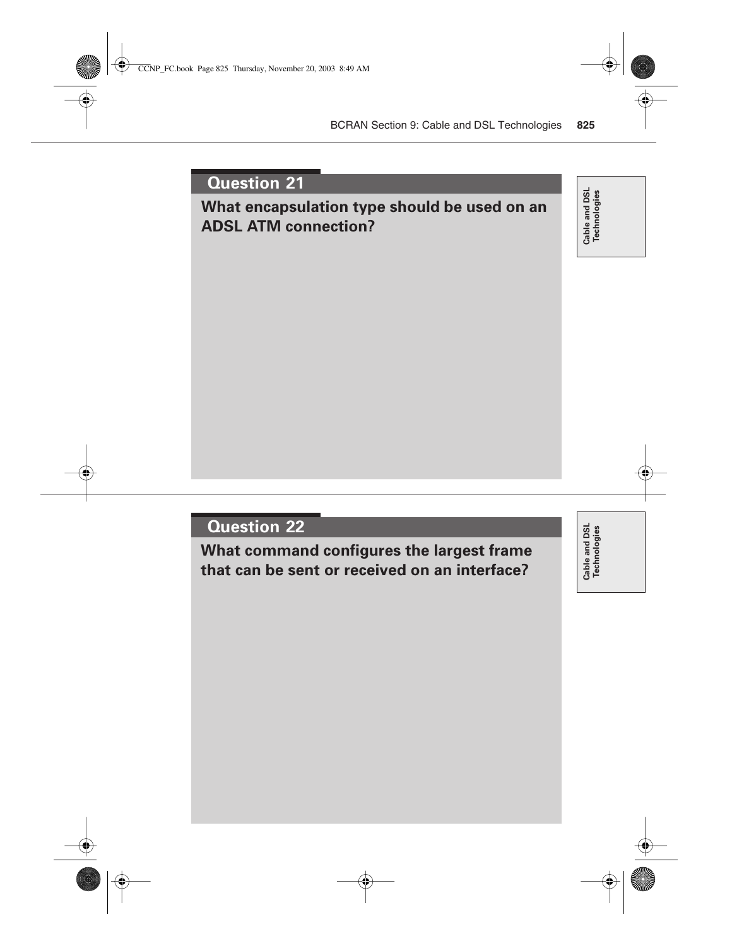## **What encapsulation type should be used on an ADSL ATM connection?**

Cable and DSL<br>Technologies **Cable and DSL Technologies**

## **Question 22**

**What command configures the largest frame that can be sent or received on an interface?**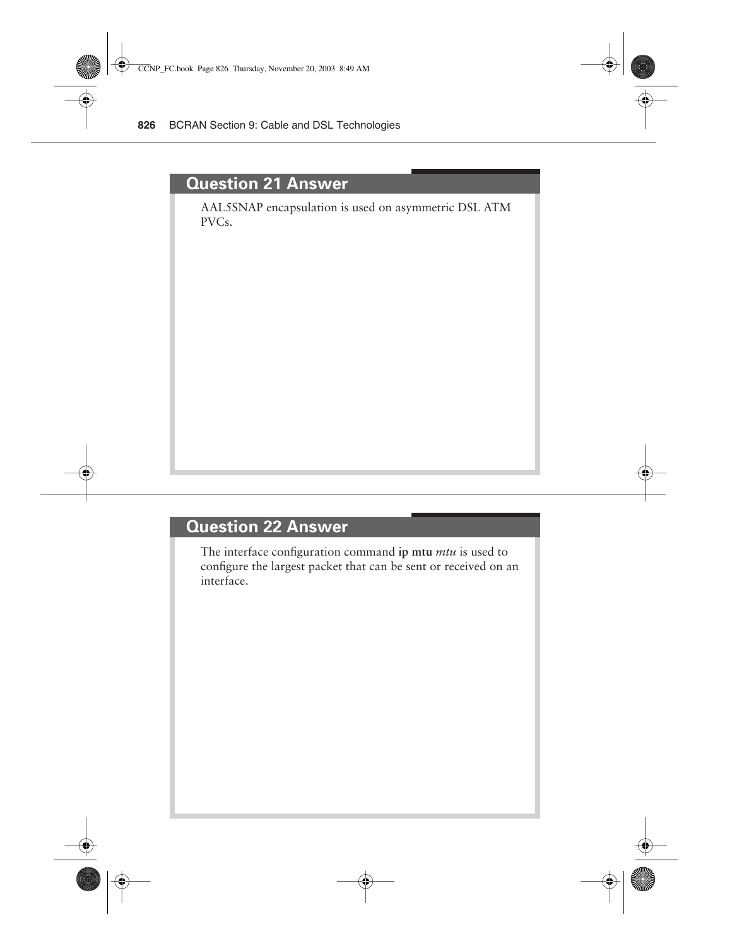#### **Question 21 Answer**

AAL5SNAP encapsulation is used on asymmetric DSL ATM PVCs.

## **Question 22 Answer**

The interface configuration command **ip mtu** *mtu* is used to configure the largest packet that can be sent or received on an interface.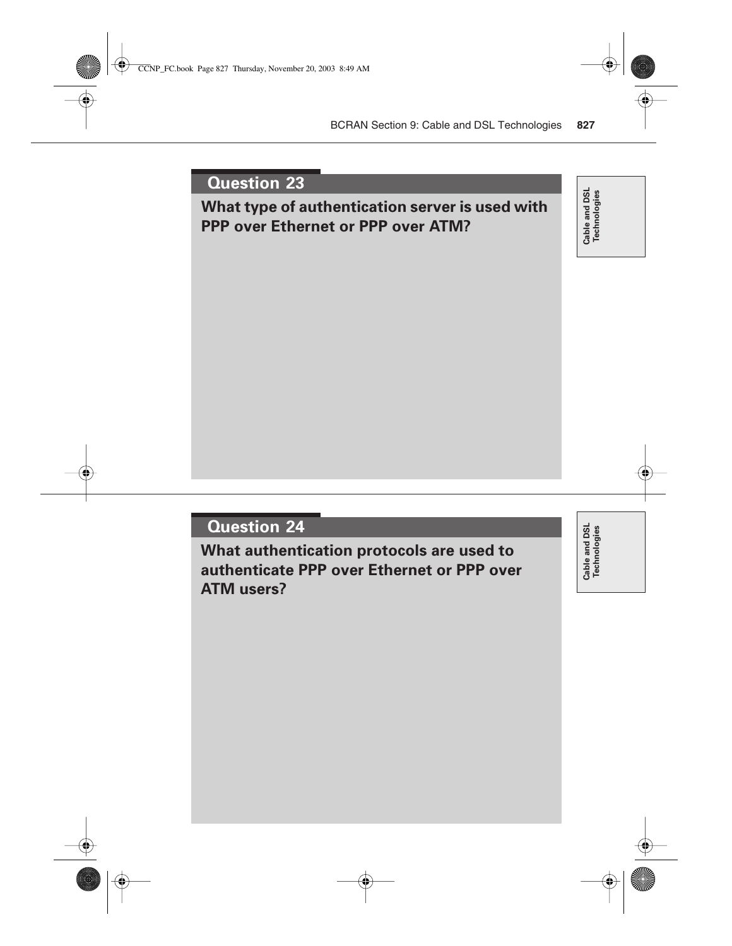## **What type of authentication server is used with PPP over Ethernet or PPP over ATM?**

Cable and DSL<br>Technologies **Cable and DSL Technologies**

## **Question 24**

**What authentication protocols are used to authenticate PPP over Ethernet or PPP over ATM users?**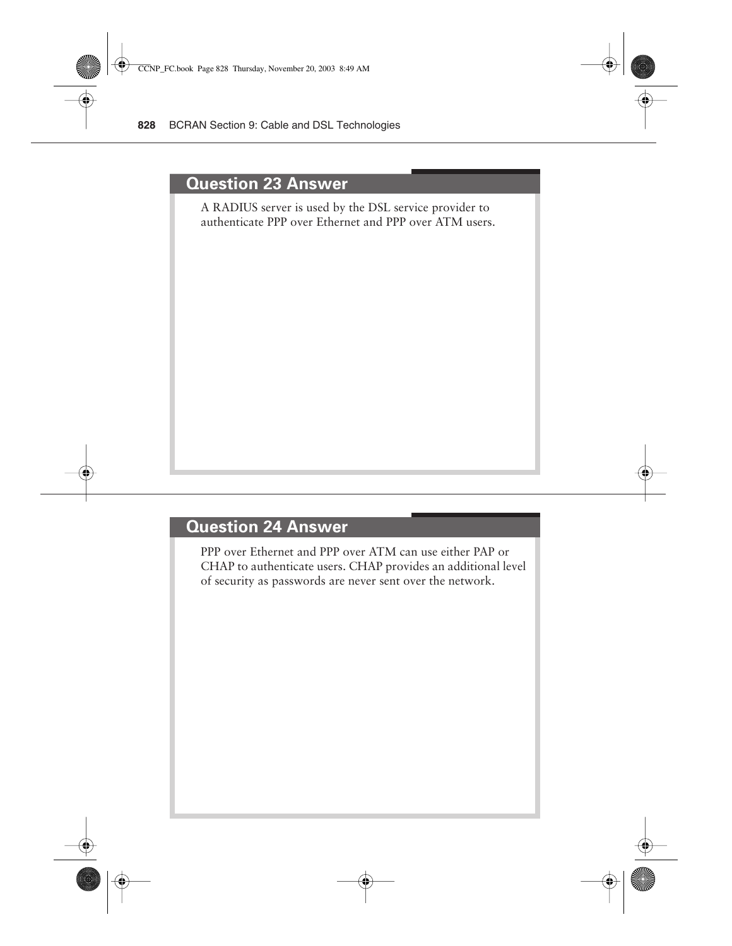#### **Question 23 Answer**

A RADIUS server is used by the DSL service provider to authenticate PPP over Ethernet and PPP over ATM users.

#### **Question 24 Answer**

PPP over Ethernet and PPP over ATM can use either PAP or CHAP to authenticate users. CHAP provides an additional level of security as passwords are never sent over the network.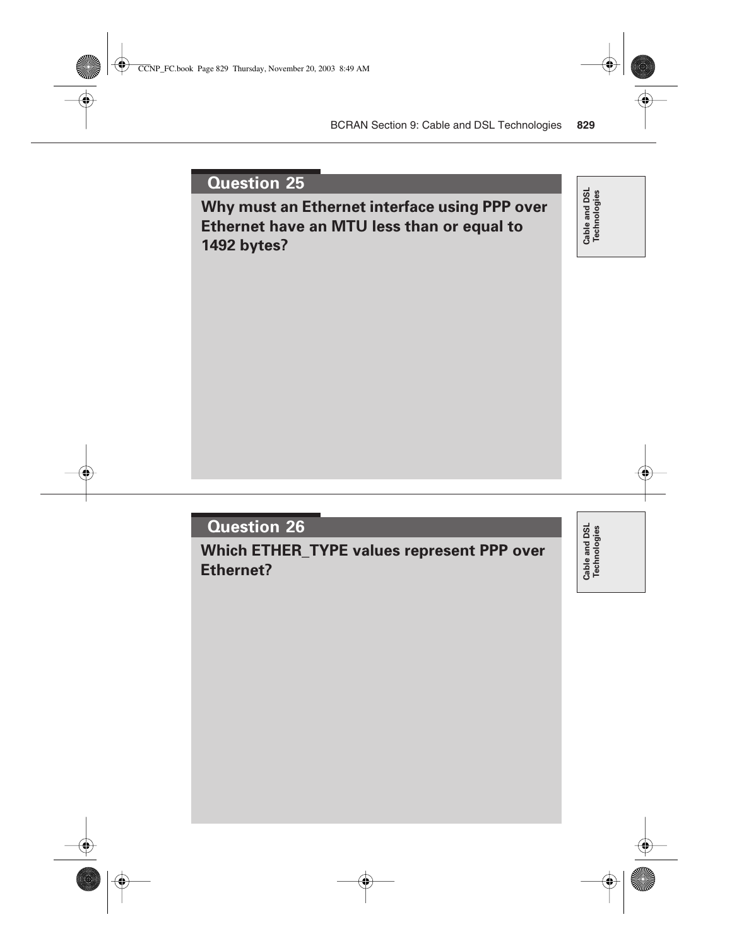**Why must an Ethernet interface using PPP over Ethernet have an MTU less than or equal to 1492 bytes?**

Cable and DSL<br>Technologies **Cable and DSL Technologies**

## **Question 26**

**Which ETHER\_TYPE values represent PPP over Ethernet?**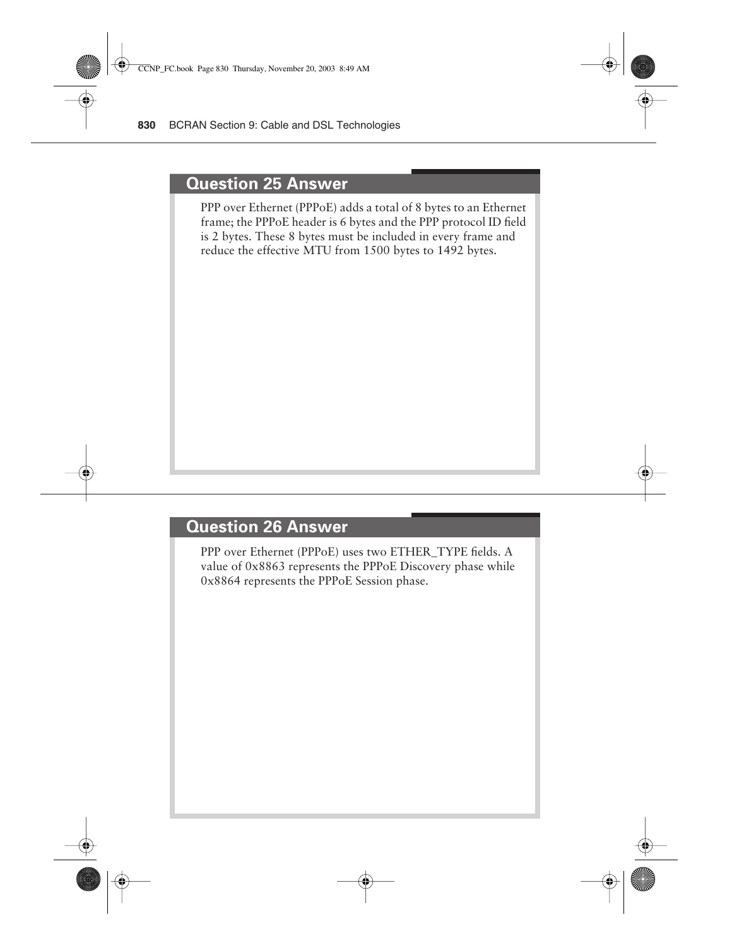#### **Question 25 Answer**

PPP over Ethernet (PPPoE) adds a total of 8 bytes to an Ethernet frame; the PPPoE header is 6 bytes and the PPP protocol ID field is 2 bytes. These 8 bytes must be included in every frame and reduce the effective MTU from 1500 bytes to 1492 bytes.

#### **Question 26 Answer**

PPP over Ethernet (PPPoE) uses two ETHER\_TYPE fields. A value of 0x8863 represents the PPPoE Discovery phase while 0x8864 represents the PPPoE Session phase.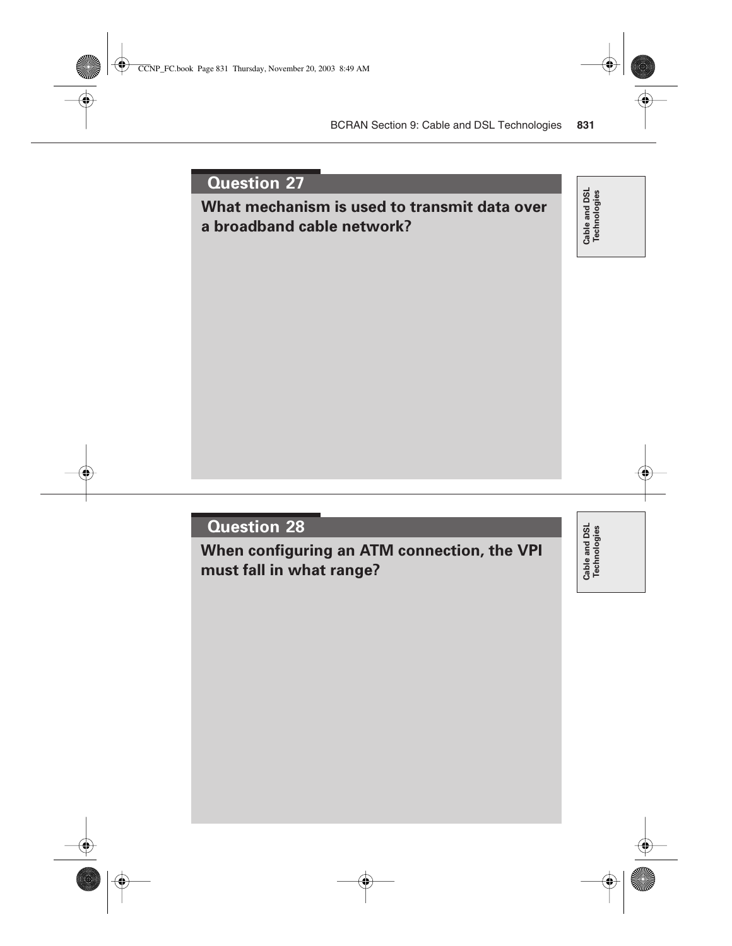**What mechanism is used to transmit data over a broadband cable network?**

Cable and DSL<br>Technologies **Cable and DSL Technologies**

## **Question 28**

**When configuring an ATM connection, the VPI must fall in what range?**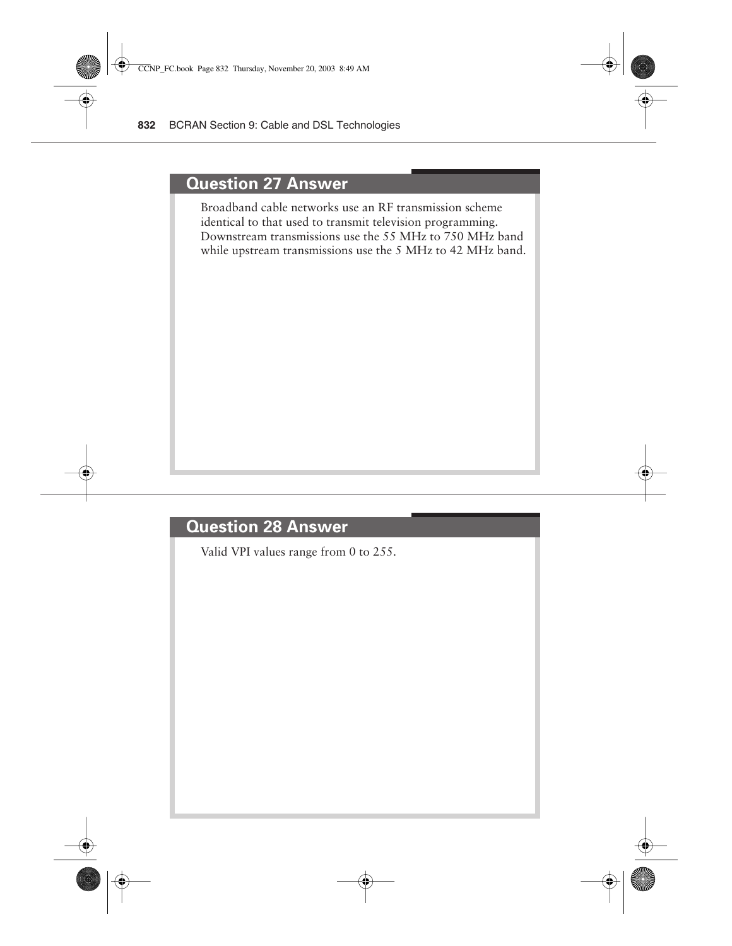#### **Question 27 Answer**

Broadband cable networks use an RF transmission scheme identical to that used to transmit television programming. Downstream transmissions use the 55 MHz to 750 MHz band while upstream transmissions use the 5 MHz to 42 MHz band.

## **Question 28 Answer**

Valid VPI values range from 0 to 255.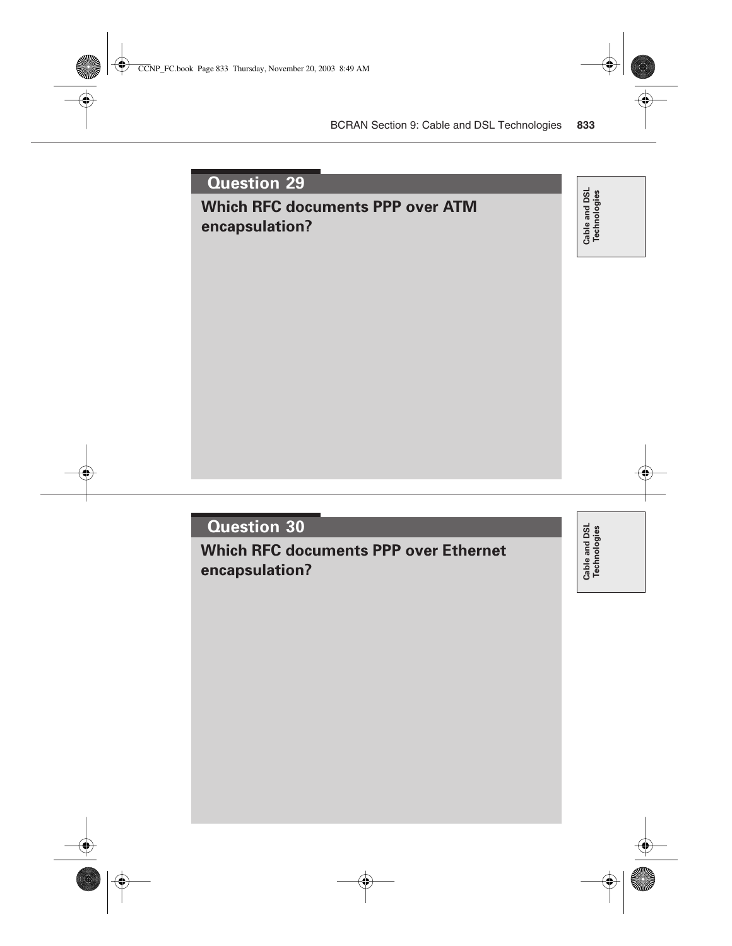## **Which RFC documents PPP over ATM encapsulation?**

Cable and DSL<br>Technologies **Cable and DSL Technologies**

## **Question 30**

**Which RFC documents PPP over Ethernet encapsulation?**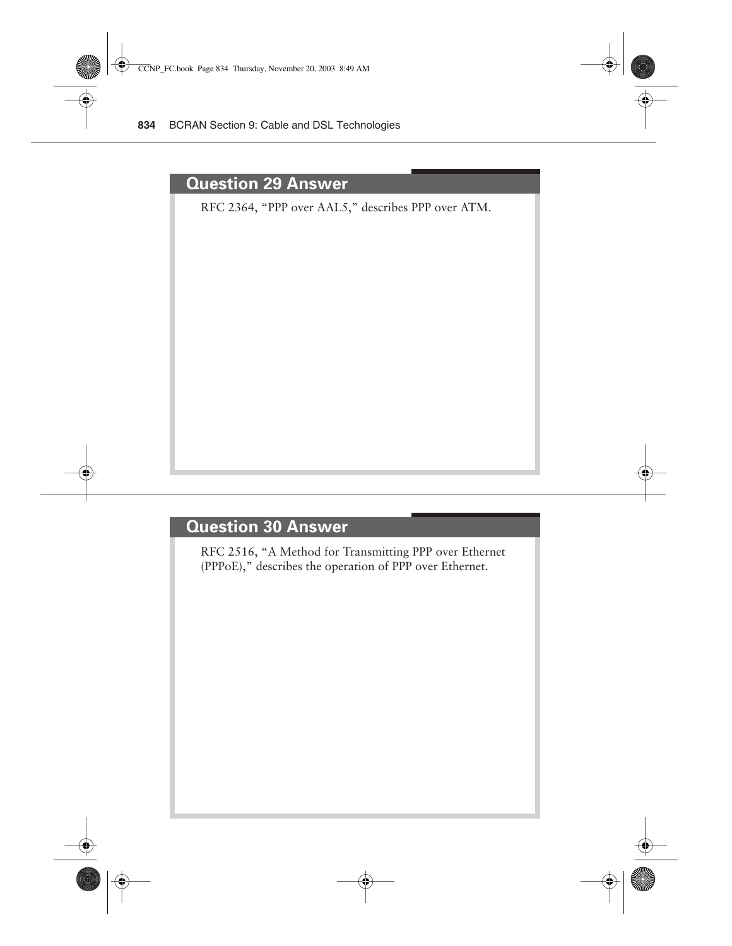#### **Question 29 Answer**

RFC 2364, "PPP over AAL5," describes PPP over ATM.

#### **Question 30 Answer**

RFC 2516, "A Method for Transmitting PPP over Ethernet (PPPoE)," describes the operation of PPP over Ethernet.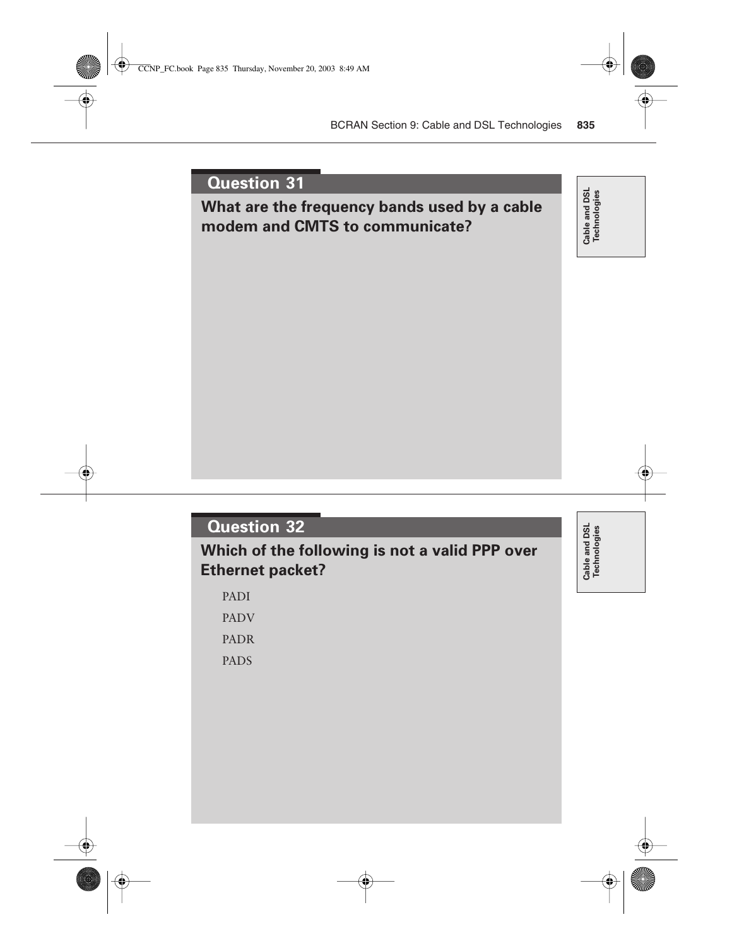## **What are the frequency bands used by a cable modem and CMTS to communicate?**

Cable and DSL<br>Technologies **Cable and DSL Technologies**

## **Question 32**

**Which of the following is not a valid PPP over Ethernet packet?**

PADI

PADV

PADR

PADS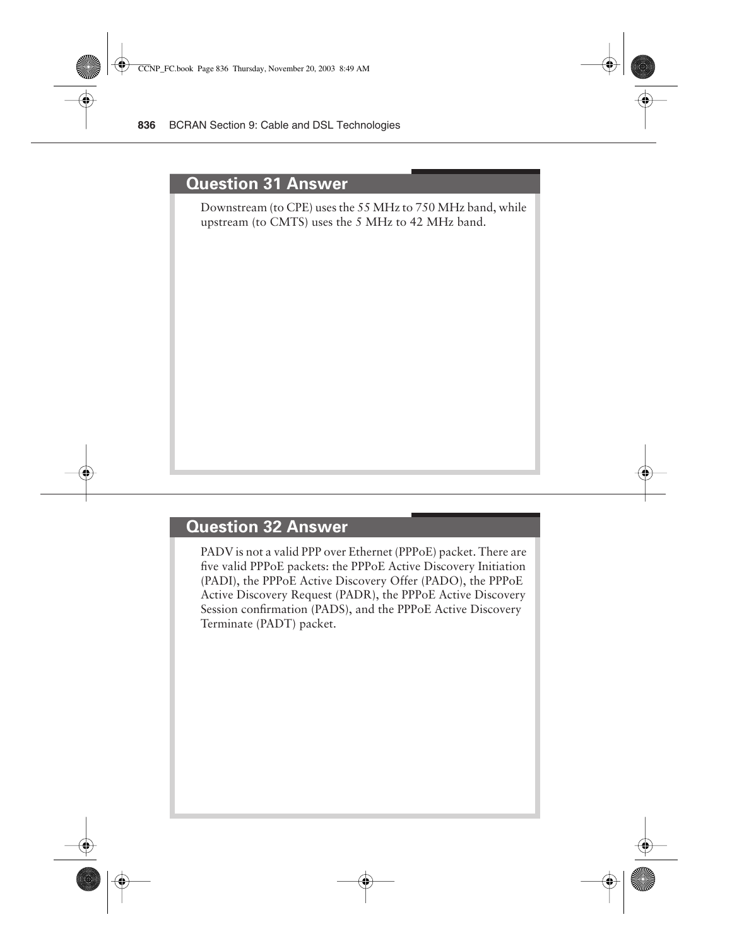#### **Question 31 Answer**

Downstream (to CPE) uses the 55 MHz to 750 MHz band, while upstream (to CMTS) uses the 5 MHz to 42 MHz band.

#### **Question 32 Answer**

PADV is not a valid PPP over Ethernet (PPPoE) packet. There are five valid PPPoE packets: the PPPoE Active Discovery Initiation (PADI), the PPPoE Active Discovery Offer (PADO), the PPPoE Active Discovery Request (PADR), the PPPoE Active Discovery Session confirmation (PADS), and the PPPoE Active Discovery Terminate (PADT) packet.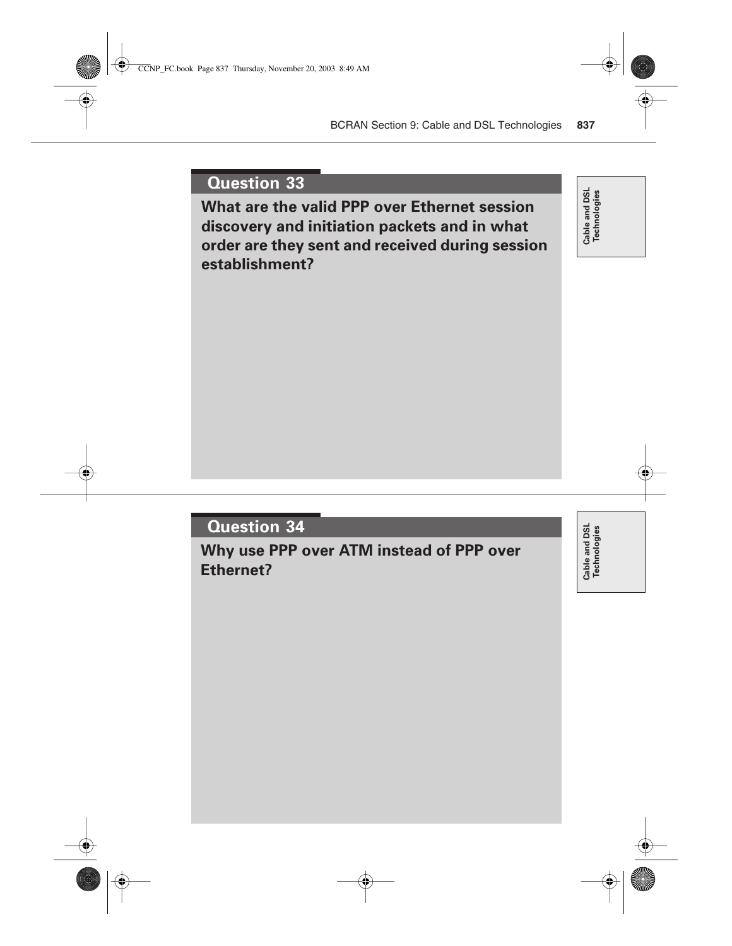**What are the valid PPP over Ethernet session discovery and initiation packets and in what order are they sent and received during session establishment?**

Cable and DSL<br>Technologies **Cable and DSL Technologies**

## **Question 34**

**Why use PPP over ATM instead of PPP over Ethernet?**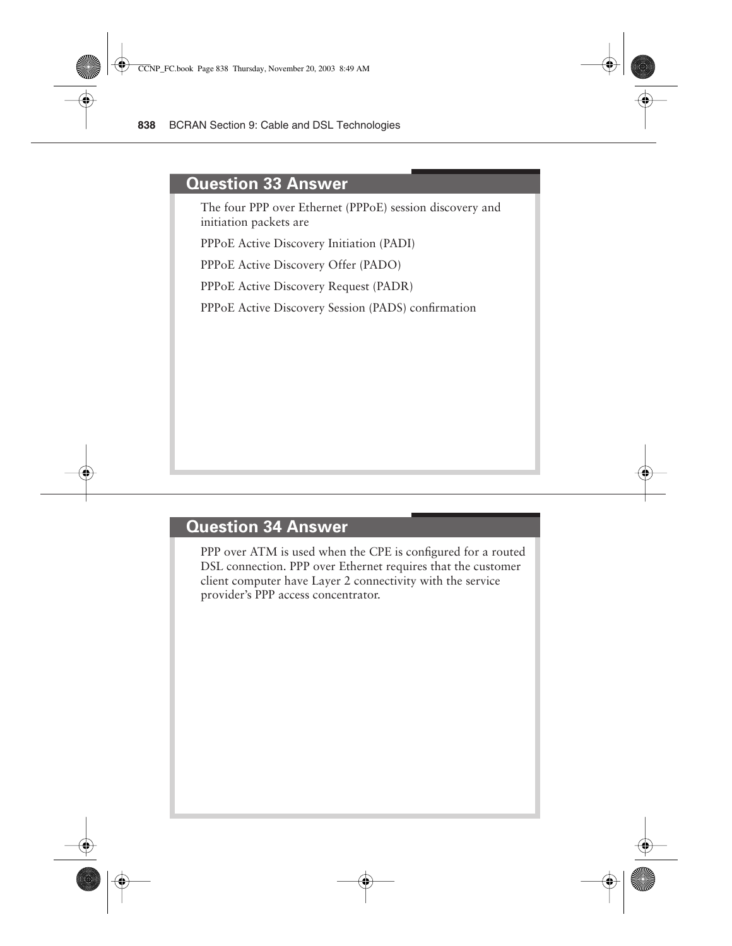#### **Question 33 Answer**

The four PPP over Ethernet (PPPoE) session discovery and initiation packets are

PPPoE Active Discovery Initiation (PADI)

PPPoE Active Discovery Offer (PADO)

PPPoE Active Discovery Request (PADR)

PPPoE Active Discovery Session (PADS) confirmation

#### **Question 34 Answer**

PPP over ATM is used when the CPE is configured for a routed DSL connection. PPP over Ethernet requires that the customer client computer have Layer 2 connectivity with the service provider's PPP access concentrator.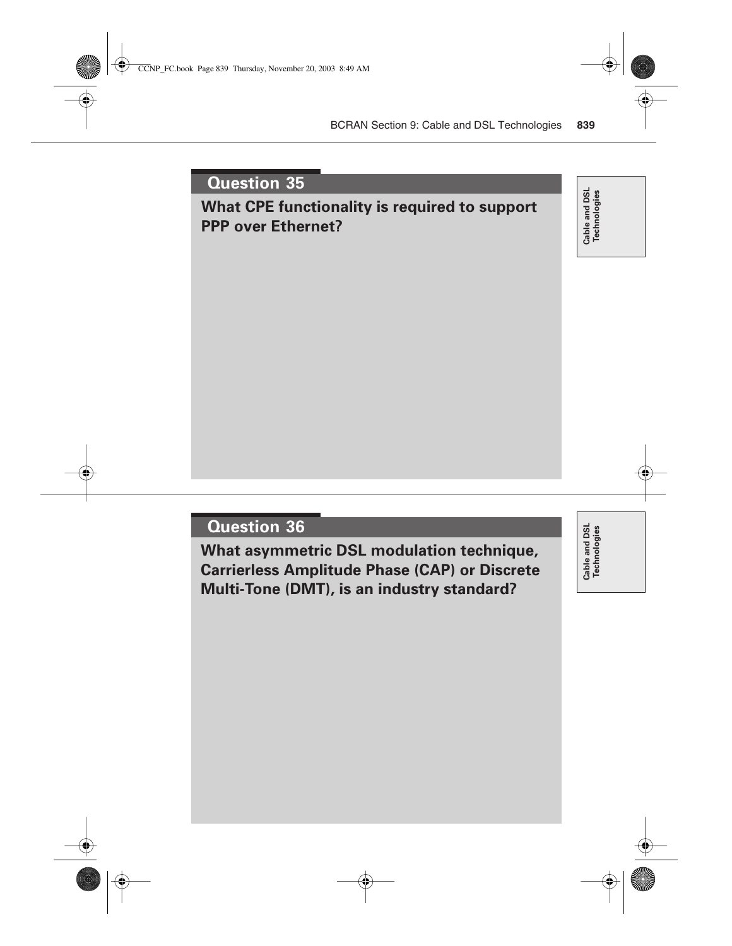## **What CPE functionality is required to support PPP over Ethernet?**

Cable and DSL<br>Technologies **Cable and DSL Technologies**

#### **Question 36**

**What asymmetric DSL modulation technique, Carrierless Amplitude Phase (CAP) or Discrete Multi-Tone (DMT), is an industry standard?**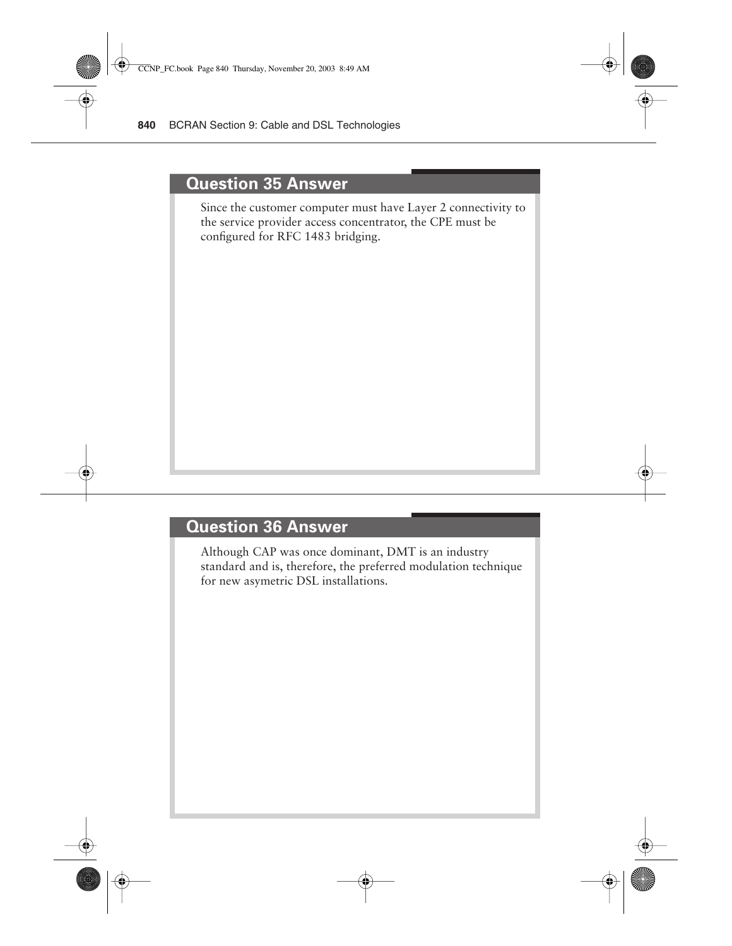#### **Question 35 Answer**

Since the customer computer must have Layer 2 connectivity to the service provider access concentrator, the CPE must be configured for RFC 1483 bridging.

# **Question 36 Answer**

Although CAP was once dominant, DMT is an industry standard and is, therefore, the preferred modulation technique for new asymetric DSL installations.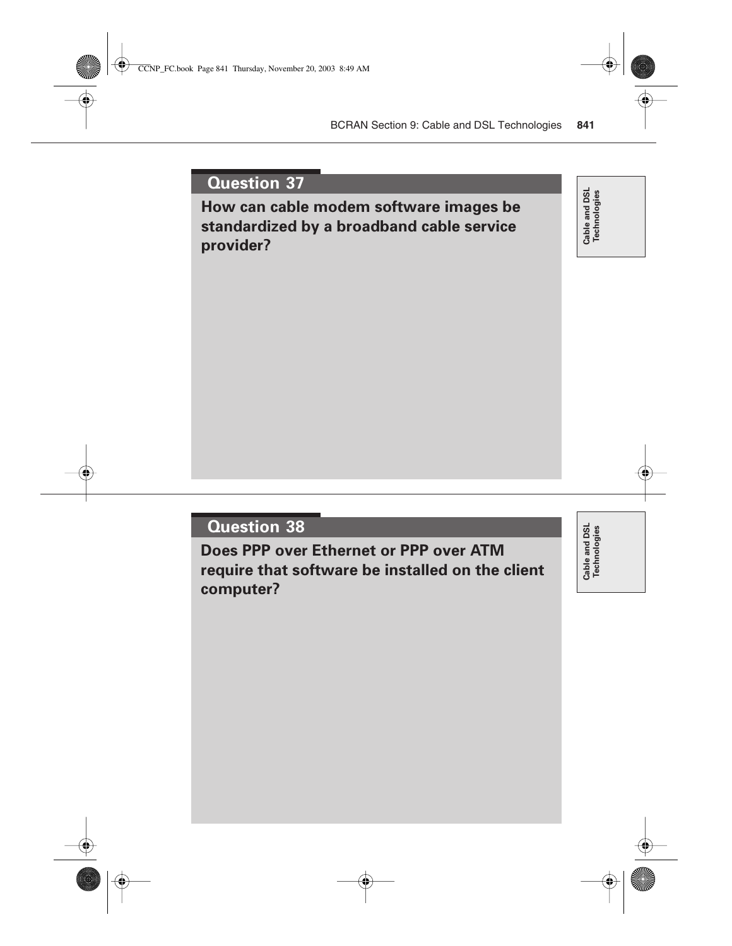**How can cable modem software images be standardized by a broadband cable service provider?**

Cable and DSL<br>Technologies **Cable and DSL Technologies**

#### **Question 38**

**Does PPP over Ethernet or PPP over ATM require that software be installed on the client computer?**

Cable and DSL<br>Technologies **Cable and DSL Technologies**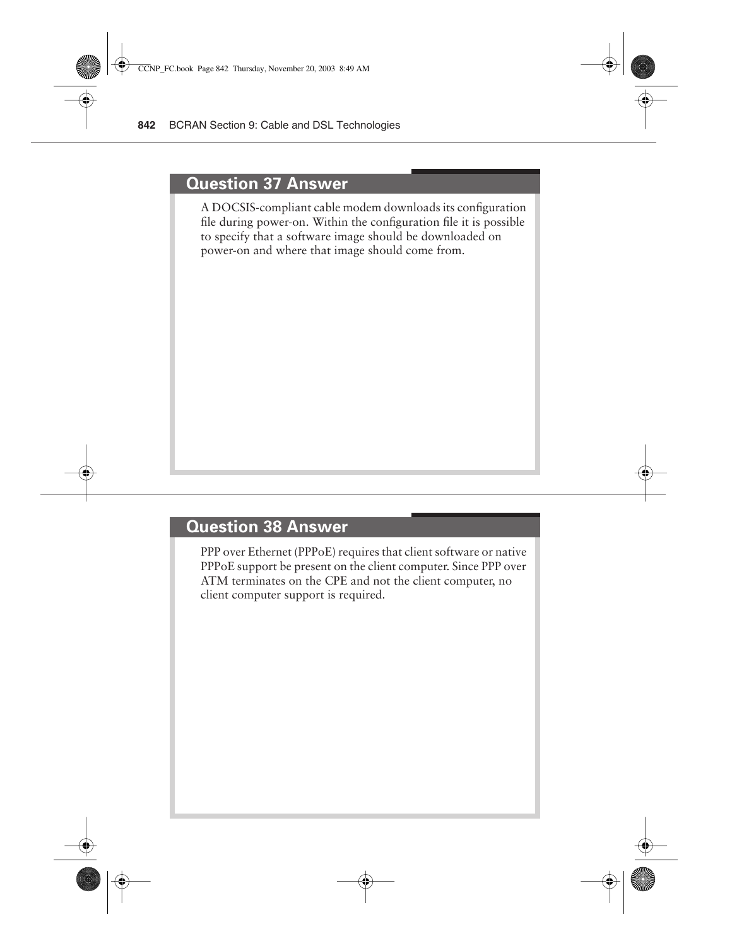#### **Question 37 Answer**

A DOCSIS-compliant cable modem downloads its configuration file during power-on. Within the configuration file it is possible to specify that a software image should be downloaded on power-on and where that image should come from.

#### **Question 38 Answer**

PPP over Ethernet (PPPoE) requires that client software or native PPPoE support be present on the client computer. Since PPP over ATM terminates on the CPE and not the client computer, no client computer support is required.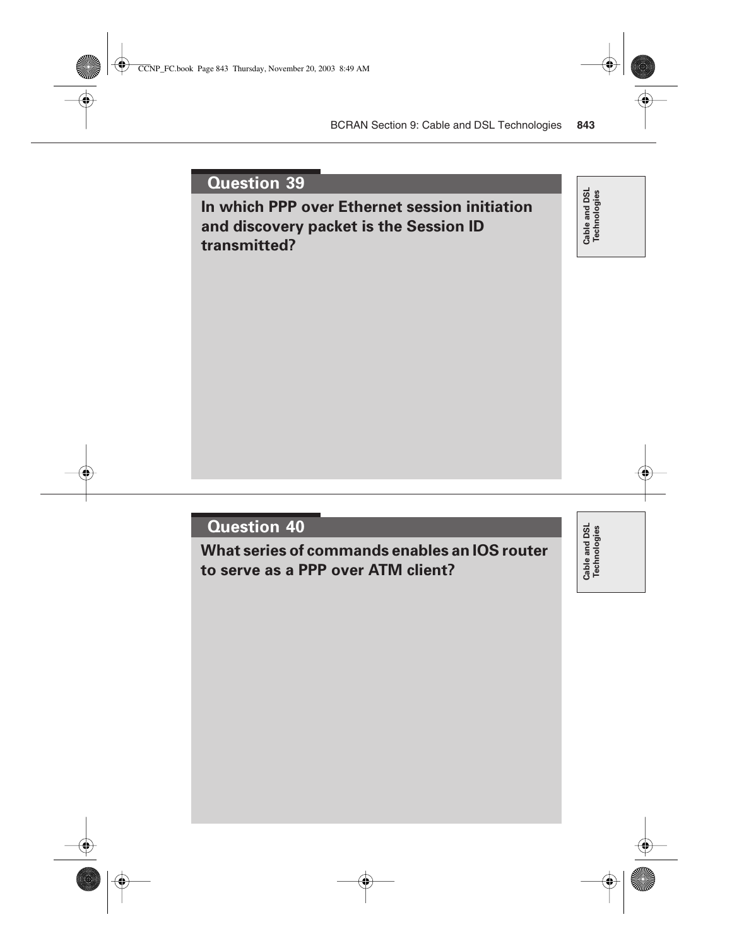**In which PPP over Ethernet session initiation and discovery packet is the Session ID transmitted?**

Cable and DSL<br>Technologies **Cable and DSL Technologies**

# **Question 40**

**What series of commands enables an IOS router to serve as a PPP over ATM client?**

Cable and DSL<br>Technologies **Cable and DSL Technologies**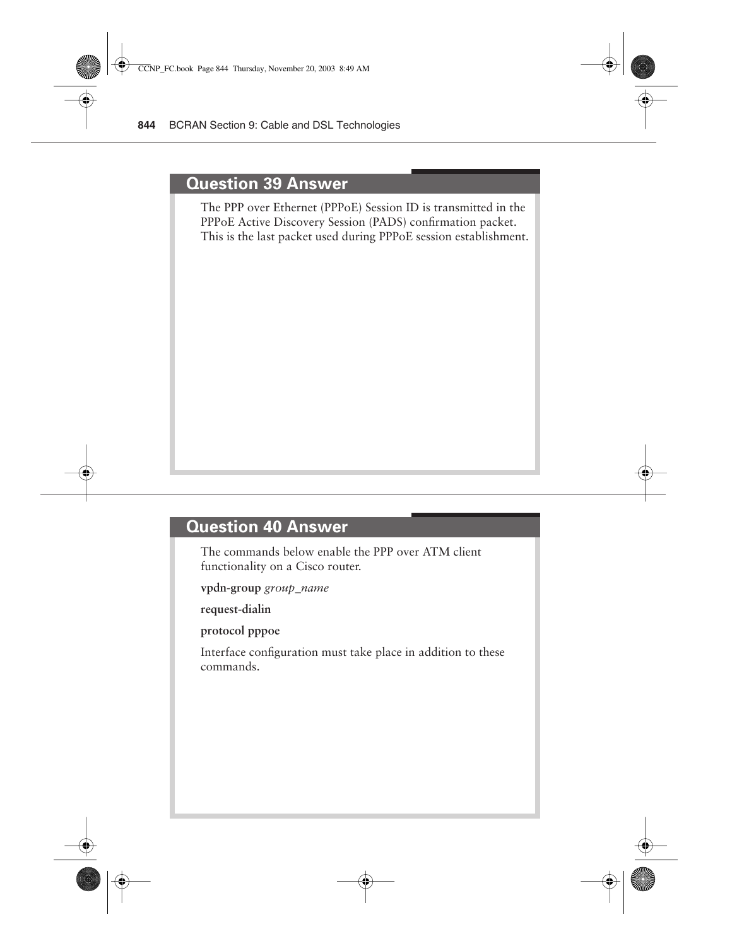#### **Question 39 Answer**

The PPP over Ethernet (PPPoE) Session ID is transmitted in the PPPoE Active Discovery Session (PADS) confirmation packet. This is the last packet used during PPPoE session establishment.

# **Question 40 Answer**

The commands below enable the PPP over ATM client functionality on a Cisco router.

**vpdn-group** *group\_name*

**request-dialin**

**protocol pppoe**

Interface configuration must take place in addition to these commands.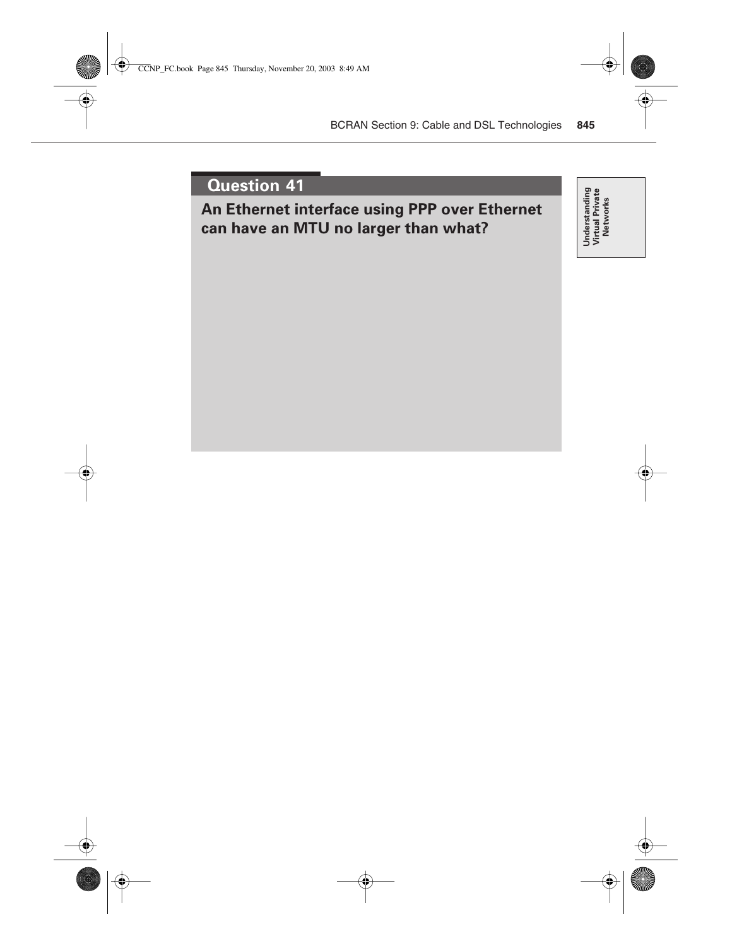**An Ethernet interface using PPP over Ethernet can have an MTU no larger than what?**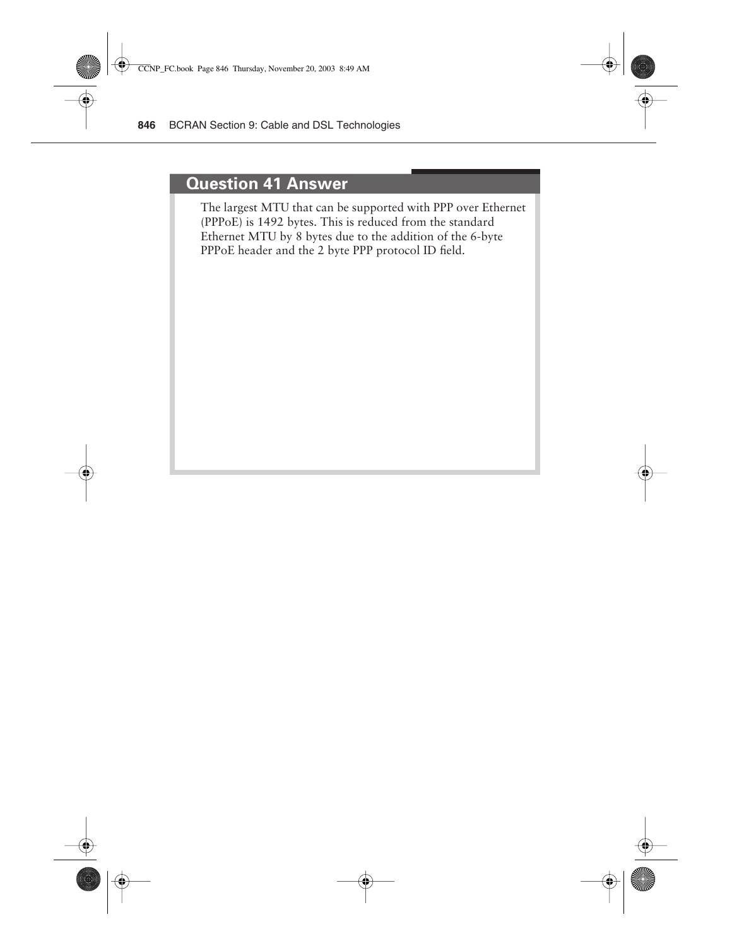#### **Question 41 Answer**

The largest MTU that can be supported with PPP over Ethernet (PPPoE) is 1492 bytes. This is reduced from the standard Ethernet MTU by 8 bytes due to the addition of the 6-byte PPPoE header and the 2 byte PPP protocol ID field.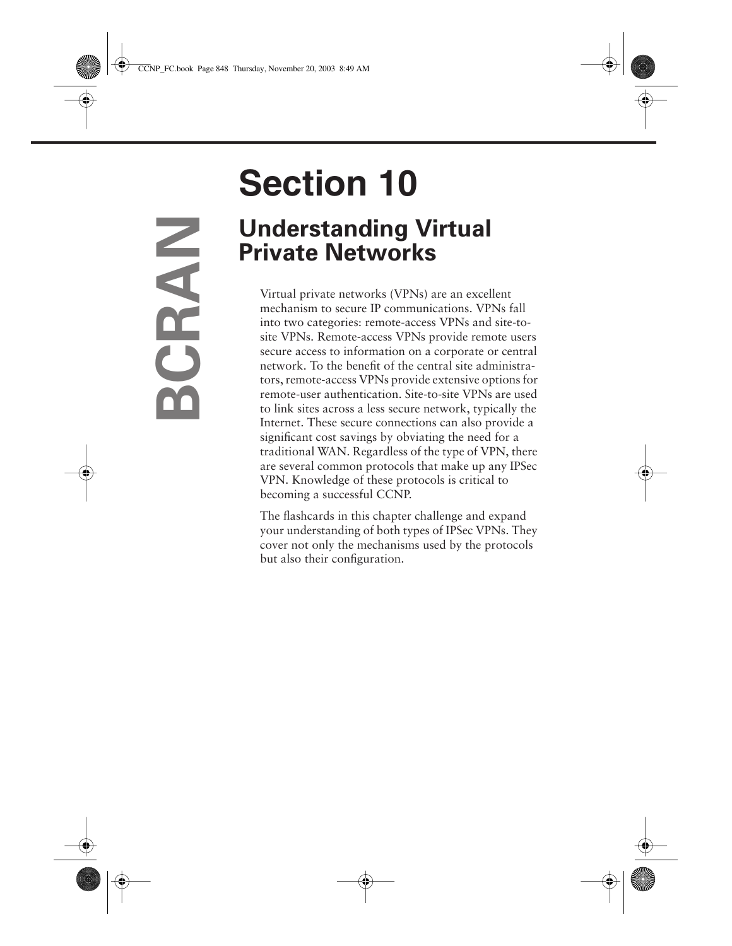# **Section 10 Understanding Virtual Private Networks**

Virtual private networks (VPNs) are an excellent mechanism to secure IP communications. VPNs fall into two categories: remote-access VPNs and site-tosite VPNs. Remote-access VPNs provide remote users secure access to information on a corporate or central network. To the benefit of the central site administrators, remote-access VPNs provide extensive options for remote-user authentication. Site-to-site VPNs are used to link sites across a less secure network, typically the Internet. These secure connections can also provide a significant cost savings by obviating the need for a traditional WAN. Regardless of the type of VPN, there are several common protocols that make up any IPSec VPN. Knowledge of these protocols is critical to becoming a successful CCNP.

The flashcards in this chapter challenge and expand your understanding of both types of IPSec VPNs. They cover not only the mechanisms used by the protocols but also their configuration.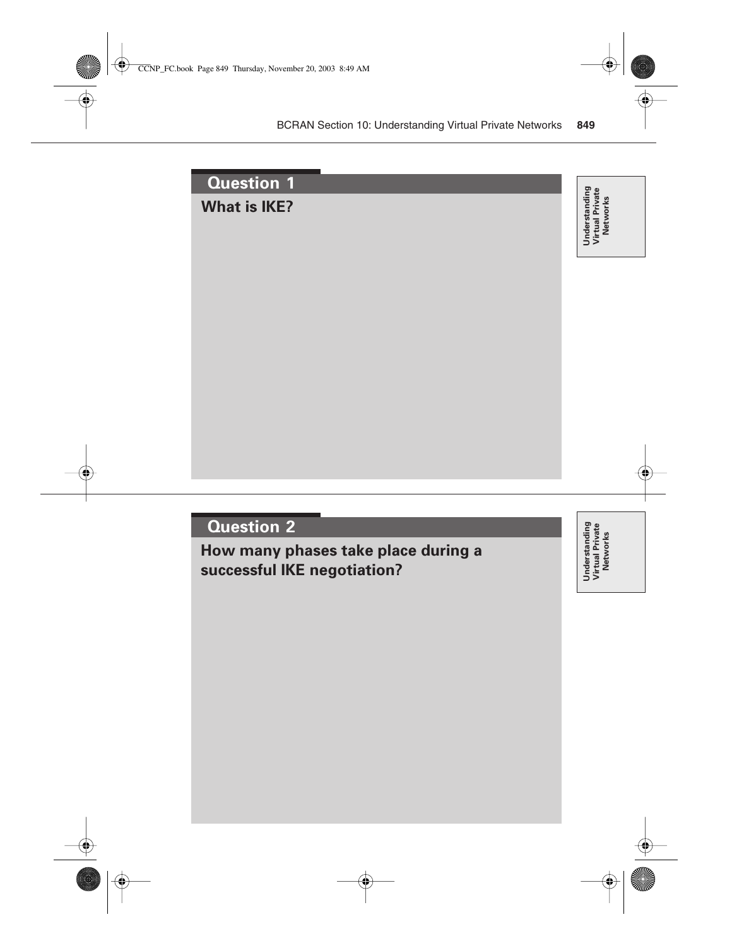| Question <sub>1</sub> |                                              |
|-----------------------|----------------------------------------------|
| <b>What is IKE?</b>   | Understanding<br>Virtual Private<br>Networks |
|                       |                                              |
|                       |                                              |
|                       |                                              |
|                       |                                              |
|                       |                                              |
|                       |                                              |
|                       |                                              |
|                       |                                              |

**How many phases take place during a successful IKE negotiation?**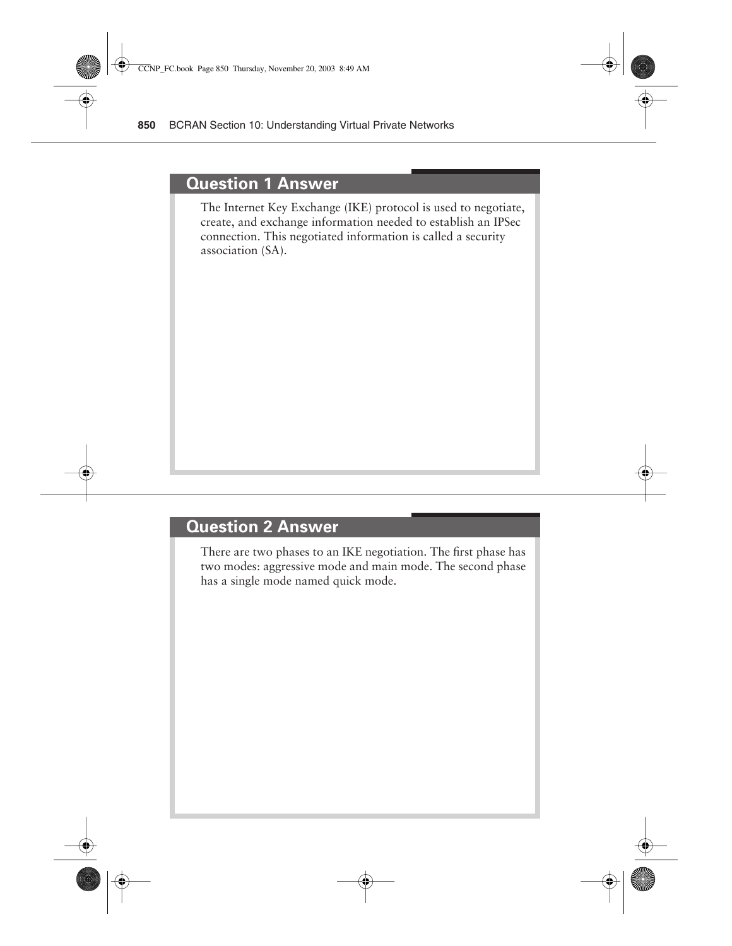#### **Question 1 Answer**

The Internet Key Exchange (IKE) protocol is used to negotiate, create, and exchange information needed to establish an IPSec connection. This negotiated information is called a security association (SA).

#### **Question 2 Answer**

There are two phases to an IKE negotiation. The first phase has two modes: aggressive mode and main mode. The second phase has a single mode named quick mode.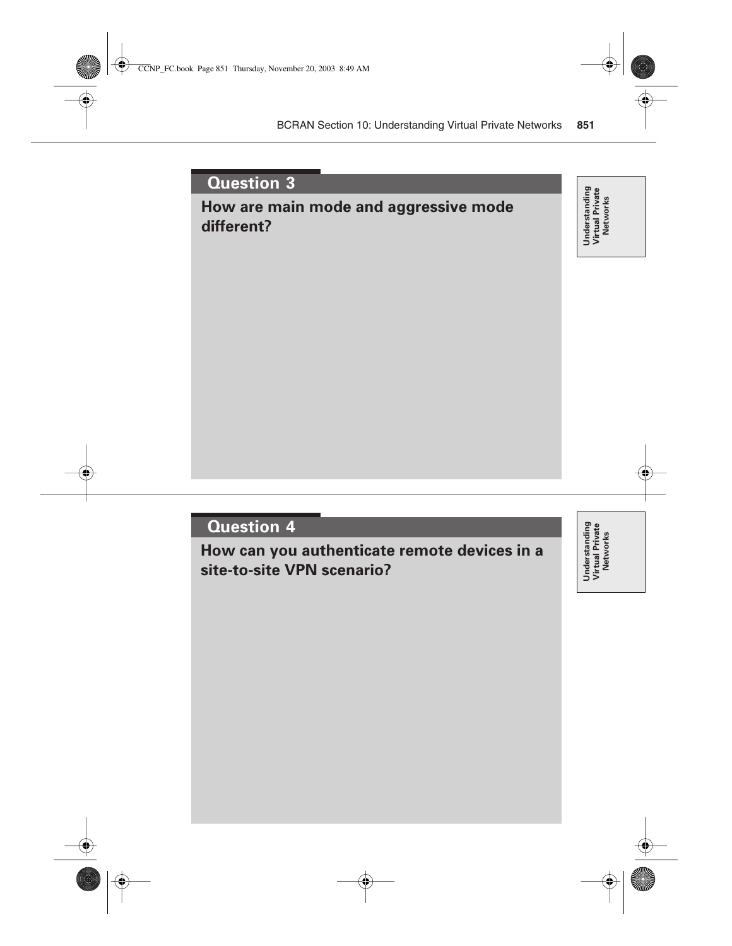# **How are main mode and aggressive mode different?**

Understanding<br>Virtual Private<br>Networks **Understanding Virtual Private Networks**

# **Question 4**

**How can you authenticate remote devices in a site-to-site VPN scenario?**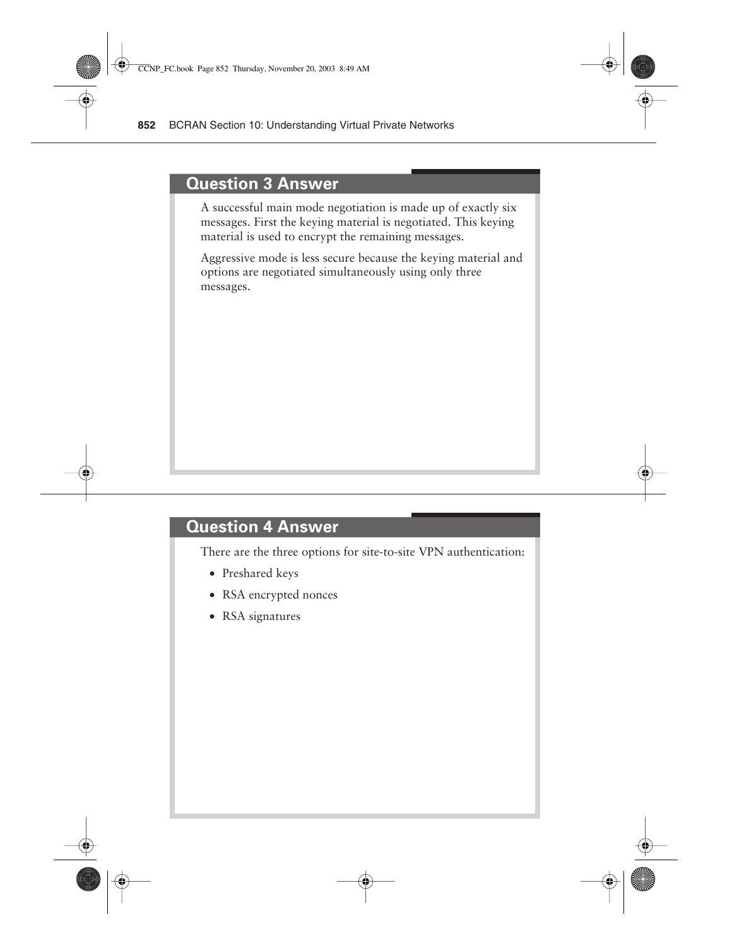#### **Question 3 Answer**

A successful main mode negotiation is made up of exactly six messages. First the keying material is negotiated. This keying material is used to encrypt the remaining messages.

Aggressive mode is less secure because the keying material and options are negotiated simultaneously using only three messages.

#### **Question 4 Answer**

There are the three options for site-to-site VPN authentication:

- Preshared keys
- RSA encrypted nonces
- RSA signatures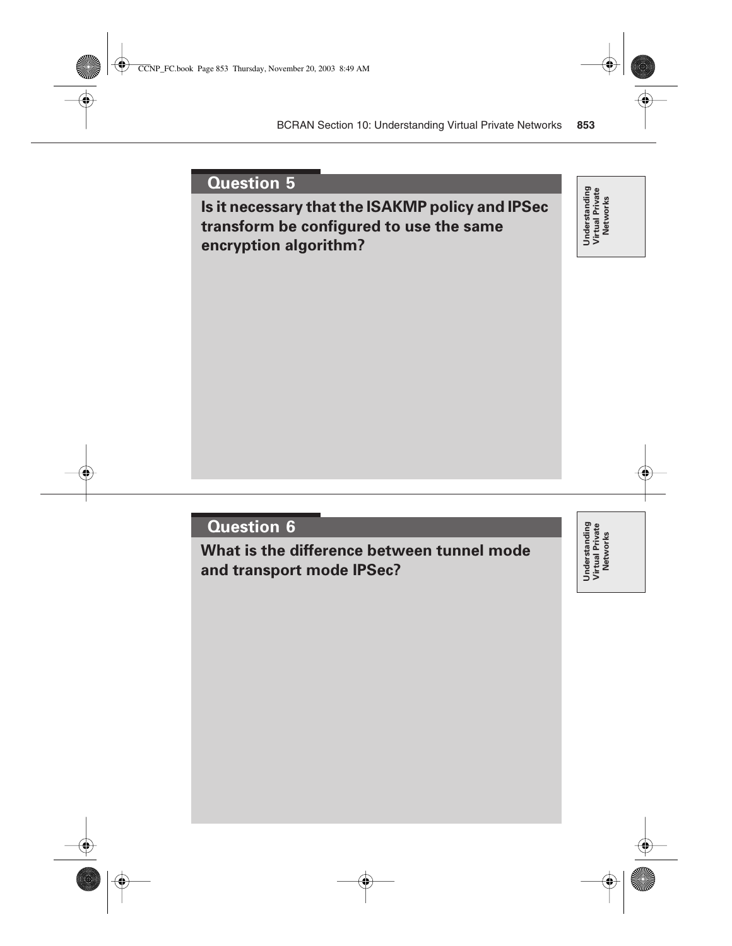**Is it necessary that the ISAKMP policy and IPSec transform be configured to use the same encryption algorithm?**

Understanding<br>Virtual Private<br>Networks **Understanding Virtual Private Networks**

# **Question 6**

**What is the difference between tunnel mode and transport mode IPSec?**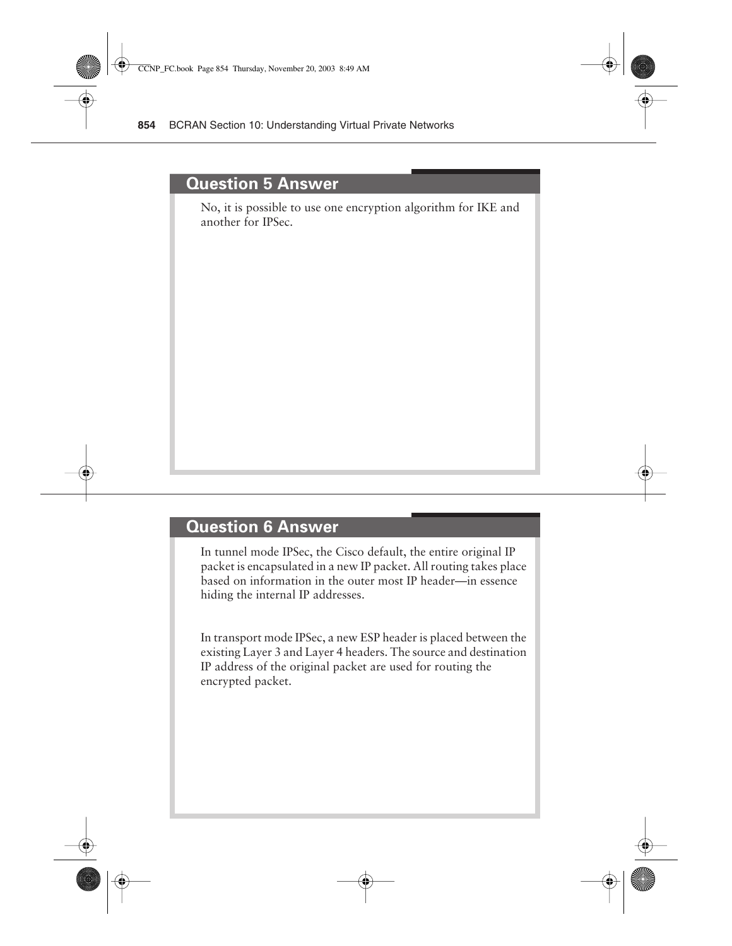#### **Question 5 Answer**

No, it is possible to use one encryption algorithm for IKE and another for IPSec.

#### **Question 6 Answer**

In tunnel mode IPSec, the Cisco default, the entire original IP packet is encapsulated in a new IP packet. All routing takes place based on information in the outer most IP header—in essence hiding the internal IP addresses.

In transport mode IPSec, a new ESP header is placed between the existing Layer 3 and Layer 4 headers. The source and destination IP address of the original packet are used for routing the encrypted packet.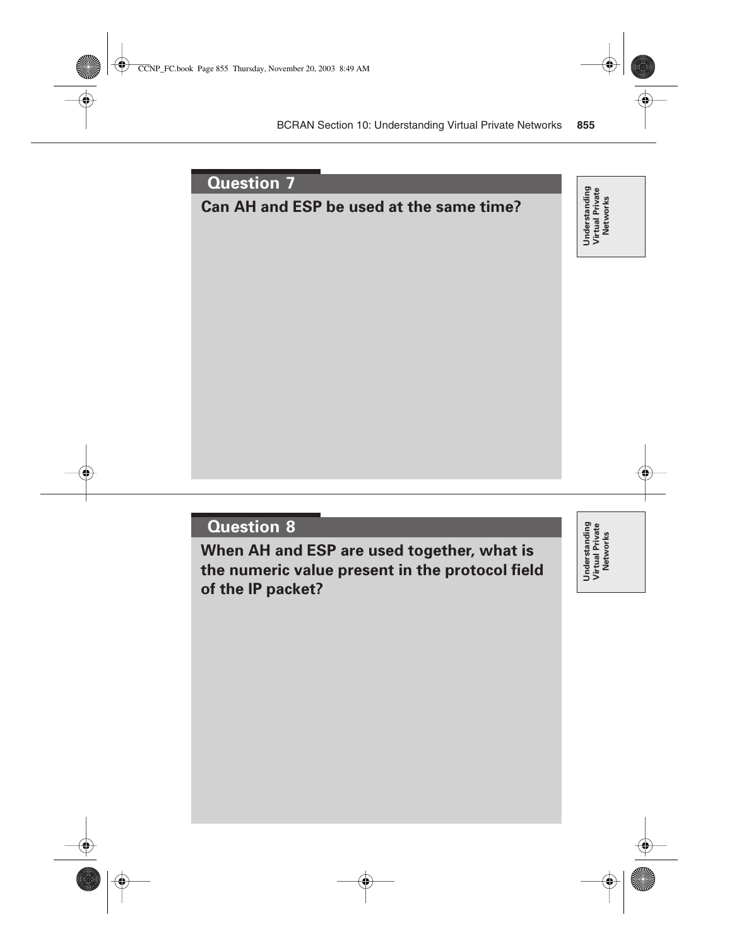

**When AH and ESP are used together, what is the numeric value present in the protocol field of the IP packet?**

Understanding<br>Virtual Private<br>Networks **Understanding Virtual Private Networks**

**Understanding Virtual Private Networks**

Understanding<br>Virtual Private<br>Networks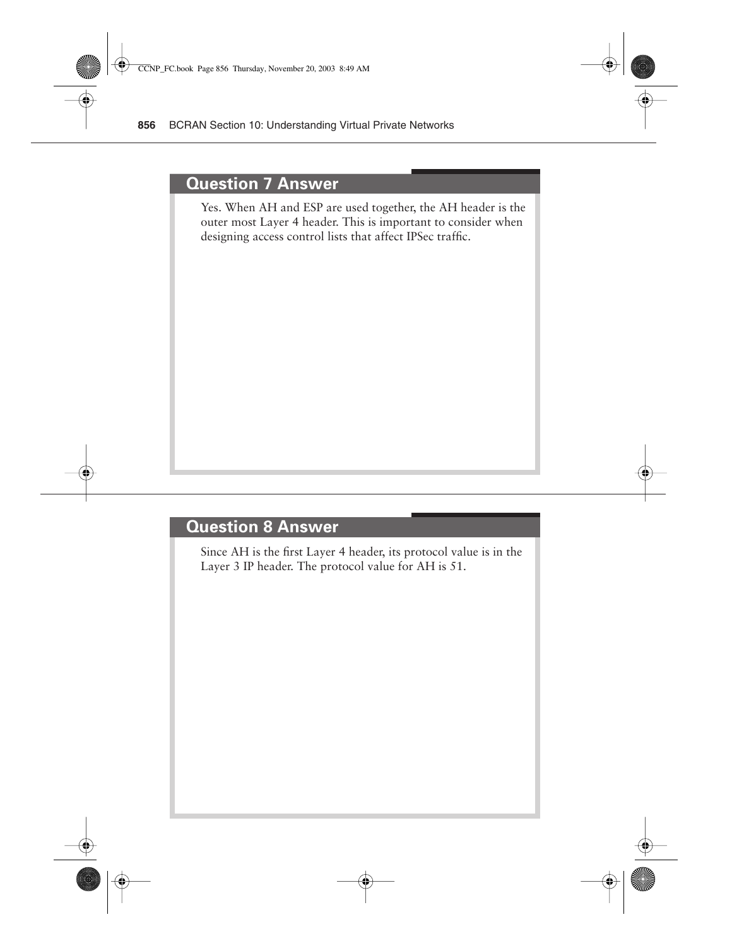#### **Question 7 Answer**

Yes. When AH and ESP are used together, the AH header is the outer most Layer 4 header. This is important to consider when designing access control lists that affect IPSec traffic.

#### **Question 8 Answer**

Since AH is the first Layer 4 header, its protocol value is in the Layer 3 IP header. The protocol value for AH is 51.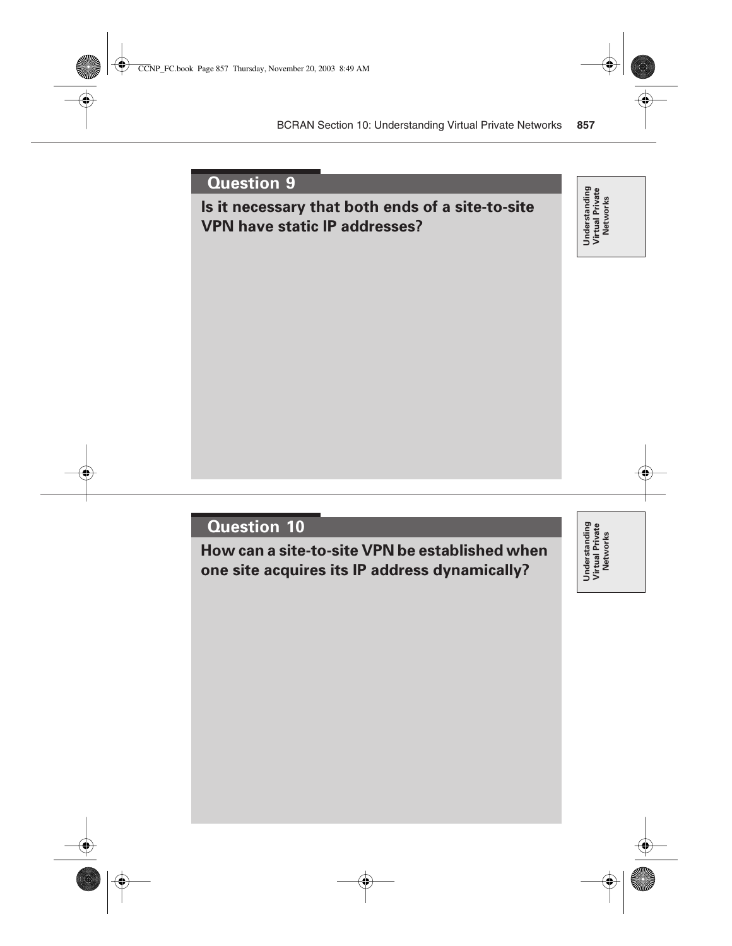# **Is it necessary that both ends of a site-to-site VPN have static IP addresses?**

Understanding<br>Virtual Private<br>Networks **Understanding Virtual Private Networks**

# **Question 10**

**How can a site-to-site VPN be established when one site acquires its IP address dynamically?**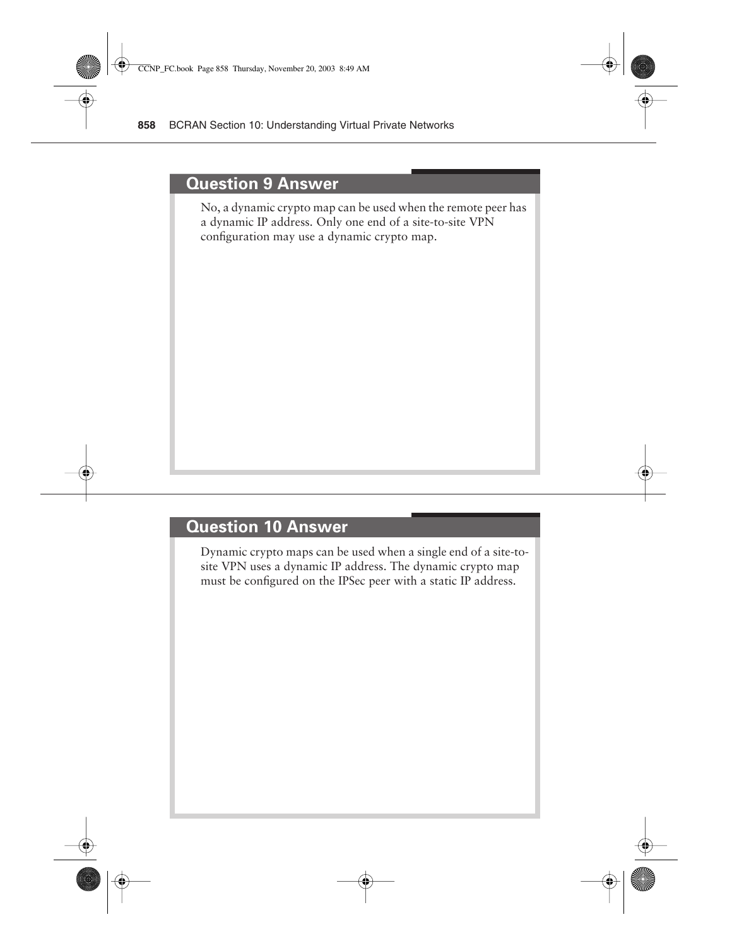#### **Question 9 Answer**

No, a dynamic crypto map can be used when the remote peer has a dynamic IP address. Only one end of a site-to-site VPN configuration may use a dynamic crypto map.

#### **Question 10 Answer**

Dynamic crypto maps can be used when a single end of a site-tosite VPN uses a dynamic IP address. The dynamic crypto map must be configured on the IPSec peer with a static IP address.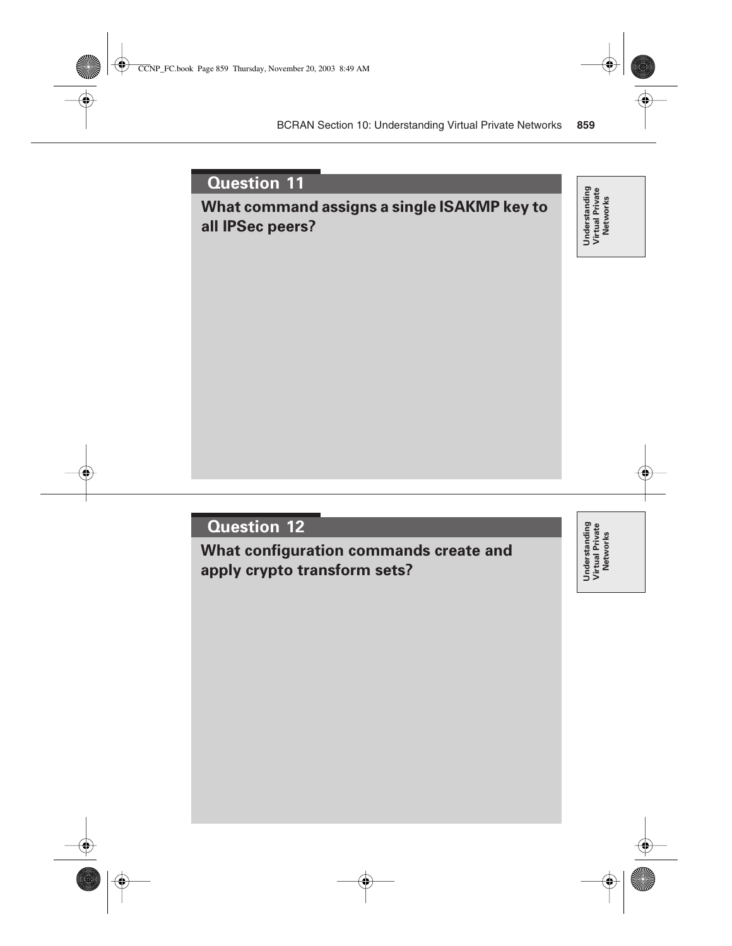# **What command assigns a single ISAKMP key to all IPSec peers?**

Understanding<br>Virtual Private<br>Networks **Understanding Virtual Private Networks**

# **Question 12**

**What configuration commands create and apply crypto transform sets?**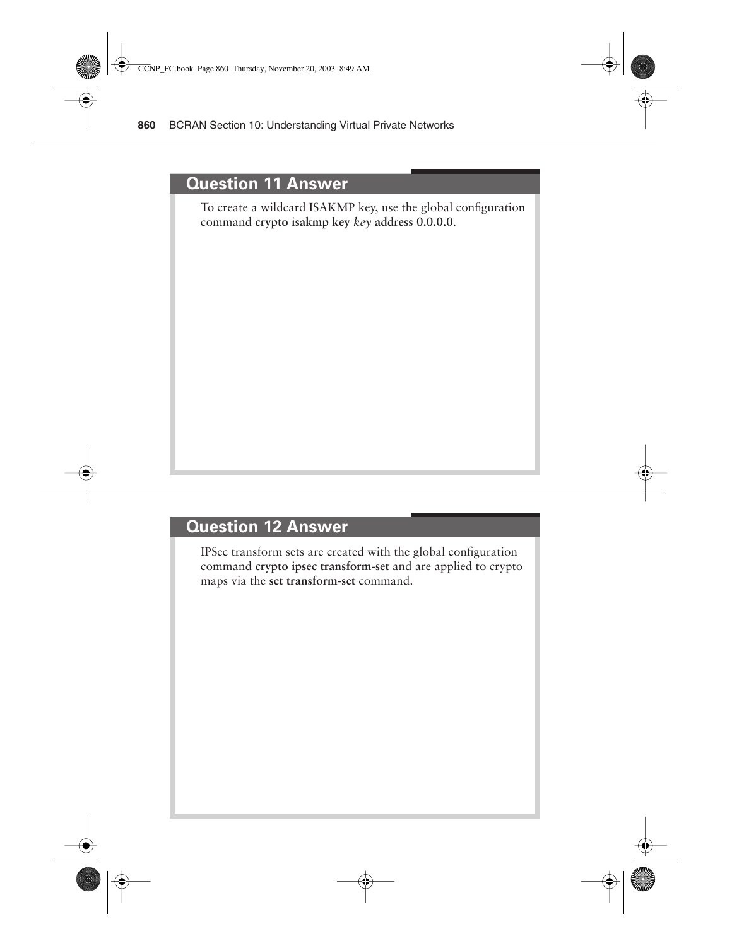#### **Question 11 Answer**

To create a wildcard ISAKMP key, use the global configuration command **crypto isakmp key** *key* **address 0.0.0.0**.

#### **Question 12 Answer**

IPSec transform sets are created with the global configuration command **crypto ipsec transform-set** and are applied to crypto maps via the **set transform-set** command.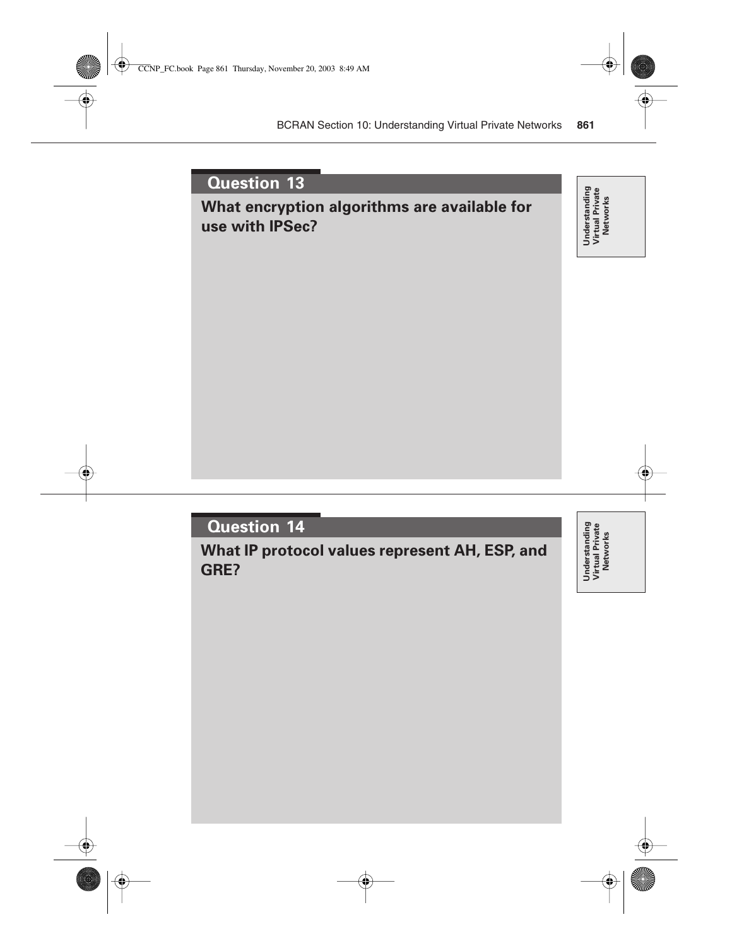# **What encryption algorithms are available for use with IPSec?**

Understanding<br>Virtual Private<br>Networks **Understanding Virtual Private Networks**

# **Question 14**

**What IP protocol values represent AH, ESP, and GRE?**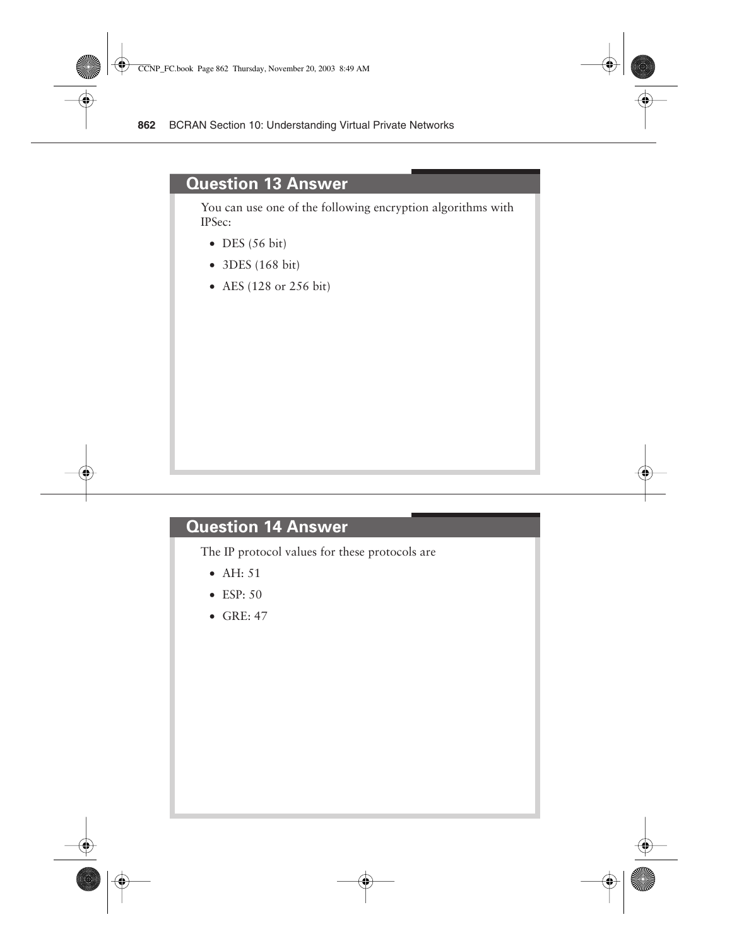#### **Question 13 Answer**

You can use one of the following encryption algorithms with IPSec:

- $\bullet$  DES (56 bit)
- 3DES (168 bit)
- AES (128 or 256 bit)

#### **Question 14 Answer**

The IP protocol values for these protocols are

- AH: 51
- ESP: 50
- $\bullet$  GRE: 47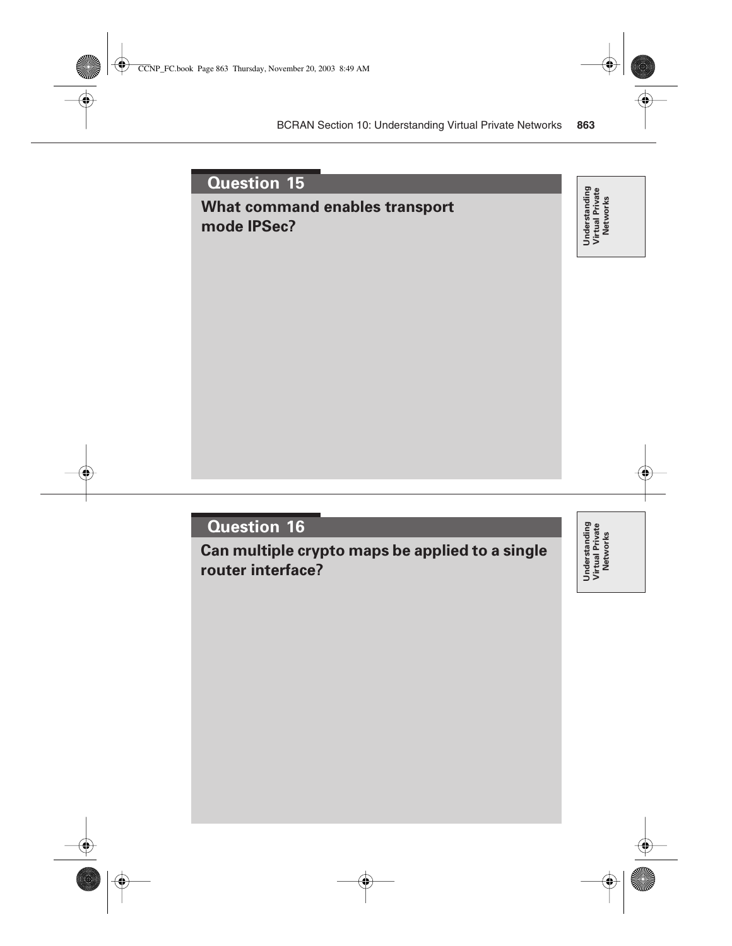# **What command enables transport mode IPSec?**

Understanding<br>Virtual Private<br>Networks **Understanding Virtual Private Networks**

# **Question 16**

**Can multiple crypto maps be applied to a single router interface?**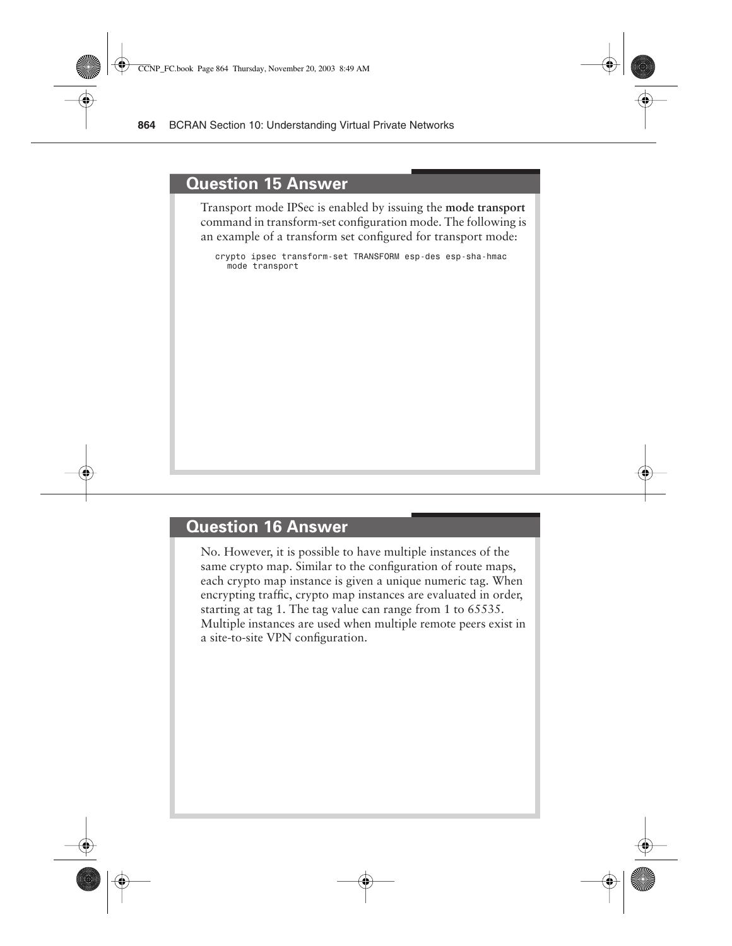#### **Question 15 Answer**

Transport mode IPSec is enabled by issuing the **mode transport** command in transform-set configuration mode. The following is an example of a transform set configured for transport mode:

*crypto ipsec transform-set TRANSFORM esp-des esp-sha-hmac mode transport*

#### **Question 16 Answer**

No. However, it is possible to have multiple instances of the same crypto map. Similar to the configuration of route maps, each crypto map instance is given a unique numeric tag. When encrypting traffic, crypto map instances are evaluated in order, starting at tag 1. The tag value can range from 1 to 65535. Multiple instances are used when multiple remote peers exist in a site-to-site VPN configuration.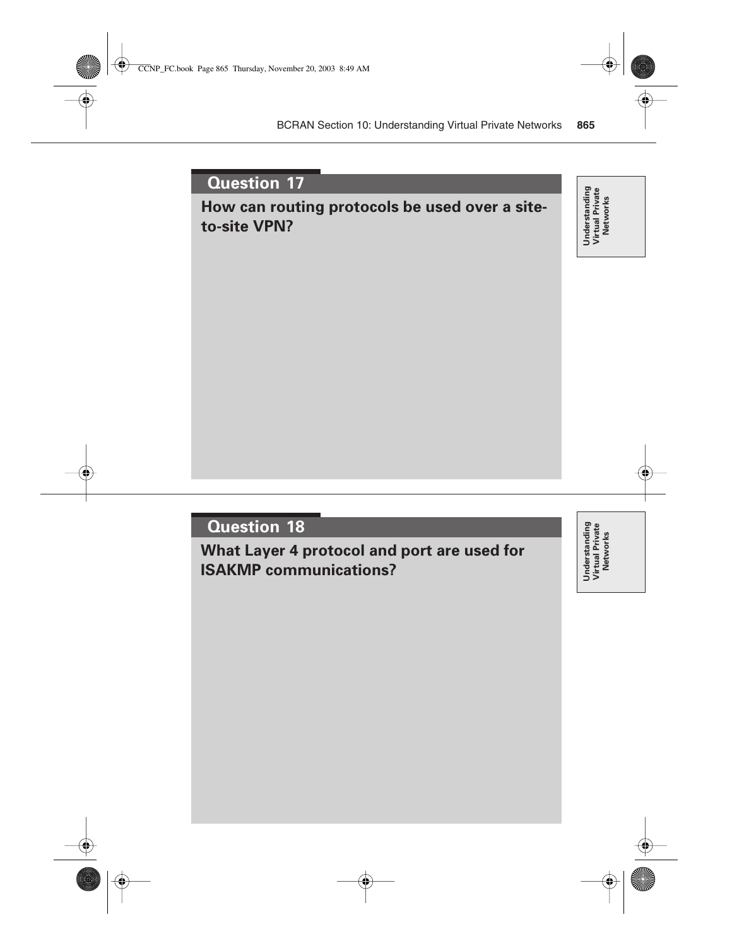# **How can routing protocols be used over a siteto-site VPN?**

Understanding<br>Virtual Private<br>Networks **Understanding Virtual Private Networks**

#### **Question 18**

**What Layer 4 protocol and port are used for ISAKMP communications?**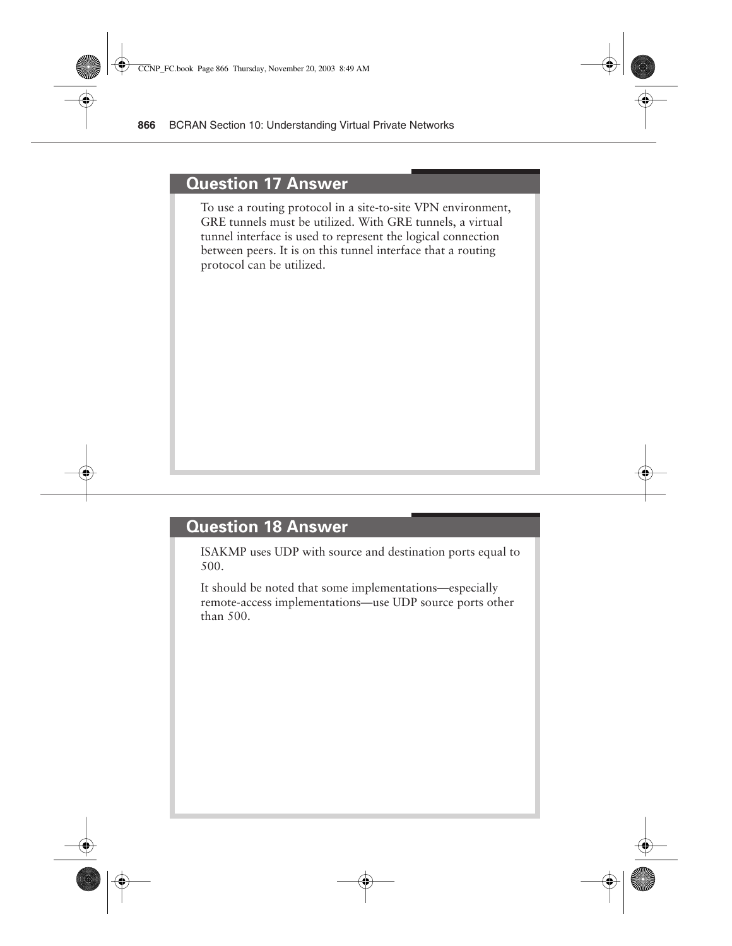#### **Question 17 Answer**

To use a routing protocol in a site-to-site VPN environment, GRE tunnels must be utilized. With GRE tunnels, a virtual tunnel interface is used to represent the logical connection between peers. It is on this tunnel interface that a routing protocol can be utilized.

#### **Question 18 Answer**

ISAKMP uses UDP with source and destination ports equal to 500.

It should be noted that some implementations—especially remote-access implementations—use UDP source ports other than 500.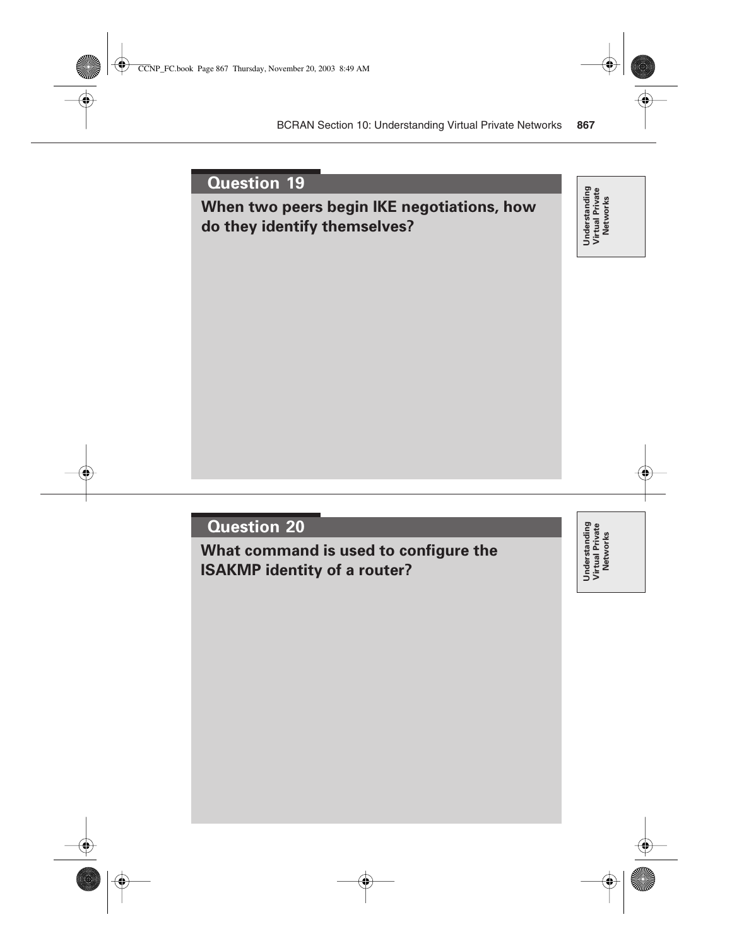# **When two peers begin IKE negotiations, how do they identify themselves?**

Understanding<br>Virtual Private<br>Networks **Understanding Virtual Private Networks**

# **Question 20**

**What command is used to configure the ISAKMP identity of a router?**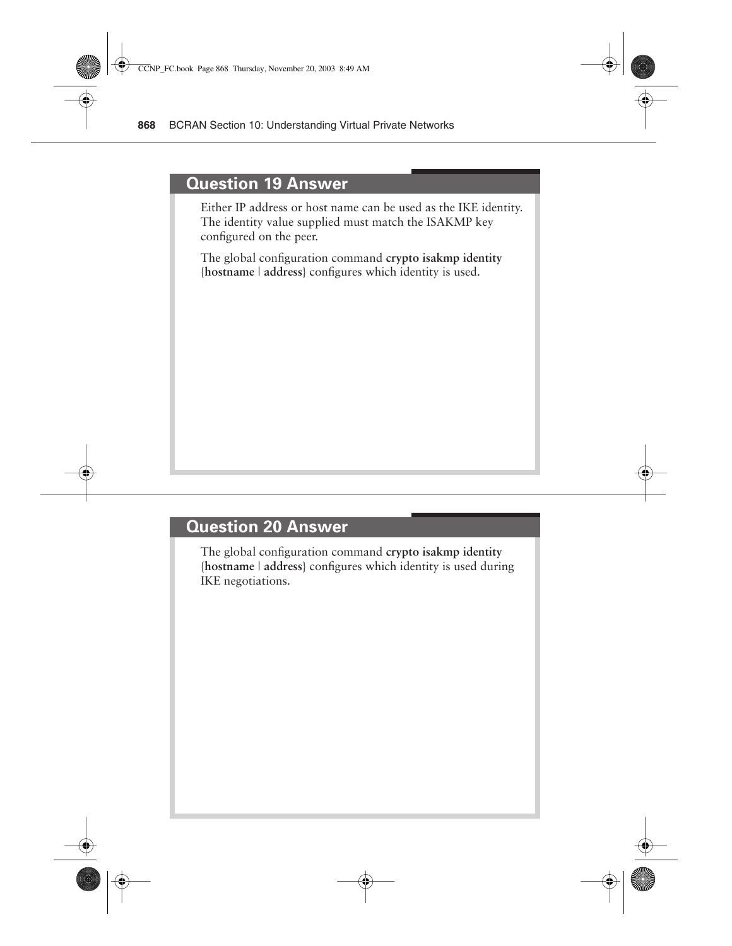#### **Question 19 Answer**

Either IP address or host name can be used as the IKE identity. The identity value supplied must match the ISAKMP key configured on the peer.

The global configuration command **crypto isakmp identity**  {**hostname** | **address**} configures which identity is used.

#### **Question 20 Answer**

The global configuration command **crypto isakmp identity**  {**hostname** | **address**} configures which identity is used during IKE negotiations.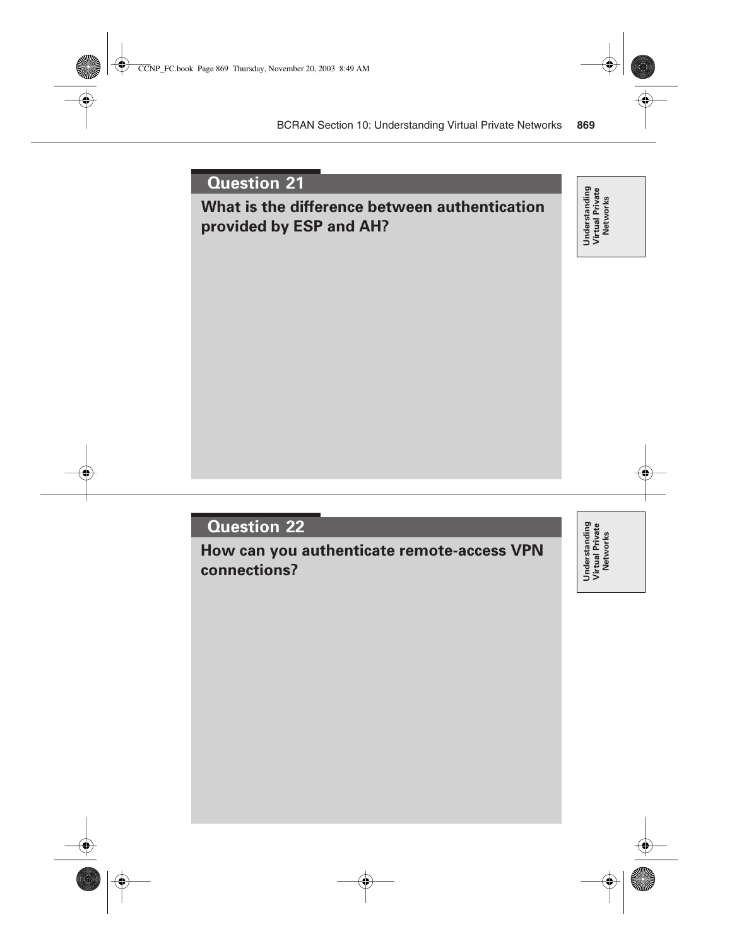# **What is the difference between authentication provided by ESP and AH?**

Understanding<br>Virtual Private<br>Networks **Understanding Virtual Private Networks**

# **Question 22**

**How can you authenticate remote-access VPN connections?**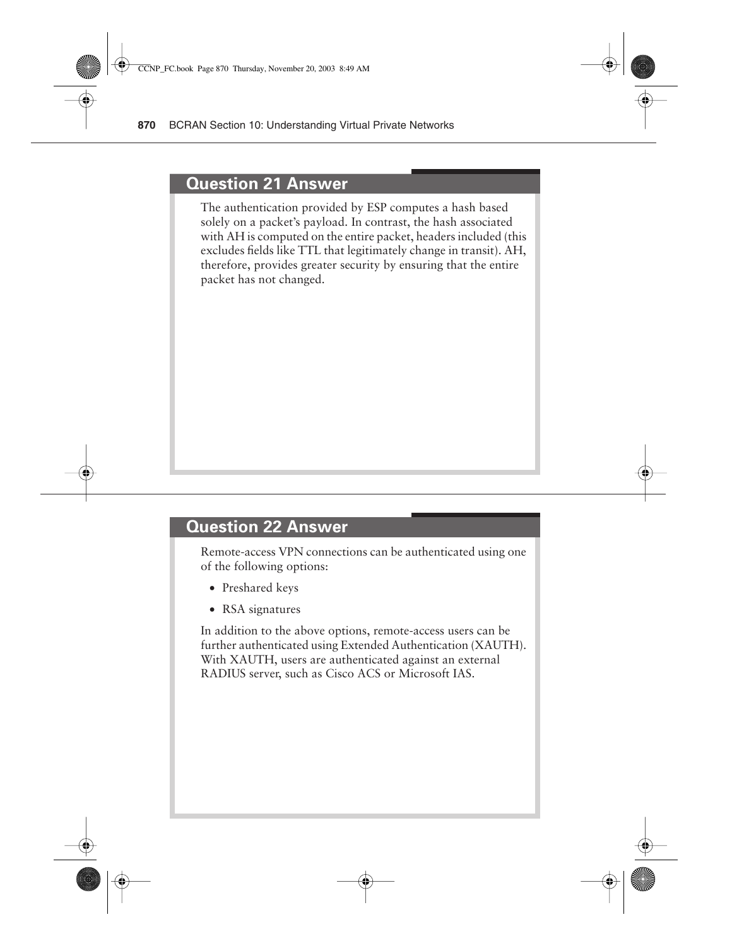#### **Question 21 Answer**

The authentication provided by ESP computes a hash based solely on a packet's payload. In contrast, the hash associated with AH is computed on the entire packet, headers included (this excludes fields like TTL that legitimately change in transit). AH, therefore, provides greater security by ensuring that the entire packet has not changed.

#### **Question 22 Answer**

Remote-access VPN connections can be authenticated using one of the following options:

- Preshared keys
- RSA signatures

In addition to the above options, remote-access users can be further authenticated using Extended Authentication (XAUTH). With XAUTH, users are authenticated against an external RADIUS server, such as Cisco ACS or Microsoft IAS.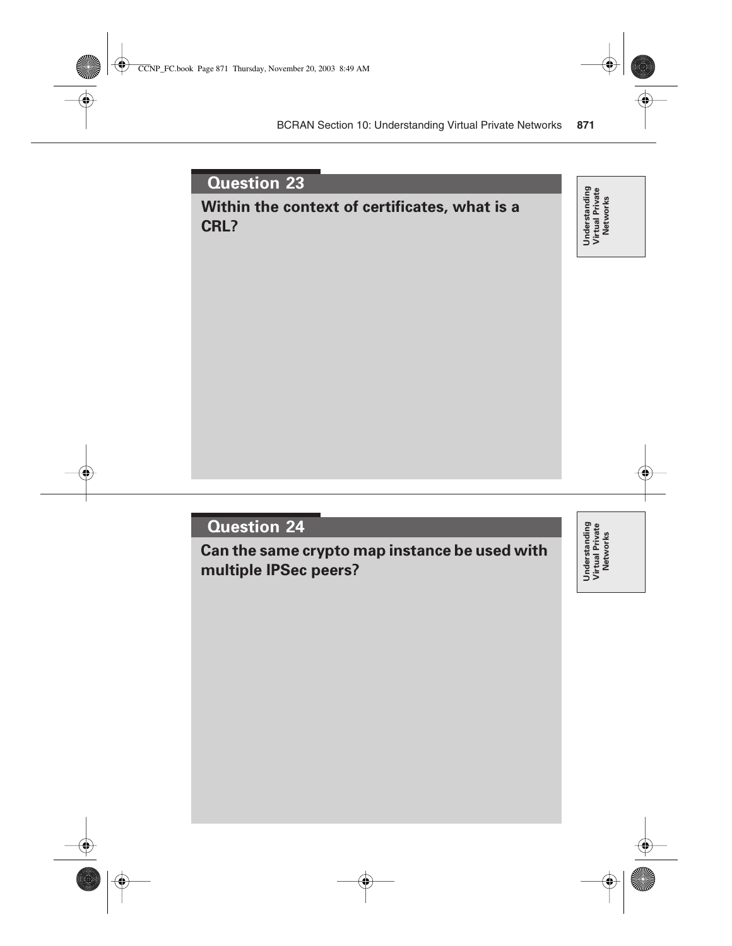# **Question 23 Within the context of certificates, what is a CRL?**

**Question 24**

**Can the same crypto map instance be used with multiple IPSec peers?**

Understanding<br>Virtual Private<br>Networks **Understanding Virtual Private Networks**

**Understanding Virtual Private Networks**

Understanding<br>Virtual Private<br>Networks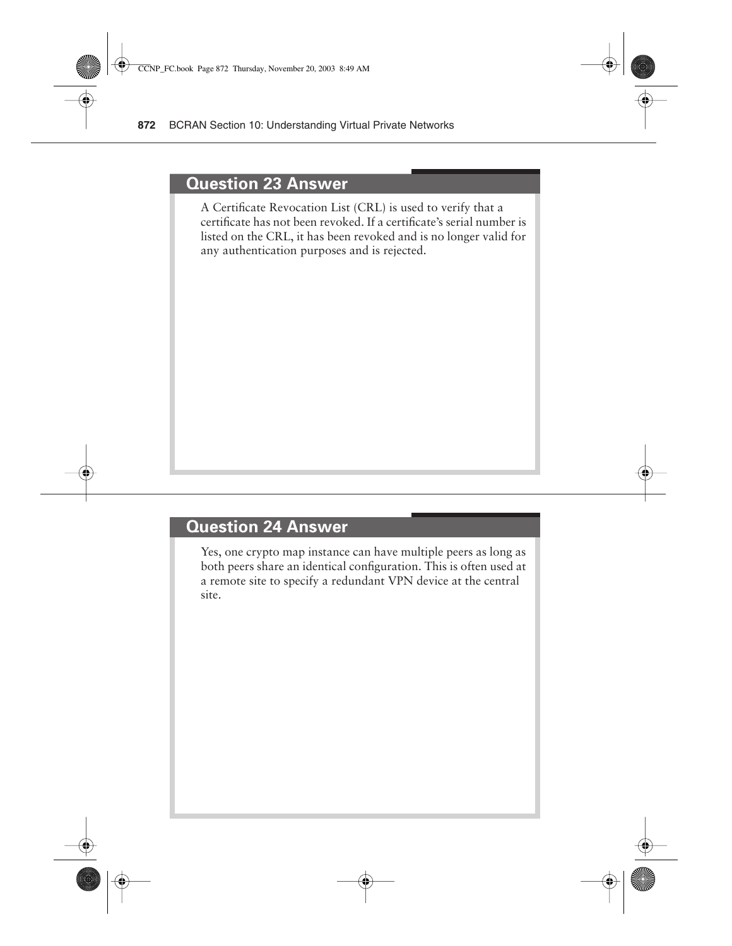#### **Question 23 Answer**

A Certificate Revocation List (CRL) is used to verify that a certificate has not been revoked. If a certificate's serial number is listed on the CRL, it has been revoked and is no longer valid for any authentication purposes and is rejected.

#### **Question 24 Answer**

Yes, one crypto map instance can have multiple peers as long as both peers share an identical configuration. This is often used at a remote site to specify a redundant VPN device at the central site.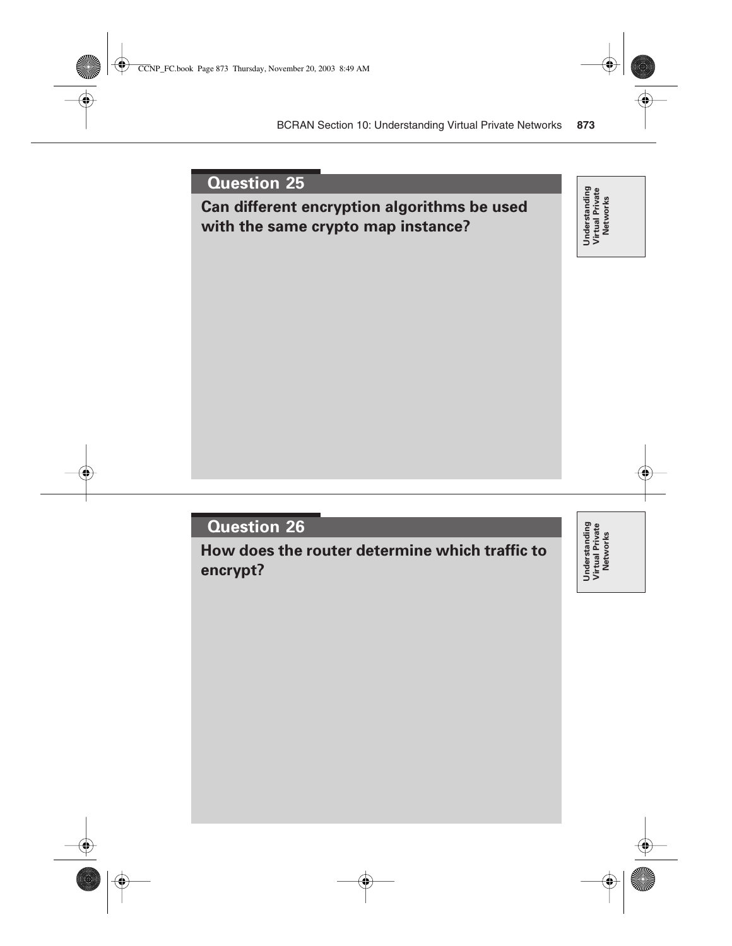

**How does the router determine which traffic to encrypt?**

Understanding<br>Virtual Private<br>Networks **Understanding Virtual Private Networks**

**Networks**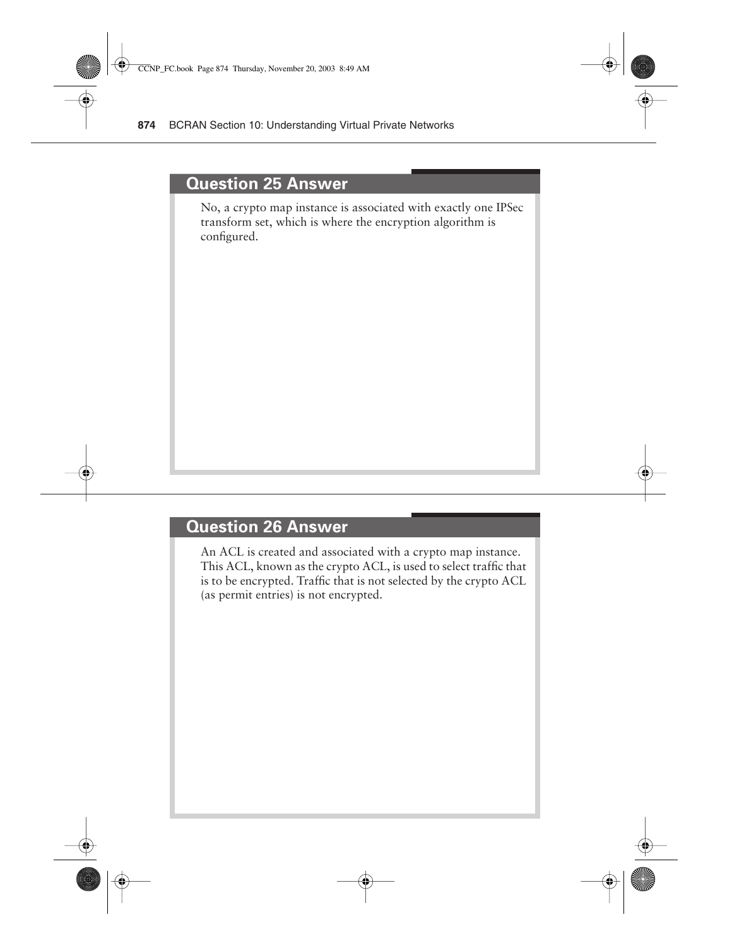#### **Question 25 Answer**

No, a crypto map instance is associated with exactly one IPSec transform set, which is where the encryption algorithm is configured.

#### **Question 26 Answer**

An ACL is created and associated with a crypto map instance. This ACL, known as the crypto ACL, is used to select traffic that is to be encrypted. Traffic that is not selected by the crypto ACL (as permit entries) is not encrypted.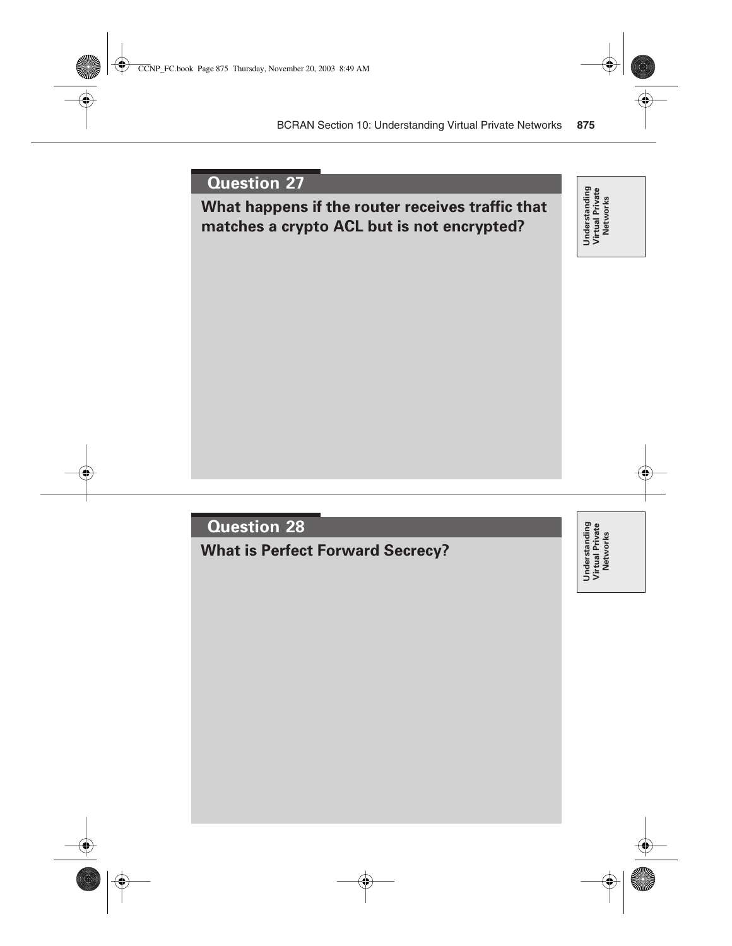

**What is Perfect Forward Secrecy?**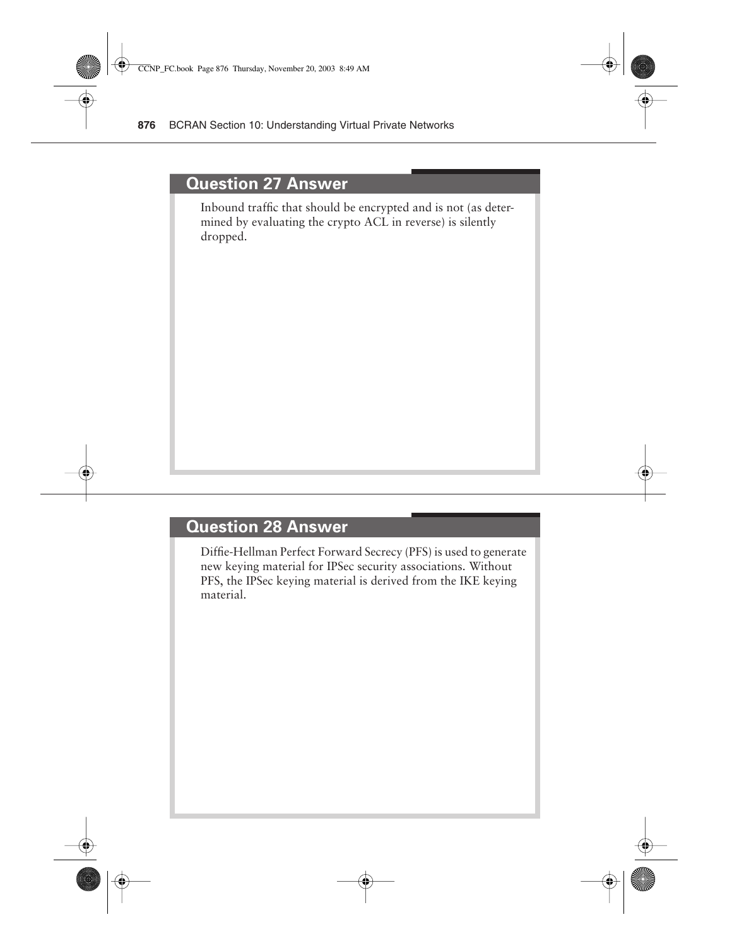#### **Question 27 Answer**

Inbound traffic that should be encrypted and is not (as determined by evaluating the crypto ACL in reverse) is silently dropped.

### **Question 28 Answer**

Diffie-Hellman Perfect Forward Secrecy (PFS) is used to generate new keying material for IPSec security associations. Without PFS, the IPSec keying material is derived from the IKE keying material.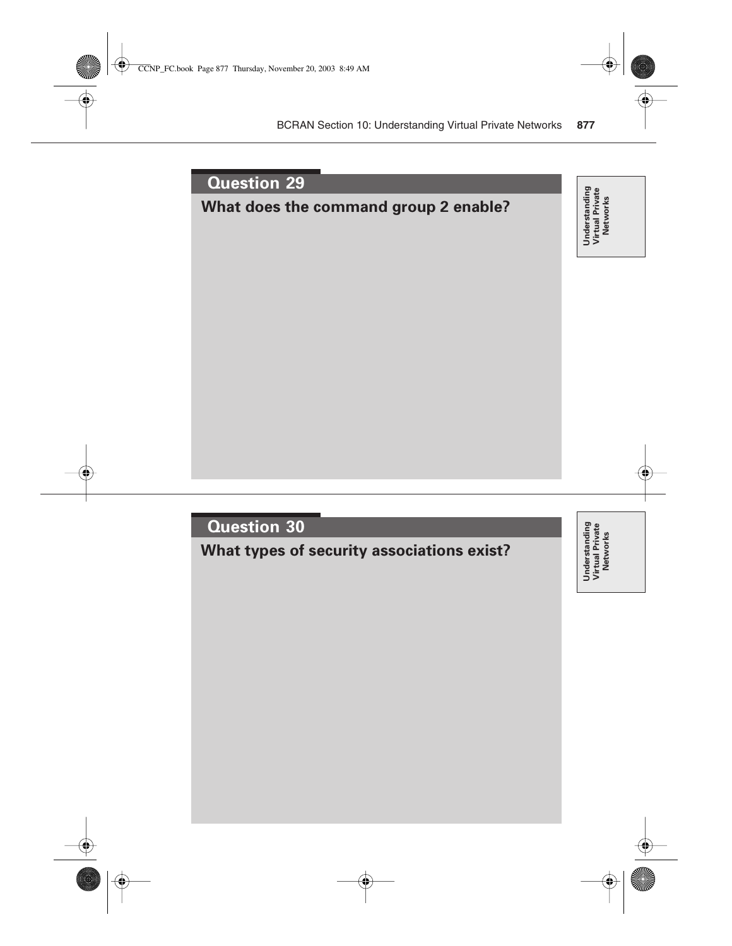

**What types of security associations exist?**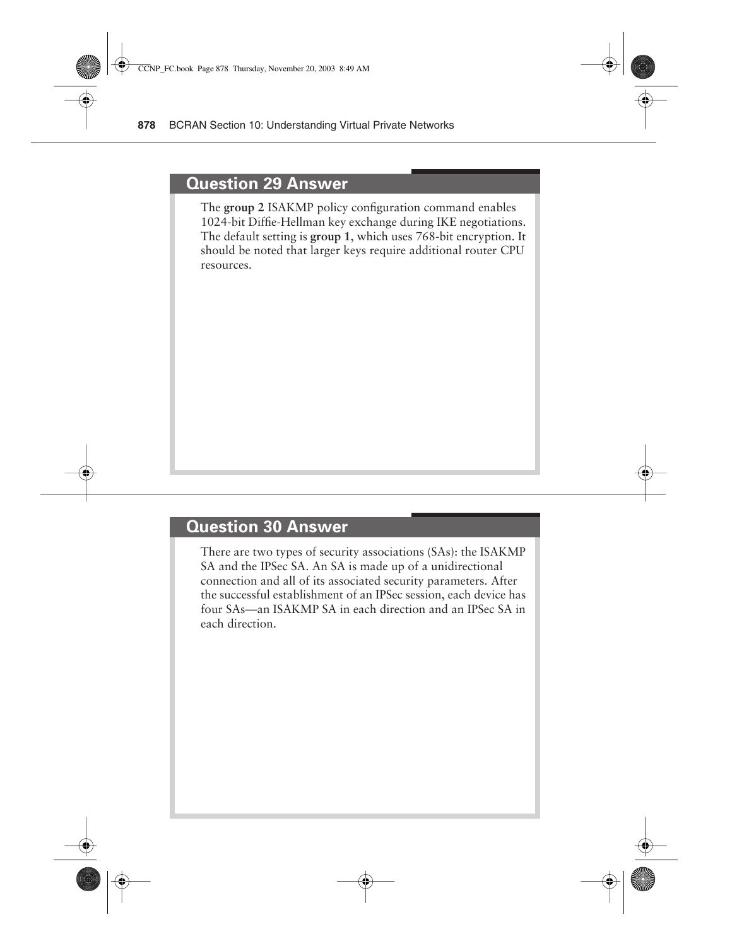#### **Question 29 Answer**

The **group 2** ISAKMP policy configuration command enables 1024-bit Diffie-Hellman key exchange during IKE negotiations. The default setting is **group 1**, which uses 768-bit encryption. It should be noted that larger keys require additional router CPU resources.

### **Question 30 Answer**

There are two types of security associations (SAs): the ISAKMP SA and the IPSec SA. An SA is made up of a unidirectional connection and all of its associated security parameters. After the successful establishment of an IPSec session, each device has four SAs—an ISAKMP SA in each direction and an IPSec SA in each direction.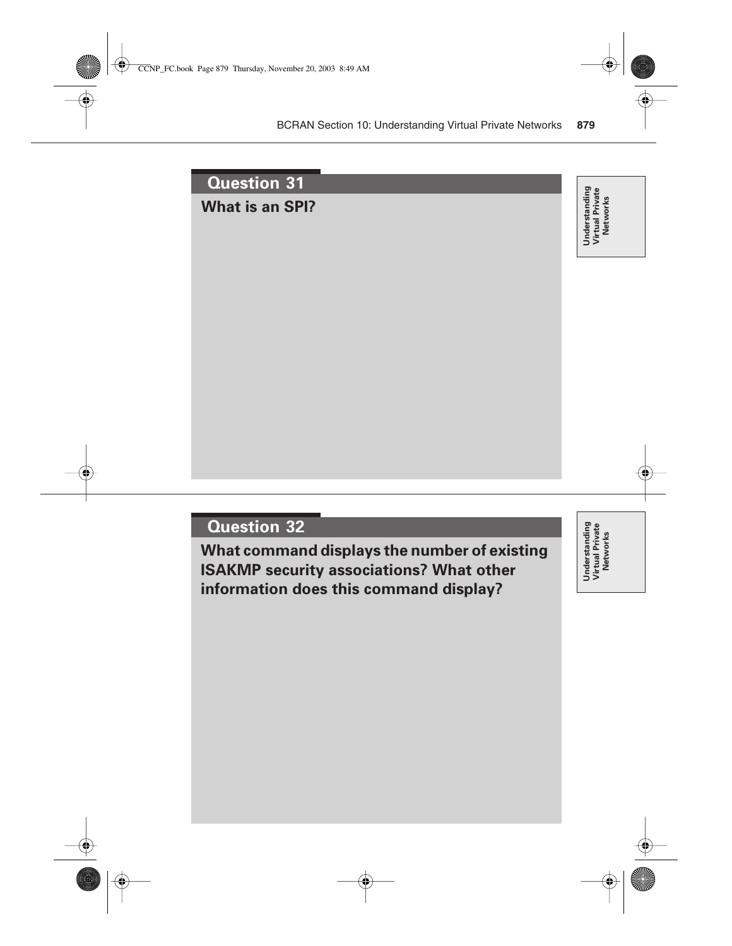

**What command displays the number of existing ISAKMP security associations? What other information does this command display?**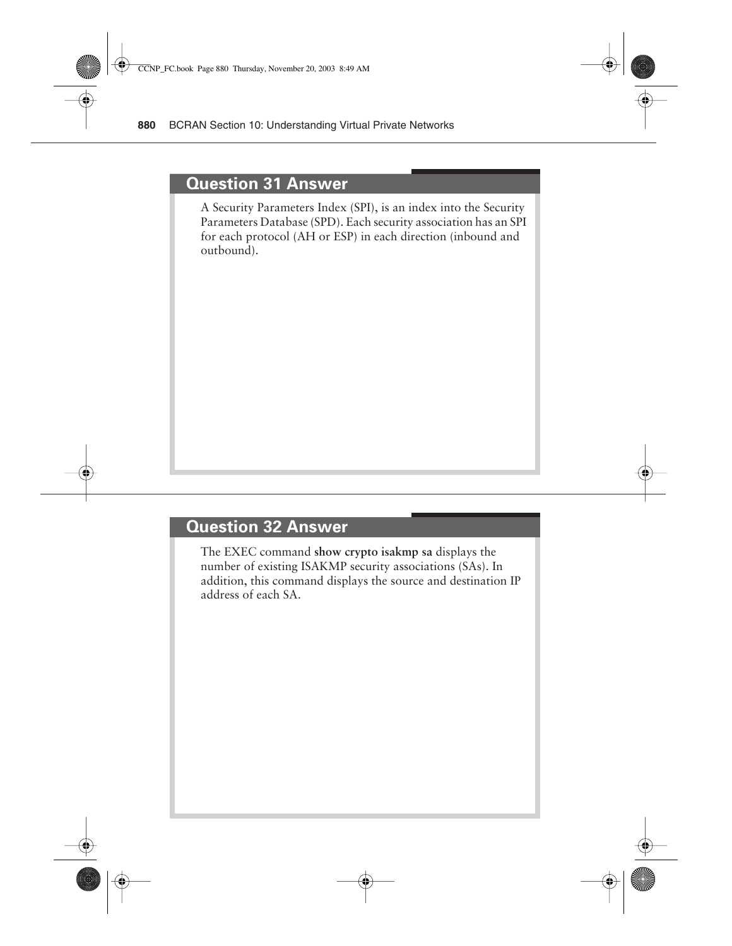#### **Question 31 Answer**

A Security Parameters Index (SPI), is an index into the Security Parameters Database (SPD). Each security association has an SPI for each protocol (AH or ESP) in each direction (inbound and outbound).

### **Question 32 Answer**

The EXEC command **show crypto isakmp sa** displays the number of existing ISAKMP security associations (SAs). In addition, this command displays the source and destination IP address of each SA.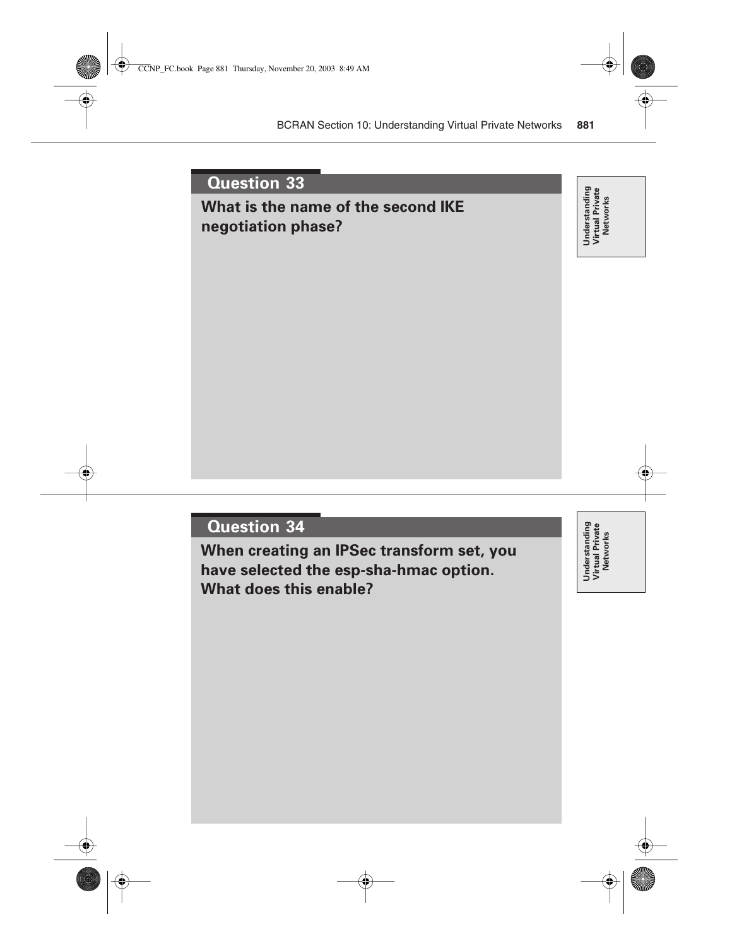### **What is the name of the second IKE negotiation phase?**

Understanding<br>Virtual Private<br>Networks **Understanding Virtual Private Networks**

### **Question 34**

**When creating an IPSec transform set, you have selected the esp-sha-hmac option. What does this enable?**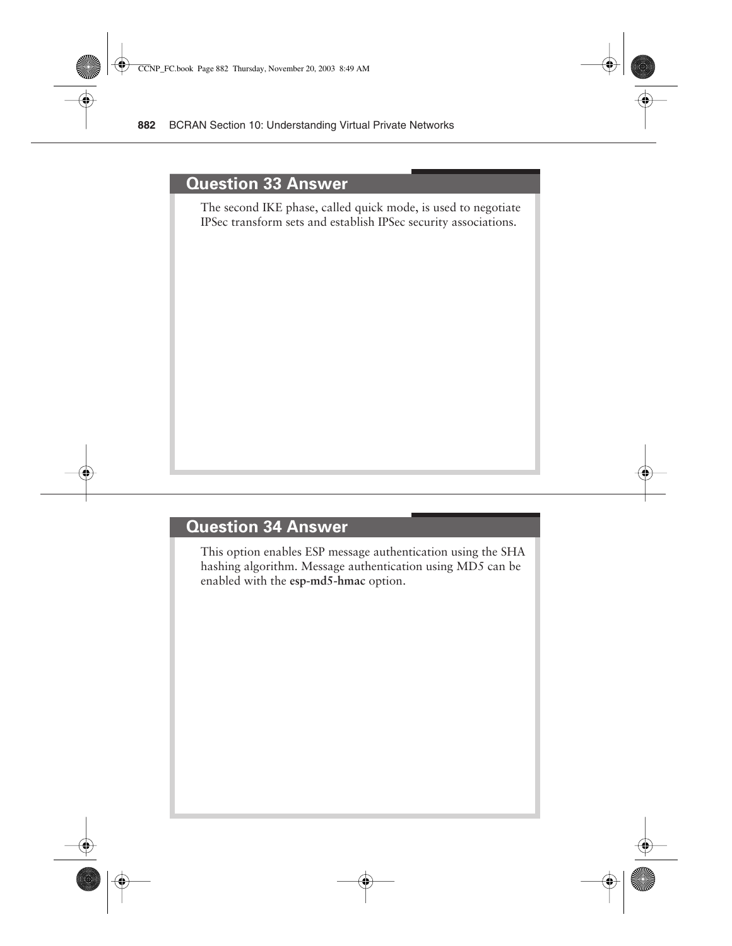#### **Question 33 Answer**

The second IKE phase, called quick mode, is used to negotiate IPSec transform sets and establish IPSec security associations.

#### **Question 34 Answer**

This option enables ESP message authentication using the SHA hashing algorithm. Message authentication using MD5 can be enabled with the **esp-md5-hmac** option.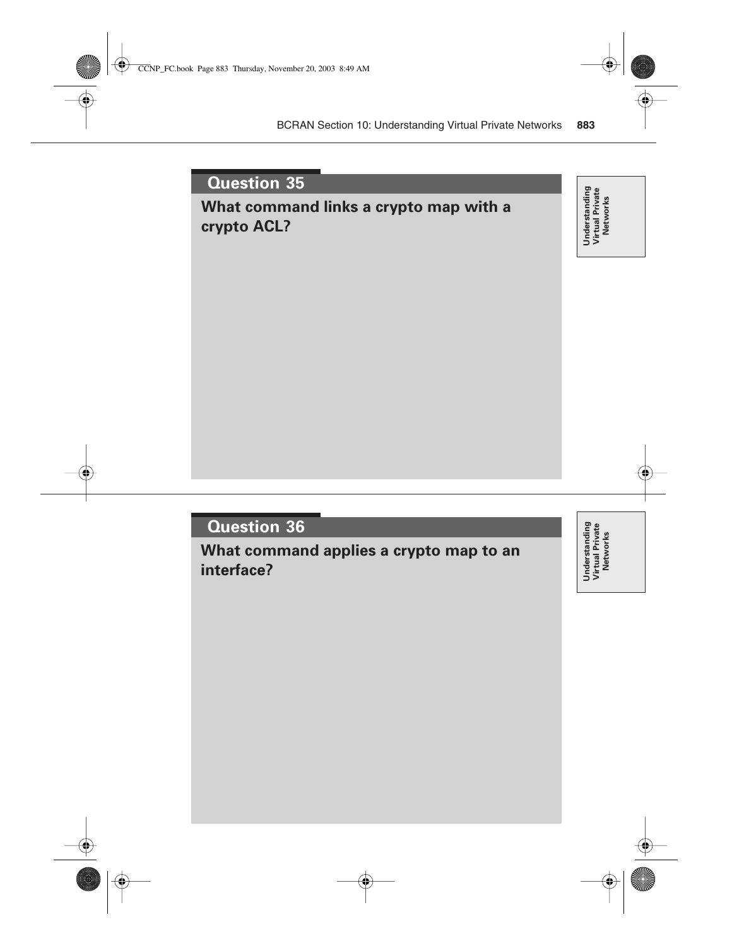### **What command links a crypto map with a crypto ACL?**

Understanding<br>Virtual Private<br>Networks **Understanding Virtual Private Networks**

### **Question 36**

**What command applies a crypto map to an interface?**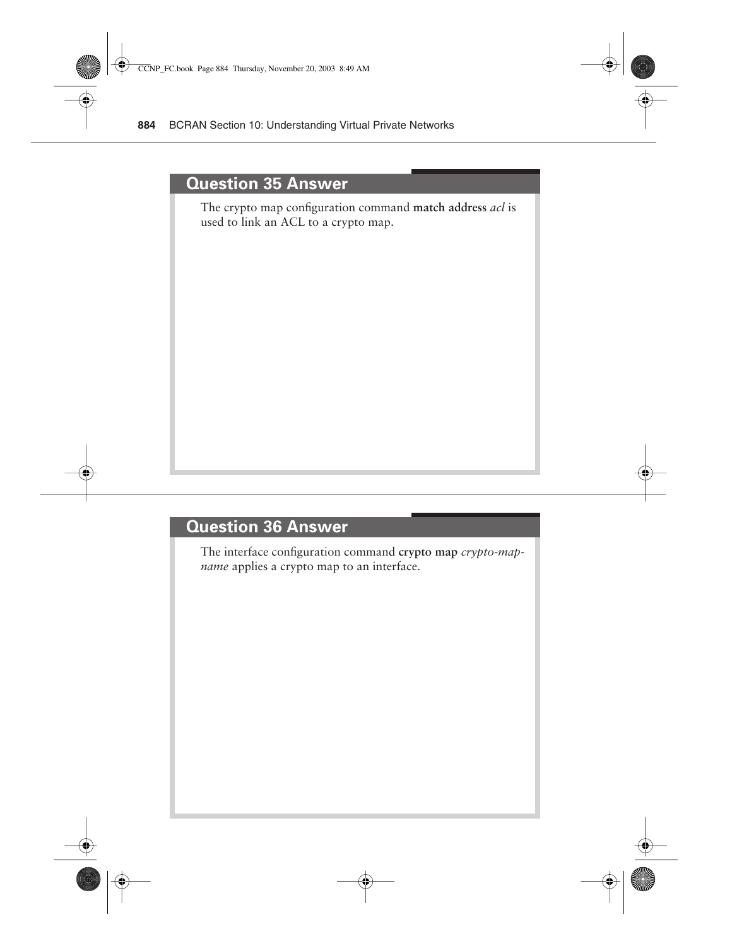#### **Question 35 Answer**

The crypto map configuration command **match address** *acl* is used to link an ACL to a crypto map.

#### **Question 36 Answer**

The interface configuration command **crypto map** *crypto-mapname* applies a crypto map to an interface.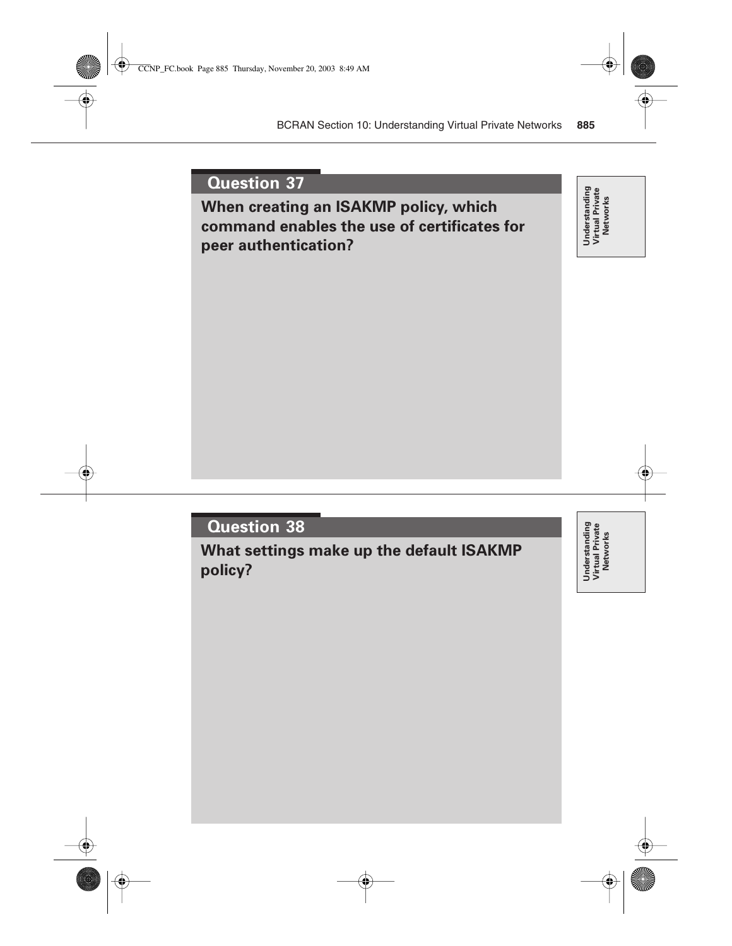**When creating an ISAKMP policy, which command enables the use of certificates for peer authentication?**

Understanding<br>Virtual Private<br>Networks **Understanding Virtual Private Networks**

### **Question 38**

**What settings make up the default ISAKMP policy?**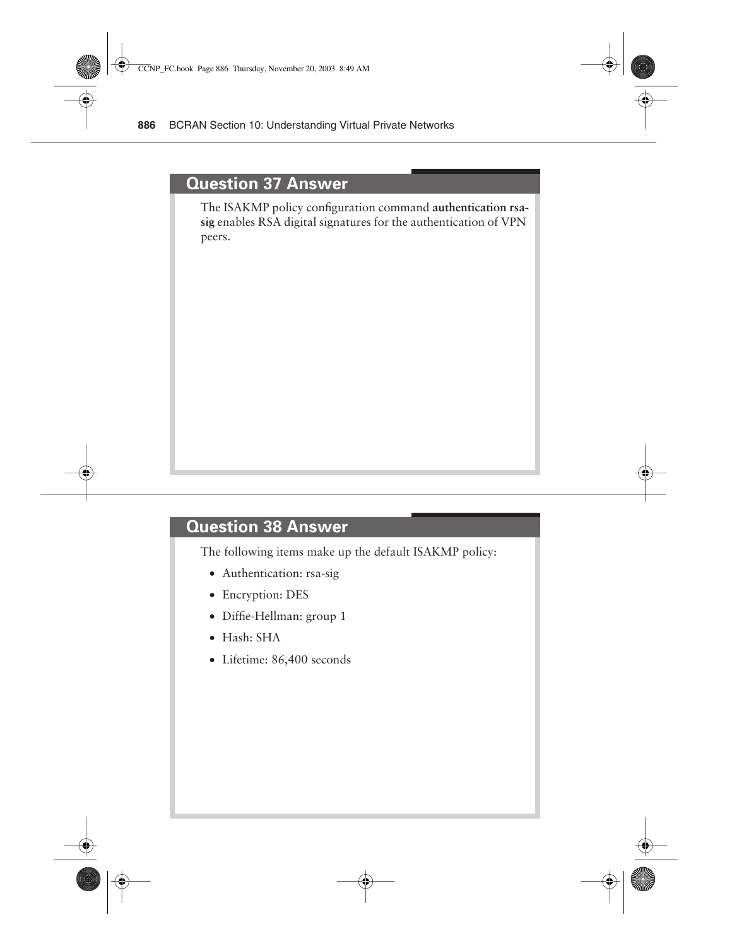#### **Question 37 Answer**

The ISAKMP policy configuration command **authentication rsasig** enables RSA digital signatures for the authentication of VPN peers.

### **Question 38 Answer**

The following items make up the default ISAKMP policy:

- Authentication: rsa-sig
- Encryption: DES
- Diffie-Hellman: group 1
- Hash: SHA
- Lifetime: 86,400 seconds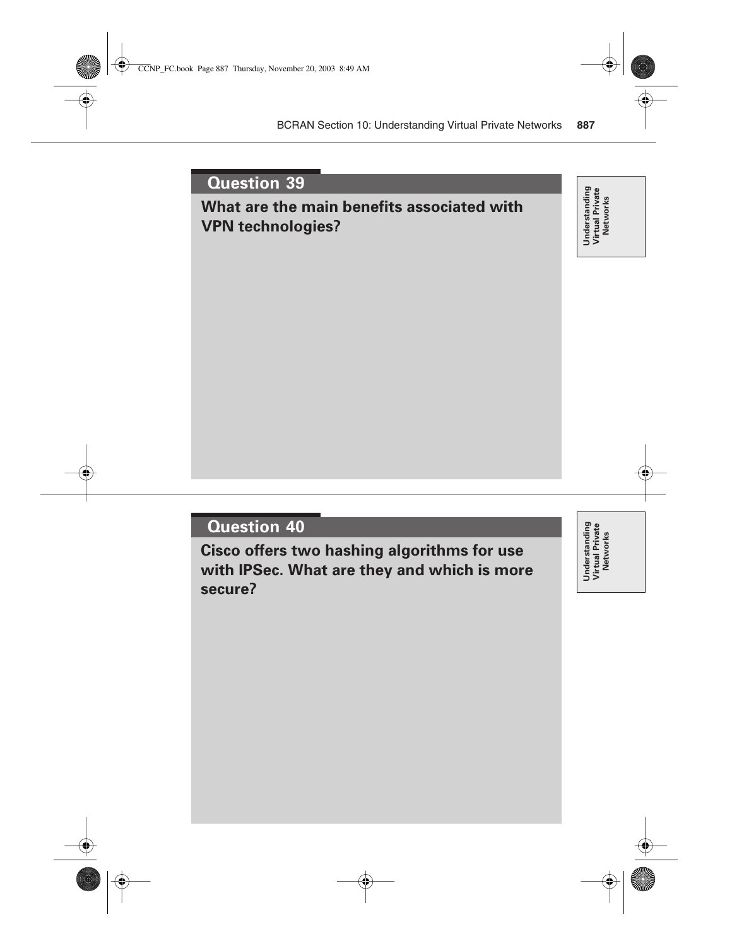### **What are the main benefits associated with VPN technologies?**

Understanding<br>Virtual Private<br>Networks **Understanding Virtual Private Networks**

### **Question 40**

**Cisco offers two hashing algorithms for use with IPSec. What are they and which is more secure?**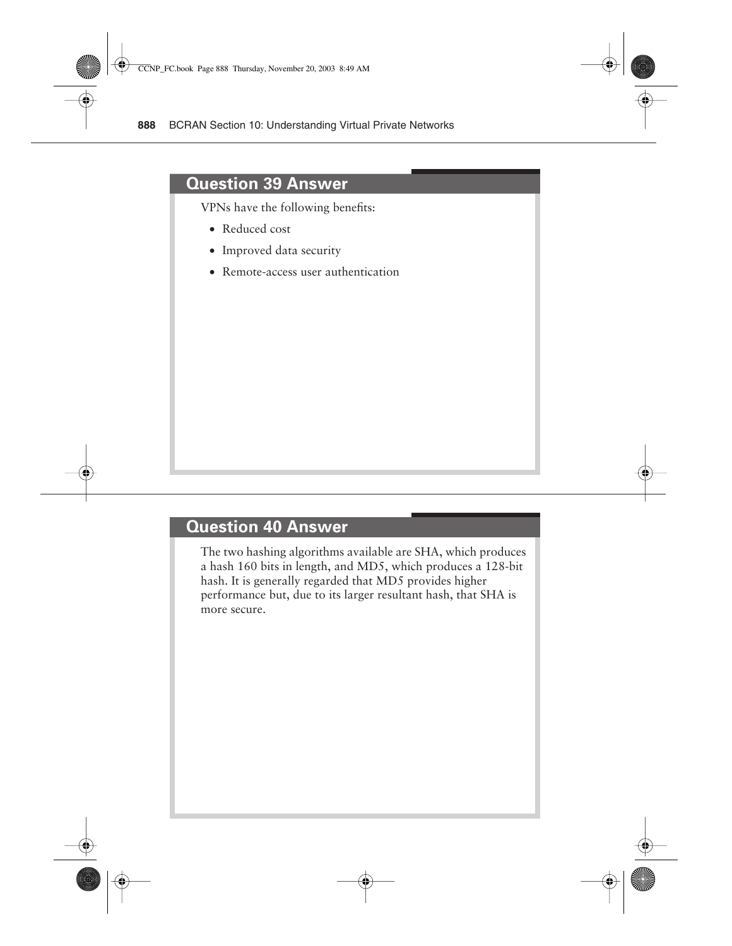#### **Question 39 Answer**

VPNs have the following benefits:

- Reduced cost
- Improved data security
- Remote-access user authentication

#### **Question 40 Answer**

The two hashing algorithms available are SHA, which produces a hash 160 bits in length, and MD5, which produces a 128-bit hash. It is generally regarded that MD5 provides higher performance but, due to its larger resultant hash, that SHA is more secure.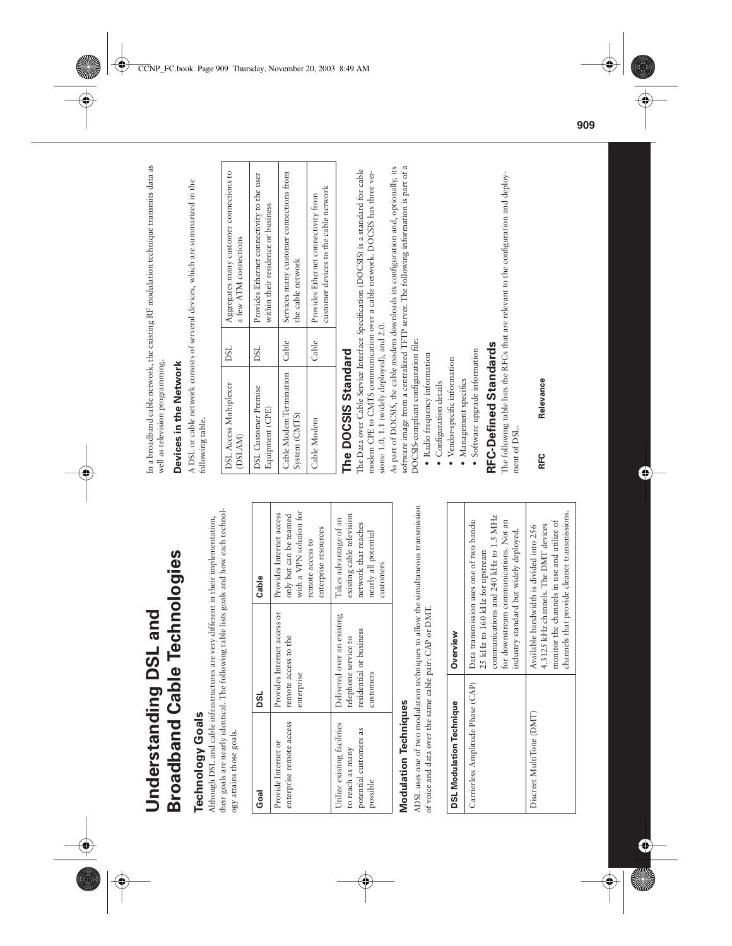**Broadband Cable Technologies Broadband Cable Technologies Understanding DSL and**  Understanding DSL and

### **Technology Goals Technology Goals**

their goals are nearly identical. The following table lists goals and how each technoltheir goals are nearly identical. The following table lists goals and how each technol-Although DSL and cable infrastructures are very different in their implementation, Although DSL and cable infrastructures are very different in their implementation, ogy attains those goals. ogy attains those goals.

| Goal                                                                                  | DSL                                                                                        | Cable                                                                                                                     |
|---------------------------------------------------------------------------------------|--------------------------------------------------------------------------------------------|---------------------------------------------------------------------------------------------------------------------------|
| enterprise remote access<br>Provide Internet or                                       | Provides Internet access or<br>remote access to the<br>enterprise                          | with a VPN solution for<br>Provides Internet access<br>only but can be teamed<br>enterprise resources<br>remote access to |
| Utilize existing facilities<br>potential customers as<br>to reach as many<br>possible | Delivered over an existing<br>residential or business<br>telephone service to<br>customers | existing cable television<br>Takes advantage of an<br>network that reaches<br>nearly all potential<br>customers           |

### **Modulation Techniques Modulation Techniques**

ADSL uses one of two modulation techniques to allow the simultaneous transmission ADSL uses one of two modulation techniques to allow the simultaneous transmission of voice and data over the same cable pair: CAP or DMT. of voice and data over the same cable pair: CAP or DMT.

| <b>DSL Modulation Technique</b>   | Overview                                                                                                                                                                                               |
|-----------------------------------|--------------------------------------------------------------------------------------------------------------------------------------------------------------------------------------------------------|
| Carrierless Amplitude Phase (CAP) | communications and 240 kHz to 1.5 MHz<br>Data transmission uses one of two bands:<br>for downstream communications. Not an<br>industry standard but widely deployed.<br>25 kHz to 160 kHz for upstream |
| Discreet MultiTone (DMT)          | channels that provide cleaner transmissions.<br>monitor the channels in use and utilize of<br>4.3125 kHz channels. The DMT devices<br>Available bandwidth is divided into 256                          |

In a broadband cable network, the existing RF modulation technique transmits data as In a broadband cable network, the existing RF modulation technique transmits data as well as television programming. well as television programming.

### Devices in the Network **Devices in the Network**

A DSL or cable network consists of serveral devices, which are summarized in the A DSL or cable network consists of serveral devices, which are summarized in the following table. following table.

| Aggregates many customer connections to<br>a few ATM connections | Provides Ethernet connectivity to the user<br>within their residence or business | Services many customer connections from<br>the cable network | customer devices to the cable network<br>Provides Ethernet connectivity from |  |
|------------------------------------------------------------------|----------------------------------------------------------------------------------|--------------------------------------------------------------|------------------------------------------------------------------------------|--|
| DSL                                                              | <b>DSL</b>                                                                       | I Cable                                                      | Cable                                                                        |  |
| <b>DSL Access Multiplexer</b><br>(DSLAM)                         | <b>DSL</b> Customer Premise<br>Equipment (CPE)                                   | Cable Modem Termination<br>System (CMTS)                     | Cable Modem                                                                  |  |

### The DOCSIS Standard **The DOCSIS Standard**

The Data over Cable Service Interface Specification (DOCSIS) is a standard for cable The Data over Cable Service Interface Specification (DOCSIS) is a standard for cable modem CPE to CMTS communication over a cable network. DOCSIS has three vermodem CPE to CMTS communication over a cable network. DOCSIS has three versions: 1.0, 1.1 (widely deployed), and 2.0. sions: 1.0, 1.1 (widely deployed), and 2.0.

software image from a centralized TFTP server. The following information is part of a As part of DOCSIS, the cable modem downloads its configuration and, optionally, its As part of DOCSIS, the cable modem downloads its configuration and, optionally, its software image from a centralized TFTP server. The following information is part of a DOCSIS-compliant configuration file: DOCSIS-compliant configuration file:

- · Radio frequency information • Radio frequency information
	- Configuration details • Configuration details
- · Vendor-specific information • Vendor-specific information
- · Management specifics • Management specifics
- · Software upgrade information • Software upgrade information

## **RFC-Defined Standards RFC-Defined Standards**

The following table lists the RFCs that are relevant to the configuration and deploy-The following table lists the RFCs that are relevant to the configuration and deployment of DSL. ment of DSL.

### Relevance **RFC Relevance** RFC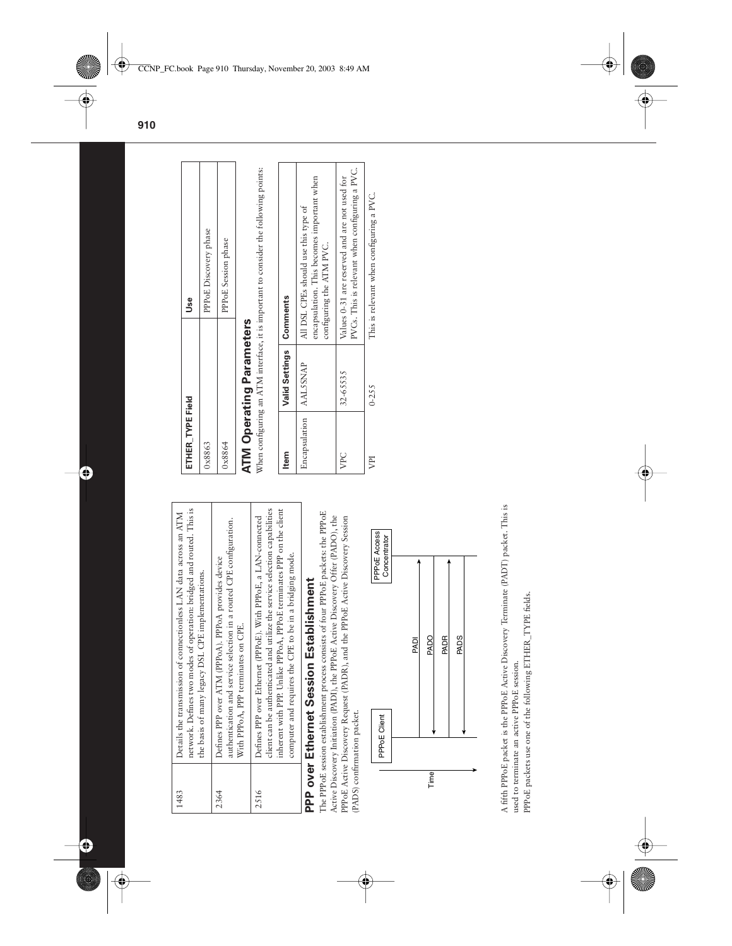| 1483 | network. Defines two modes of operation: bridged and routed. This is<br>Details the transmission of connectionless LAN data across an ATM<br>the basis of many legacy DSL CPE implementations.                                                                                 |
|------|--------------------------------------------------------------------------------------------------------------------------------------------------------------------------------------------------------------------------------------------------------------------------------|
| 2364 | authentication and service selection in a routed CPE configuration.<br>Defines PPP over ATM (PPPoA). PPPoA provides device<br>With PPPoA, PPP terminates on CPE.                                                                                                               |
| 2516 | inherent with PPP. Unlike PPPoA, PPPoE terminates PPP on the client<br>client can be authenticated and utilize the service selection capabilities<br>Defines PPP over Ethernet (PPPoE). With PPPoE, a LAN-connected<br>computer and requires the CPE to be in a bridging mode. |
|      | +مورم منتقلة المستحدة مورودية المستحدة والمستحدة                                                                                                                                                                                                                               |

# **PPP over Ethernet Session Establishment PPP over Ethernet Session Establishment**

The PPPoE session establishment process consists of four PPPoE packets: the PPPoE The PPPoE session establishment process consists of four PPPoE packets: the PPPoE Active Discovery Initiation (PADI), the PPPoE Active Discovery Offer (PADO), the Active Discovery Initiation (PADI), the PPPoE Active Discovery Offer (PADO), the PPPoE Active Discovery Request (PADR), and the PPDE Active Discovery Session PPPoE Active Discovery Request (PADR), and the PPPoE Active Discovery Session (PADS) confirmation packet. (PADS) confirmation packet.



A fifth PPP oE packet is the PPP oE Active Discovery Terminate (PADT) packet. This is A fifth PPPoE packet is the PPPoE Active Discovery Terminate (PADT) packet. This is PPP oE packets use one of the following ETHER\_TYPE fields. PPPoE packets use one of the following ETHER\_TYPE fields. used to terminate an active PPPoE session. used to terminate an active PPPoE session.

| ETHER TYPE Field                                                  | Use                              |
|-------------------------------------------------------------------|----------------------------------|
| 0x8863                                                            | PP <sub>OE</sub> Discovery phase |
| 0x8864                                                            | PPP oE Session phase             |
| ĺ<br>֖֖֧֪֪֪֪֪ׅ֖֧֚֚֚֚֚֚֚֚֚֚֚֚֚֚֚֚֚֚֚֚֚֚֡֡֡֡֡֡֡֬֝֬֝֓֡֬֓֓֞֡֡֡֬֝֓֞֬֝֝ |                                  |

## **ATM Operating Parameters ATM Operating Parameters**

When configuring an ATM interface, it is important to consider the following points: When configuring an ATM interface, it is important to consider the following points:

| Item                     | Valid Settings   Comments |                                                                                                                |
|--------------------------|---------------------------|----------------------------------------------------------------------------------------------------------------|
| Encapsulation   AAL5SNAP |                           | encapsulation. This becomes important when<br>All DSL CPEs should use this type of<br>configuring the ATM PVC. |
| VPC                      | 32-65535                  | PVCs. This is relevant when configuring a PVC.<br>Values 0-31 are reserved and are not used for                |
| VPI                      | $0 - 255$                 | This is relevant when configuring a PVC.                                                                       |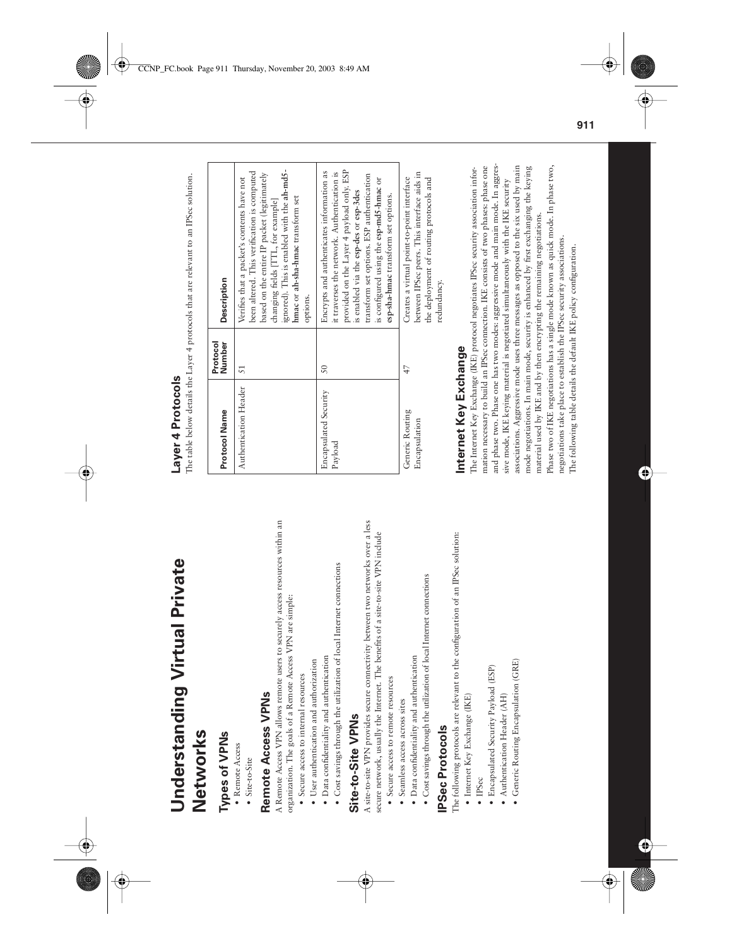**Understanding Virtual Private**  Understanding Virtual Private Networks **Networks**

### Types of VPNs **Types of VPNs**

- Remote Access • Remote Access
	- Site-to-Site • Site-to-Site

### Remote Access VPNs **Remote Access VPNs**

A Remote Access VPN allows remote users to securely access resources within an A Remote Access VPN allows remote users to securely access resources within an organization. The goals of a Remote Access VPN are simple: organization. The goals of a Remote Access VPN are simple:

- Secure access to internal resources • Secure access to internal resources
- User authentication and authorization • User authentication and authorization
- · Data confidentiality and authentication • Data confidentiality and authentication
- Cost savings through the utilization of local Internet connections • Cost savings through the utilization of local Internet connections

### Site-to-Site VPNs **Site-to-Site VPNs**

A site-to-site VPN provides secure connectivity between two networks over a less A site-to-site VPN provides secure connectivity between two networks over a less secure network, usually the Internet. The benefits of a site-to-site VPN include secure network, usually the Internet. The benefits of a site-to-site VPN include

- Secure access to remote resources • Secure access to remote resources
- · Seamless access across sites • Seamless access across sites
- · Data confidentiality and authentication • Data confidentiality and authentication
- · Cost savings through the utilization of local Internet connections • Cost savings through the utilization of local Internet connections

### **PSec Protocols IPSec Protocols**

The following protocols are relevant to the configuration of an IPSec solution: The following protocols are relevant to the configuration of an IPSec solution:

- $\bullet$  Internet Key Exchange (IKE) • Internet Key Exchange (IKE)
- IPSec
- Encapsulated Security Payload (ESP) • Encapsulated Security Payload (ESP)
- Authentication Header (AH) • Authentication Header (AH)
- Generic Routing Encapsulation (GRE) • Generic Routing Encapsulation (GRE)

### Laver 4 Protocols **Layer 4 Protocols**

The table below details the Layer 4 protocols that are relevant to an IPSec solution. The table below details the Layer 4 protocols that are relevant to an IPSec solution.

| Protocol Name                    | Protocol<br>Number | <b>Description</b>                                                                                                                                                                                                                                                                                             |
|----------------------------------|--------------------|----------------------------------------------------------------------------------------------------------------------------------------------------------------------------------------------------------------------------------------------------------------------------------------------------------------|
| Authentication Header            | 51                 | ignored). This is enabled with the ah-md5-<br>been altered. This verification is computed<br>based on the entire IP packet (legitimately<br>Verifies that a packet's contents have not<br>hmac or ah-sha-hmac transform set<br>changing fields [TTL, for example]<br>options.                                  |
| Encapsulated Security<br>Payload | $\overline{50}$    | provided on the Layer 4 payload only. ESP<br>Encrypts and authenticates information as<br>it traverses the network. Authentication is<br>transform set options. ESP authentication<br>is configured using the esp-md5-hmac or<br>is enabled via the esp-des or esp-3des<br>esp-sha-hmac transform set options. |
| Generic Routing<br>Encapsulation | 47                 | between IPSec peers. This interface aids in<br>Creates a virtual point-to-point interface<br>the deployment of routing protocols and<br>redundancy.                                                                                                                                                            |

### Internet Key Exchange **Internet Key Exchange**

and phase two. Phase one has two modes: aggressive mode and main mode. In aggresmation necessary to build an IPSec connection. IKE consists of two phases: phase one and phase two. Phase one has two modes: aggressive mode and main mode. In aggresassociations. Aggressive mode uses three messages as opposed to the six used by main associations. Aggressive mode uses three messages as opposed to the six used by main mode negotiations. In main mode, security is enhanced by first exchanging the keying Phase two of IKE negotiations has a single mode known as quick mode. In phase two, Phase two of IKE negotiations has a single mode known as quick mode. In phase two, The Internet Key Exchange (IKE) protocol negotiates IPSec security association information necessary to build an IPSec connection. IKE consists of two phases: phase one mode negotiations. In main mode, security is enhanced by first exchanging the keying The Internet Key Exchange (IKE) protocol negotiates IPSec security association inforsive mode, IKE keying material is negotiated simultaneously with the IKE security sive mode, IKE keying material is negotiated simultaneously with the IKE security material used by IKE and by then encrypting the remaining negotiations. material used by IKE and by then encrypting the remaining negotiations. negotiations take place to establish the IPSec security associations. negotiations take place to establish the IPSec security associations. The following table details the default IKE policy configuration. The following table details the default IKE policy configuration.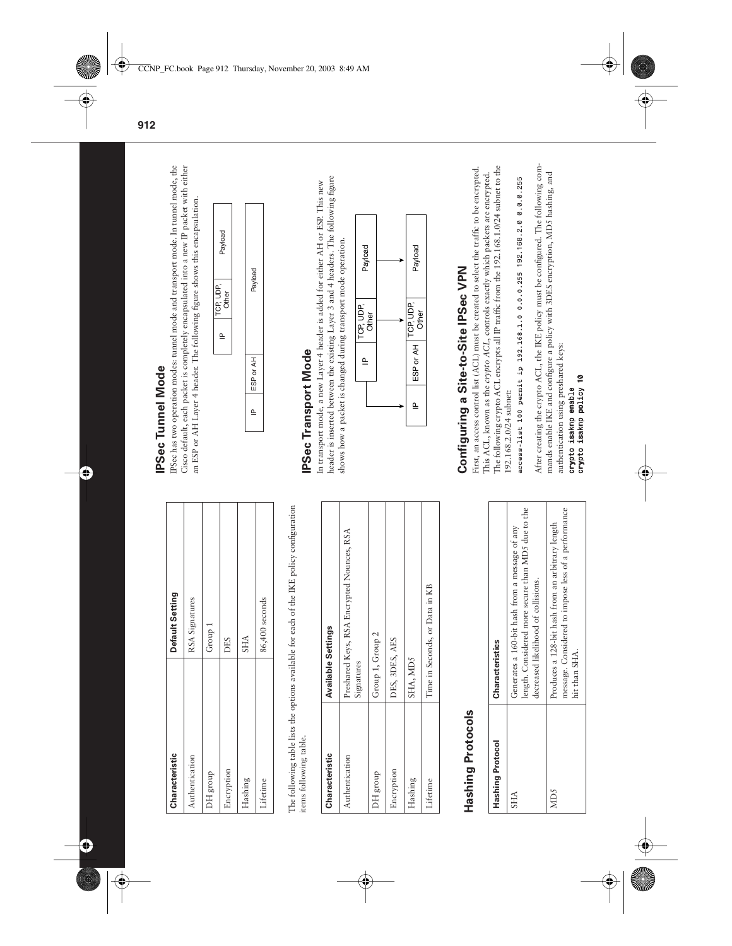Default Setting **Characteristic Default Setting** RSA Signatures 86,400 seconds Authentication RSA Signatures Lifetime and 186,400 seconds Group 1 DH group Group 1 **SHA** DES Hashing SHA Encryption DES Authentication Characteristic DH group Encryption Hashing Lifetime The following table lists the options available for each of the IKE policy configuration The following table lists the options available for each of the IKE policy configuration items following table. items following table.

| Characteristic | <b>Available Settings</b>                                |
|----------------|----------------------------------------------------------|
| Authentication | Preshared Keys, RSA Encrypted Nounces, RSA<br>Signatures |
| DH group       | Group 1, Group 2                                         |
| Encryption     | DES, 3DES, AES                                           |
| Hashing        | SHA, MD5                                                 |
| Lifetime       | Time in Seconds, or Data in KB                           |
|                |                                                          |

### **Hashing Protocols Hashing Protocols**

| <b>Hashing Protocol</b> | Characteristics                                                                                                                             |
|-------------------------|---------------------------------------------------------------------------------------------------------------------------------------------|
| <b>SHA</b>              | length. Considered more secure than MD5 due to the<br>Generates a 160-bit hash from a message of any<br>decreased likelihood of collisions. |
| MD5                     | message. Considered to impose less of a performance<br>Produces a 128-bit hash from an arbitrary length<br>hit than SHA                     |

### **IPSec Tunnel Mode IPSec Tunnel Mode**

Cisco default, each packet is completely encapsulated into a new IP packet with either IPSec has two operation modes: tunnel mode and transport mode. In tunnel mode, the IPSec has two operation modes: tunnel mode and transport mode. In tunnel mode, the Cisco default, each packet is completely encapsulated into a new IP packet with either an ESP or AH Layer 4 header. The following figure shows this encapsulation. an ESP or AH Layer 4 header. The following figure shows this encapsulation.

| Payload            |           |
|--------------------|-----------|
| TCP, UDP,<br>Other | Payload   |
| ఆ                  |           |
|                    | ESP or AH |
|                    | ۵Ļ        |

### **IPSec Transport Mode IPSec Transport Mode**

header is inserted between the existing Layer 3 and 4 headers. The following figure header is inserted between the existing Layer 3 and 4 headers. The following figure In transport mode, a new Layer 4 header is added for either AH or ESP. This new In transport mode, a new Layer 4 header is added for either AH or ESP. This new shows how a packet is changed during transport mode operation. shows how a packet is changed during transport mode operation.



# Configuring a Site-to-Site IPSec VPN **Configuring a Site-to-Site IPSec VPN**

First, an access control list (ACL) must be created to select the traffic to be encrypted. The following crypto ACL encrypts all IP traffic from the 192.168.1.0/24 subnet to the The following crypto ACL encrypts all IP traffic from the 192.168.1.0/24 subnet to the First, an access control list (ACL) must be created to select the traffic to be encrypted. This ACL, known as the *crypto ACL*, controls exactly which packets are encrypted. This ACL, known as the crypto ACL, controls exactly which packets are encrypted. 192.168.2.0/24 subnet: 192.168.2.0/24 subnet:

access-list 100 permit ip 192.168.1.0 0.0.0.255 192.168.2.0 0.0.0.255 **access-list 100 permit ip 192.168.1.0 0.0.0.255** *192.168.2.0 0.0.0.255*

After creating the crypto ACL, the IKE policy must be configured. The following com-After creating the crypto ACL, the IKE policy must be configured. The following commands enable IKE and configure a policy with 3DES encryption, MDS hashing, and mands enable IKE and configure a policy with 3DES encryption, MD5 hashing, and authentication using preshared keys: authentication using preshared keys:

*crypto isakmp enable crypto isakmp policy 10*

crypto isakmp policy 10 crypto isakmp enable

 **912**